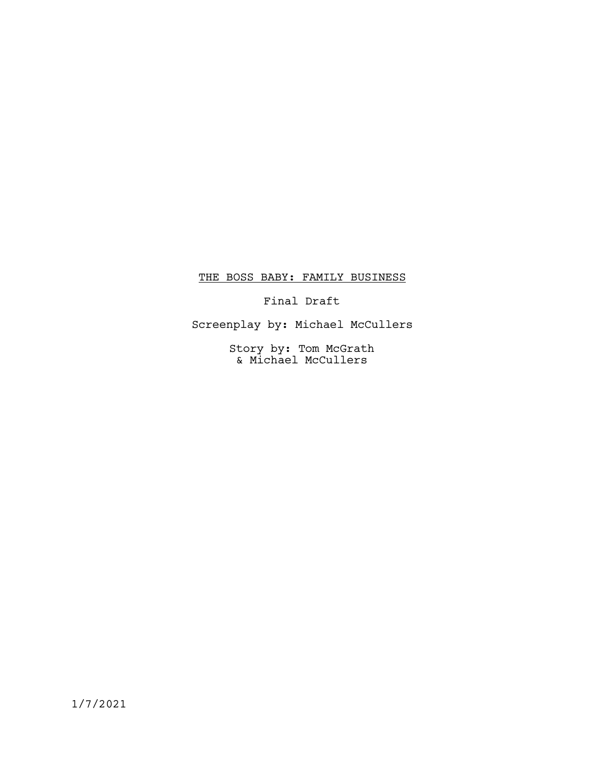# THE BOSS BABY: FAMILY BUSINESS

Final Draft

Screenplay by: Michael McCullers

Story by: Tom McGrath & Michael McCullers

1/7/2021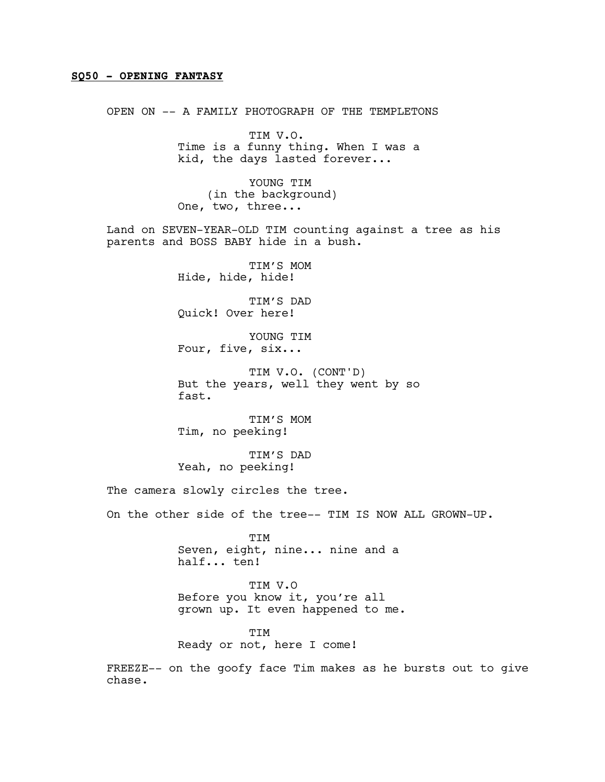### SQ50 - OPENING FANTASY

OPEN ON -- A FAMILY PHOTOGRAPH OF THE TEMPLETONS

TIM V.O. Time is a funny thing. When I was a kid, the days lasted forever...

YOUNG TIM (in the background) One, two, three...

Land on SEVEN-YEAR-OLD TIM counting against a tree as his parents and BOSS BABY hide in a bush.

> TIM'S MOM Hide, hide, hide!

> TIM'S DAD Quick! Over here!

> YOUNG TIM Four, five, six...

TIM V.O. (CONT'D) But the years, well they went by so fast.

TIM'S MOM Tim, no peeking!

TIM'S DAD Yeah, no peeking!

The camera slowly circles the tree.

On the other side of the tree-- TIM IS NOW ALL GROWN-UP.

**TTM** Seven, eight, nine... nine and a half... ten!

TIM V.O Before you know it, you're all grown up. It even happened to me.

TIM Ready or not, here I come!

FREEZE-- on the goofy face Tim makes as he bursts out to give chase.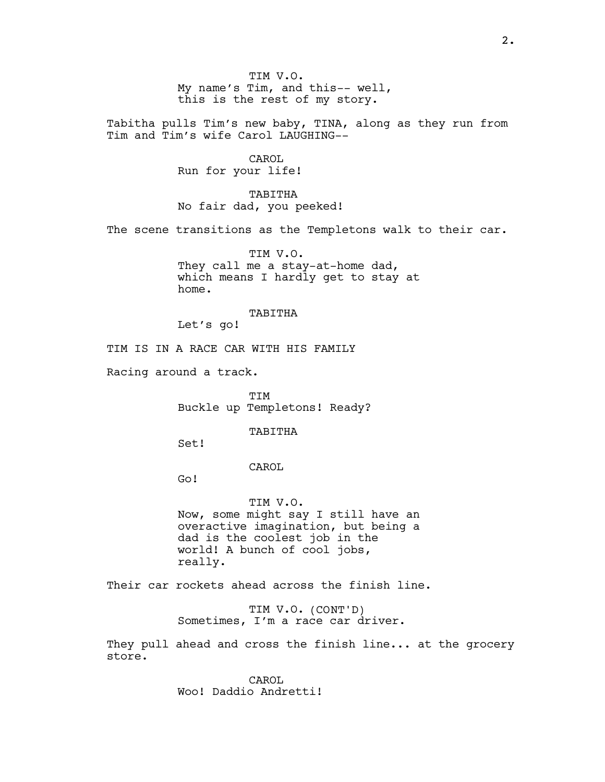TIM V.O. My name's Tim, and this-- well, this is the rest of my story.

Tabitha pulls Tim's new baby, TINA, along as they run from Tim and Tim's wife Carol LAUGHING--

> CAROL Run for your life!

TABITHA No fair dad, you peeked!

The scene transitions as the Templetons walk to their car.

TIM V.O. They call me a stay-at-home dad, which means I hardly get to stay at home.

#### TABITHA

Let's go!

TIM IS IN A RACE CAR WITH HIS FAMILY

Racing around a track.

TIM Buckle up Templetons! Ready?

### TABITHA

Set!

CAROL

Go!

TIM V.O. Now, some might say I still have an overactive imagination, but being a dad is the coolest job in the world! A bunch of cool jobs, really.

Their car rockets ahead across the finish line.

TIM V.O. (CONT'D) Sometimes, I'm a race car driver.

They pull ahead and cross the finish line... at the grocery store.

> CAROL Woo! Daddio Andretti!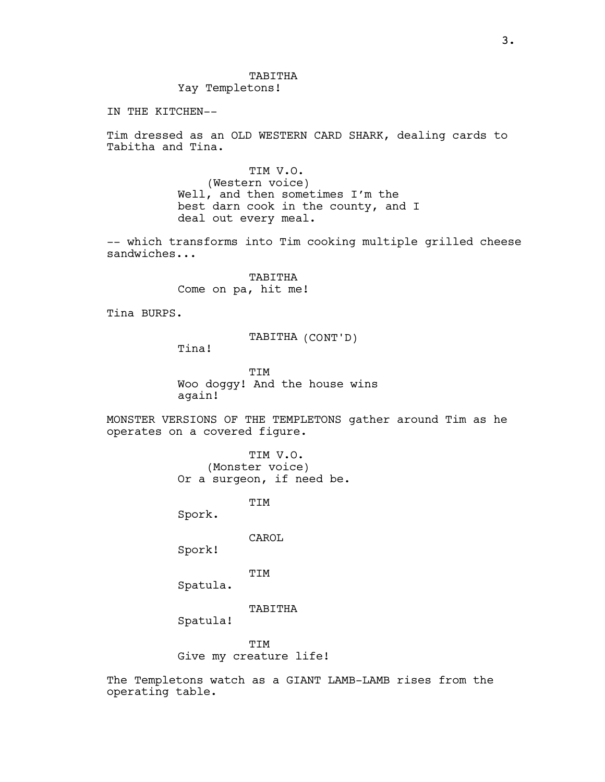IN THE KITCHEN--

Tim dressed as an OLD WESTERN CARD SHARK, dealing cards to Tabitha and Tina.

> TIM V.O. (Western voice) Well, and then sometimes I'm the best darn cook in the county, and I deal out every meal.

-- which transforms into Tim cooking multiple grilled cheese sandwiches...

> TABITHA Come on pa, hit me!

Tina BURPS.

TABITHA (CONT'D)

Tina!

TIM Woo doggy! And the house wins again!

MONSTER VERSIONS OF THE TEMPLETONS gather around Tim as he operates on a covered figure.

> TIM V.O. (Monster voice) Or a surgeon, if need be.

> > TIM

Spork.

CAROL

Spork!

TIM

Spatula.

TABITHA

Spatula!

**TTM** Give my creature life!

The Templetons watch as a GIANT LAMB-LAMB rises from the operating table.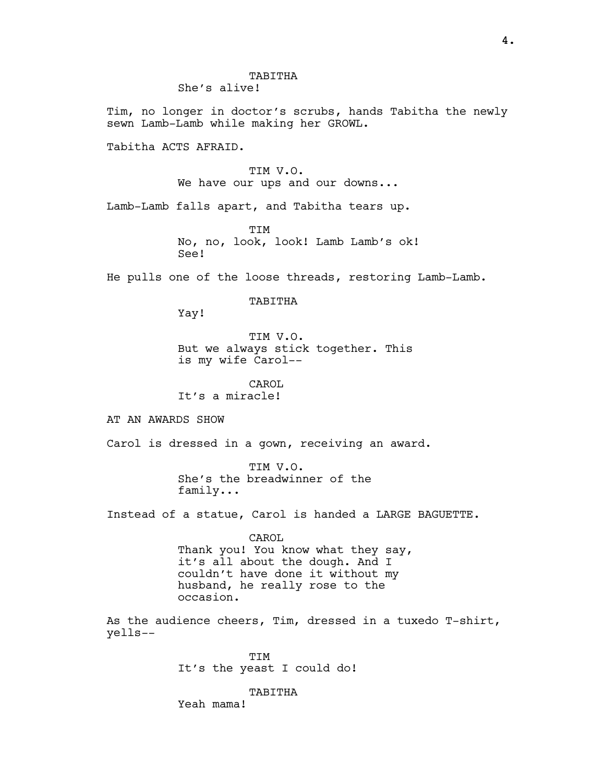She's alive!

Tim, no longer in doctor's scrubs, hands Tabitha the newly sewn Lamb-Lamb while making her GROWL.

Tabitha ACTS AFRAID.

TIM V.O. We have our ups and our downs...

Lamb-Lamb falls apart, and Tabitha tears up.

TIM No, no, look, look! Lamb Lamb's ok! See!

He pulls one of the loose threads, restoring Lamb-Lamb.

### TABITHA

Yay!

TIM V.O. But we always stick together. This is my wife Carol--

CAROL It's a miracle!

AT AN AWARDS SHOW

Carol is dressed in a gown, receiving an award.

TIM V.O. She's the breadwinner of the family...

Instead of a statue, Carol is handed a LARGE BAGUETTE.

CAROL Thank you! You know what they say, it's all about the dough. And I couldn't have done it without my husband, he really rose to the occasion.

As the audience cheers, Tim, dressed in a tuxedo T-shirt, yells--

> TIM It's the yeast I could do!

> > TABITHA

Yeah mama!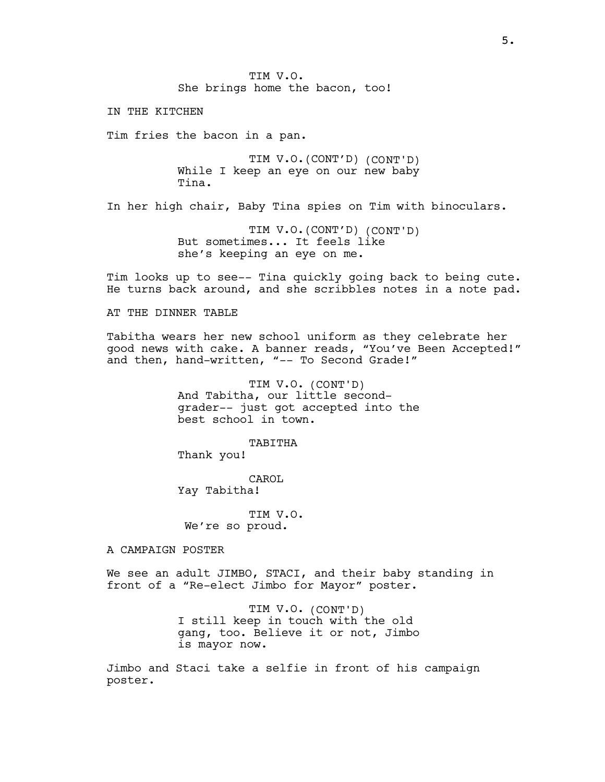TIM V.O. She brings home the bacon, too!

IN THE KITCHEN

Tim fries the bacon in a pan.

TIM V.O.(CONT'D) (CONT'D) While I keep an eye on our new baby Tina.

In her high chair, Baby Tina spies on Tim with binoculars.

TIM V.O.(CONT'D) (CONT'D) But sometimes... It feels like she's keeping an eye on me.

Tim looks up to see-- Tina quickly going back to being cute. He turns back around, and she scribbles notes in a note pad.

#### AT THE DINNER TABLE

Tabitha wears her new school uniform as they celebrate her good news with cake. A banner reads, "You've Been Accepted!" and then, hand-written, "-- To Second Grade!"

> TIM V.O. (CONT'D) And Tabitha, our little secondgrader-- just got accepted into the best school in town.

> > TABITHA

Thank you!

CAROL Yay Tabitha!

TIM V.O. We're so proud.

A CAMPAIGN POSTER

We see an adult JIMBO, STACI, and their baby standing in front of a "Re-elect Jimbo for Mayor" poster.

> TIM V.O. (CONT'D) I still keep in touch with the old gang, too. Believe it or not, Jimbo is mayor now.

Jimbo and Staci take a selfie in front of his campaign poster.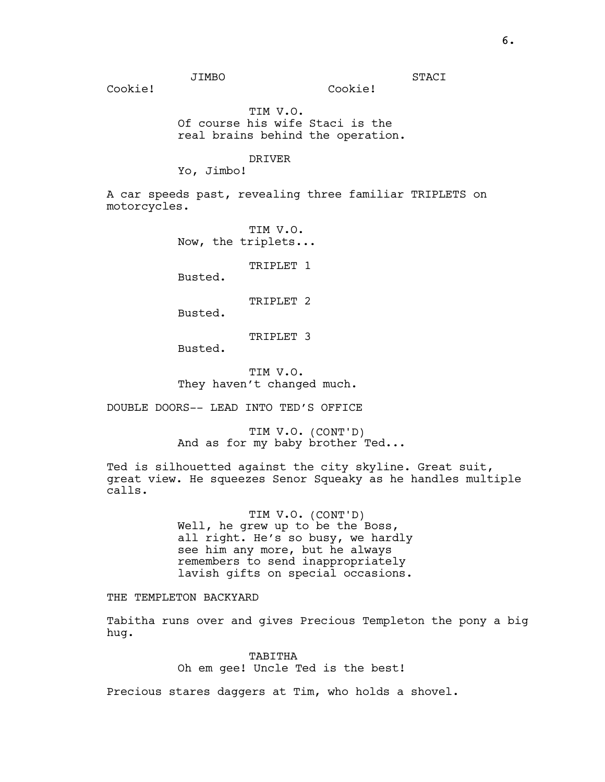Cookie!

STACI

Cookie!

TIM V.O. Of course his wife Staci is the real brains behind the operation.

#### DRIVER

Yo, Jimbo!

A car speeds past, revealing three familiar TRIPLETS on motorcycles.

> TIM V.O. Now, the triplets...

> > TRIPLET 1

Busted.

TRIPLET<sub>2</sub>

Busted.

TRIPLET 3

Busted.

TIM V.O. They haven't changed much.

DOUBLE DOORS-- LEAD INTO TED'S OFFICE

TIM V.O. (CONT'D) And as for my baby brother Ted...

Ted is silhouetted against the city skyline. Great suit, great view. He squeezes Senor Squeaky as he handles multiple calls.

> TIM V.O. (CONT'D) Well, he grew up to be the Boss, all right. He's so busy, we hardly see him any more, but he always remembers to send inappropriately lavish gifts on special occasions.

THE TEMPLETON BACKYARD

Tabitha runs over and gives Precious Templeton the pony a big hug.

> TABITHA Oh em gee! Uncle Ted is the best!

Precious stares daggers at Tim, who holds a shovel.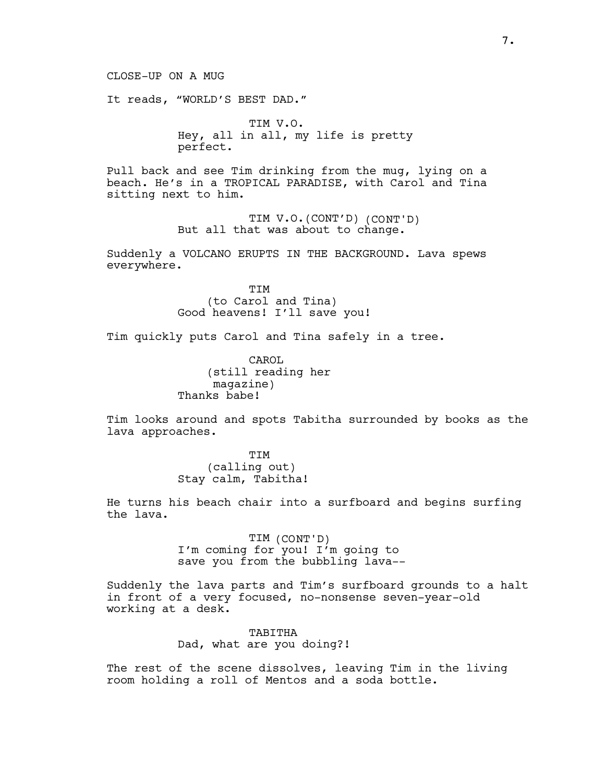It reads, "WORLD'S BEST DAD."

TIM V.O. Hey, all in all, my life is pretty perfect.

Pull back and see Tim drinking from the mug, lying on a beach. He's in a TROPICAL PARADISE, with Carol and Tina sitting next to him.

> TIM V.O.(CONT'D) (CONT'D) But all that was about to change.

Suddenly a VOLCANO ERUPTS IN THE BACKGROUND. Lava spews everywhere.

> TIM (to Carol and Tina) Good heavens! I'll save you!

Tim quickly puts Carol and Tina safely in a tree.

CAROL (still reading her magazine) Thanks babe!

Tim looks around and spots Tabitha surrounded by books as the lava approaches.

> TIM (calling out) Stay calm, Tabitha!

He turns his beach chair into a surfboard and begins surfing the lava.

> TIM (CONT'D) I'm coming for you! I'm going to save you from the bubbling lava--

Suddenly the lava parts and Tim's surfboard grounds to a halt in front of a very focused, no-nonsense seven-year-old working at a desk.

> TABITHA Dad, what are you doing?!

The rest of the scene dissolves, leaving Tim in the living room holding a roll of Mentos and a soda bottle.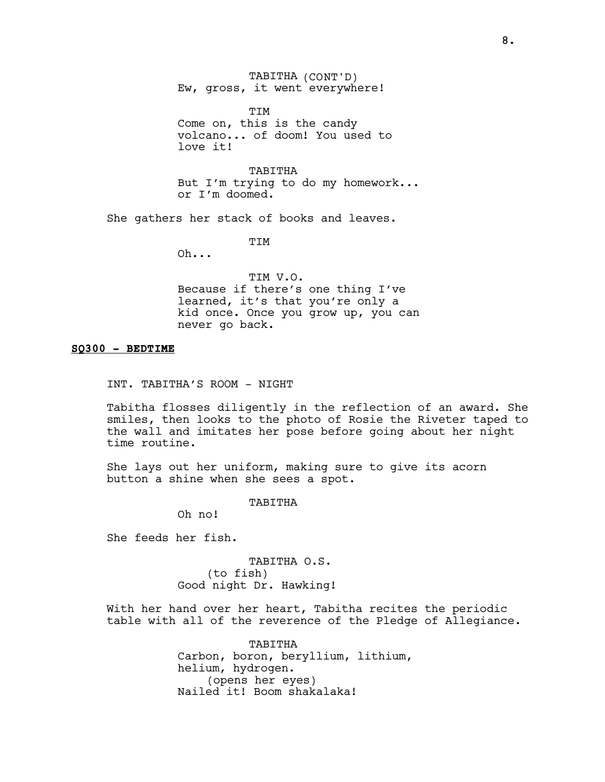TABITHA (CONT'D) Ew, gross, it went everywhere!

TIM Come on, this is the candy volcano... of doom! You used to love it!

TABITHA But I'm trying to do my homework... or I'm doomed.

She gathers her stack of books and leaves.

TIM

Oh...

TIM V.O. Because if there's one thing I've learned, it's that you're only a kid once. Once you grow up, you can never go back.

## SQ300 - BEDTIME

INT. TABITHA'S ROOM - NIGHT

Tabitha flosses diligently in the reflection of an award. She smiles, then looks to the photo of Rosie the Riveter taped to the wall and imitates her pose before going about her night time routine.

She lays out her uniform, making sure to give its acorn button a shine when she sees a spot.

TABITHA

Oh no!

She feeds her fish.

TABITHA O.S. (to fish) Good night Dr. Hawking!

With her hand over her heart, Tabitha recites the periodic table with all of the reverence of the Pledge of Allegiance.

> TABITHA Carbon, boron, beryllium, lithium, helium, hydrogen. (opens her eyes) Nailed it! Boom shakalaka!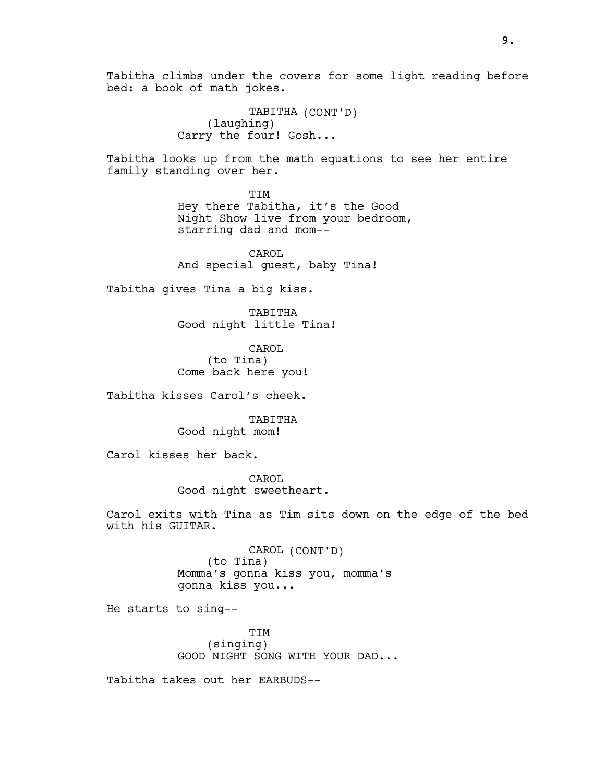Tabitha climbs under the covers for some light reading before bed: a book of math jokes.

> TABITHA (CONT'D) (laughing) Carry the four! Gosh...

Tabitha looks up from the math equations to see her entire family standing over her.

> TIM Hey there Tabitha, it's the Good Night Show live from your bedroom, starring dad and mom--

CAROL And special guest, baby Tina!

Tabitha gives Tina a big kiss.

TABITHA Good night little Tina!

CAROL (to Tina) Come back here you!

Tabitha kisses Carol's cheek.

TABITHA Good night mom!

Carol kisses her back.

CAROL Good night sweetheart.

Carol exits with Tina as Tim sits down on the edge of the bed with his GUITAR.

> CAROL (CONT'D) (to Tina) Momma's gonna kiss you, momma's gonna kiss you...

He starts to sing--

TIM (singing) GOOD NIGHT SONG WITH YOUR DAD...

Tabitha takes out her EARBUDS--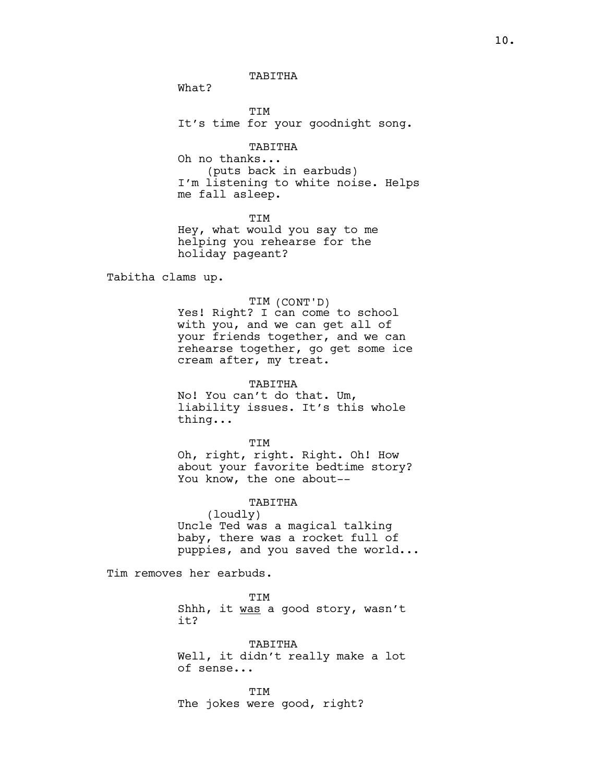TABITHA

What?

TIM It's time for your goodnight song.

TABITHA Oh no thanks... (puts back in earbuds) I'm listening to white noise. Helps me fall asleep.

TIM Hey, what would you say to me helping you rehearse for the holiday pageant?

Tabitha clams up.

### TIM (CONT'D)

Yes! Right? I can come to school with you, and we can get all of your friends together, and we can rehearse together, go get some ice cream after, my treat.

TABITHA

No! You can't do that. Um, liability issues. It's this whole thing...

TIM Oh, right, right. Right. Oh! How about your favorite bedtime story? You know, the one about--

#### TABITHA

(loudly) Uncle Ted was a magical talking baby, there was a rocket full of puppies, and you saved the world...

Tim removes her earbuds.

TIM Shhh, it was a good story, wasn't it?

TABITHA Well, it didn't really make a lot of sense...

**TTM** The jokes were good, right?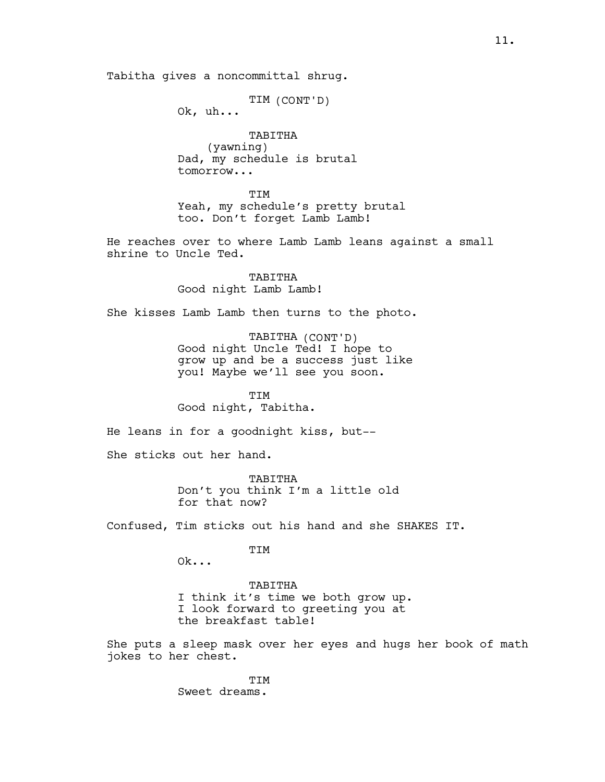Tabitha gives a noncommittal shrug.

TIM (CONT'D)

Ok, uh...

TABITHA (yawning) Dad, my schedule is brutal tomorrow...

TIM Yeah, my schedule's pretty brutal too. Don't forget Lamb Lamb!

He reaches over to where Lamb Lamb leans against a small shrine to Uncle Ted.

> TABITHA Good night Lamb Lamb!

She kisses Lamb Lamb then turns to the photo.

TABITHA (CONT'D) Good night Uncle Ted! I hope to grow up and be a success just like you! Maybe we'll see you soon.

TIM Good night, Tabitha.

He leans in for a goodnight kiss, but--

She sticks out her hand.

TABITHA Don't you think I'm a little old for that now?

Confused, Tim sticks out his hand and she SHAKES IT.

TIM

Ok...

TABITHA I think it's time we both grow up. I look forward to greeting you at

the breakfast table!

She puts a sleep mask over her eyes and hugs her book of math jokes to her chest.

> TIM Sweet dreams.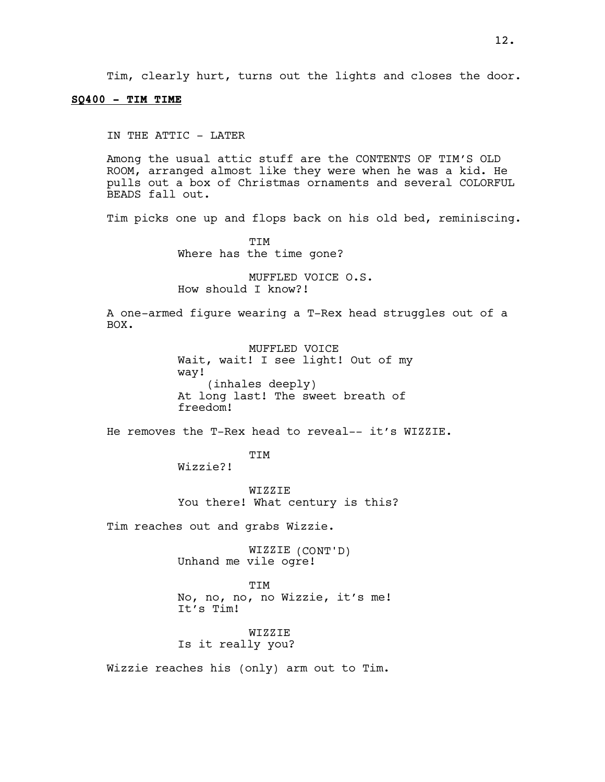#### $SQ400 - TIM$  TIME

IN THE ATTIC - LATER

Among the usual attic stuff are the CONTENTS OF TIM'S OLD ROOM, arranged almost like they were when he was a kid. He pulls out a box of Christmas ornaments and several COLORFUL BEADS fall out.

Tim picks one up and flops back on his old bed, reminiscing.

TIM Where has the time gone?

MUFFLED VOICE O.S. How should I know?!

A one-armed figure wearing a T-Rex head struggles out of a BOX.

> MUFFLED VOICE Wait, wait! I see light! Out of my way! (inhales deeply) At long last! The sweet breath of freedom!

He removes the T-Rex head to reveal-- it's WIZZIE.

TIM

Wizzie?!

WIZZIE You there! What century is this?

Tim reaches out and grabs Wizzie.

WIZZIE (CONT'D) Unhand me vile ogre!

TIM No, no, no, no Wizzie, it's me! It's Tim!

WIZZIE Is it really you?

Wizzie reaches his (only) arm out to Tim.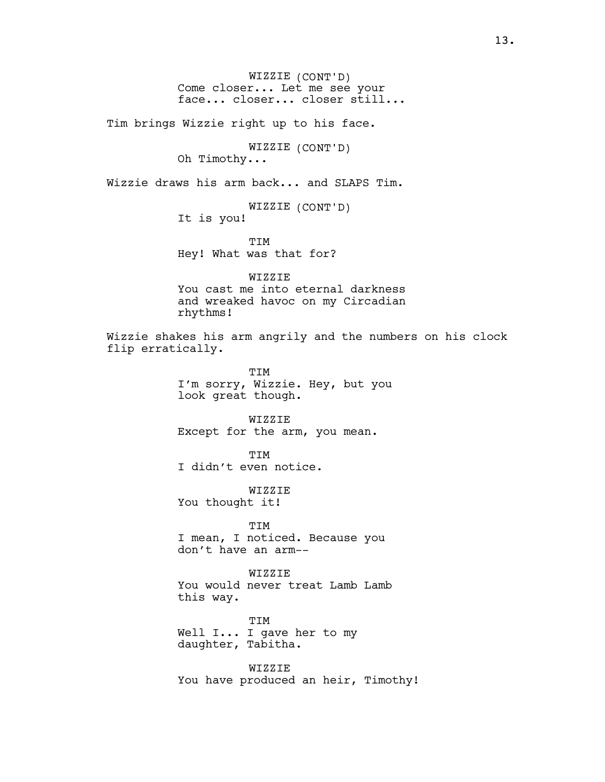WIZZIE (CONT'D) Come closer... Let me see your face... closer... closer still...

Tim brings Wizzie right up to his face.

WIZZIE (CONT'D) Oh Timothy...

Wizzie draws his arm back... and SLAPS Tim.

WIZZIE (CONT'D) It is you!

TIM Hey! What was that for?

WIZZIE You cast me into eternal darkness and wreaked havoc on my Circadian rhythms!

Wizzie shakes his arm angrily and the numbers on his clock flip erratically.

> TIM I'm sorry, Wizzie. Hey, but you look great though.

WIZZIE Except for the arm, you mean.

TIM I didn't even notice.

WIZZIE You thought it!

TIM I mean, I noticed. Because you don't have an arm--

WIZZIE You would never treat Lamb Lamb this way.

TIM Well I... I gave her to my daughter, Tabitha.

WIZZIE You have produced an heir, Timothy!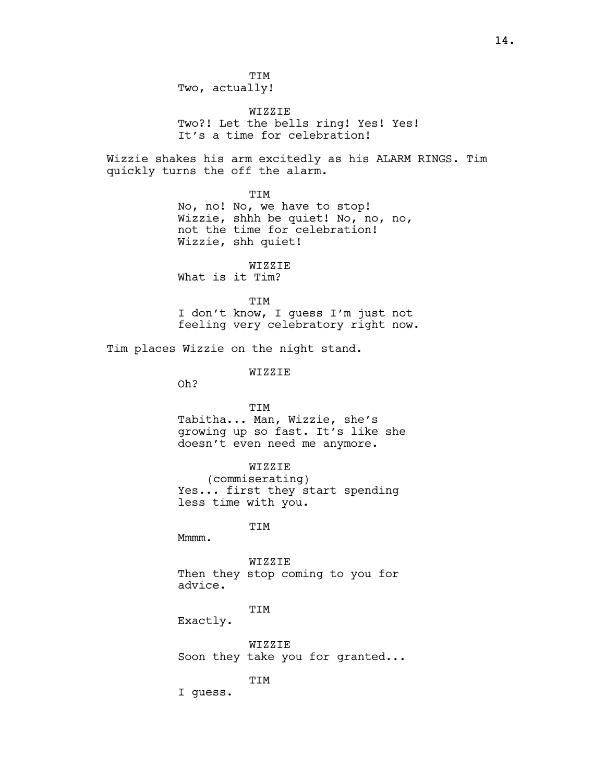WIZZIE Two?! Let the bells ring! Yes! Yes! It's a time for celebration!

Wizzie shakes his arm excitedly as his ALARM RINGS. Tim quickly turns the off the alarm.

TIM

No, no! No, we have to stop! Wizzie, shhh be quiet! No, no, no, not the time for celebration! Wizzie, shh quiet!

WIZZIE What is it Tim?

**TTM** 

I don't know, I guess I'm just not feeling very celebratory right now.

Tim places Wizzie on the night stand.

WIZZIE

Oh?

TIM

Tabitha... Man, Wizzie, she's growing up so fast. It's like she doesn't even need me anymore.

WIZZIE

(commiserating) Yes... first they start spending less time with you.

TIM

Mmmm.

WIZZIE Then they stop coming to you for advice.

TIM

Exactly.

WIZZIE Soon they take you for granted...

TIM

I guess.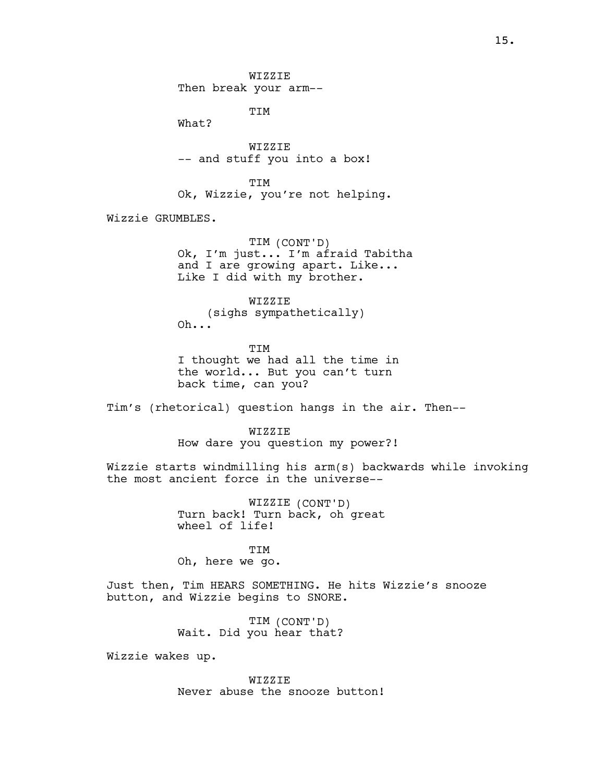WIZZIE Then break your arm--

TIM

What?

WIZZIE -- and stuff you into a box!

TIM Ok, Wizzie, you're not helping.

Wizzie GRUMBLES.

TIM (CONT'D) Ok, I'm just... I'm afraid Tabitha and I are growing apart. Like... Like I did with my brother.

**WIZZIE** (sighs sympathetically) Oh...

TIM I thought we had all the time in the world... But you can't turn back time, can you?

Tim's (rhetorical) question hangs in the air. Then--

**WIZZIE** 

How dare you question my power?!

Wizzie starts windmilling his arm(s) backwards while invoking the most ancient force in the universe--

> WIZZIE (CONT'D) Turn back! Turn back, oh great wheel of life!

> > TIM

Oh, here we go.

Just then, Tim HEARS SOMETHING. He hits Wizzie's snooze button, and Wizzie begins to SNORE.

> TIM (CONT'D) Wait. Did you hear that?

Wizzie wakes up.

WIZZIE Never abuse the snooze button!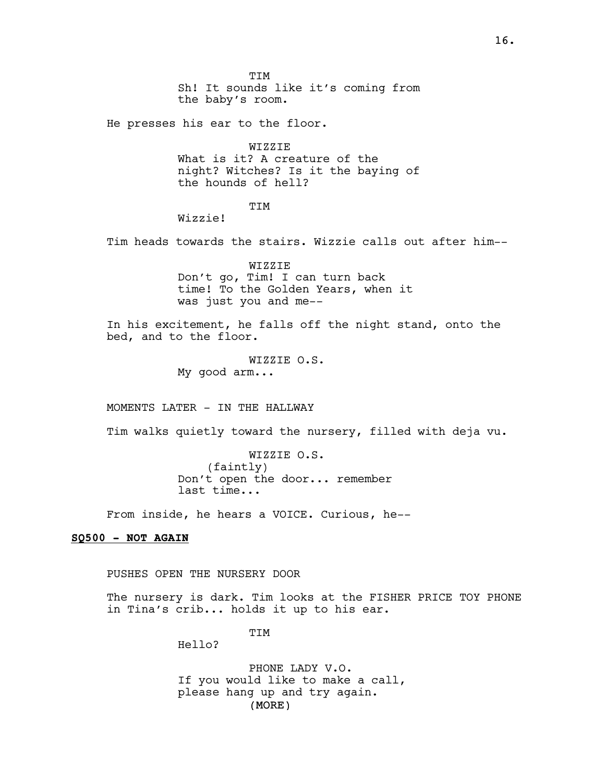TIM Sh! It sounds like it's coming from the baby's room. He presses his ear to the floor. WIZZIE What is it? A creature of the night? Witches? Is it the baying of the hounds of hell? TIM Wizzie! Tim heads towards the stairs. Wizzie calls out after him-- WIZZIE Don't go, Tim! I can turn back time! To the Golden Years, when it was just you and me-- In his excitement, he falls off the night stand, onto the bed, and to the floor. WIZZIE O.S. My good arm... MOMENTS LATER - IN THE HALLWAY Tim walks quietly toward the nursery, filled with deja vu. WIZZIE O.S. (faintly) Don't open the door... remember last time...

From inside, he hears a VOICE. Curious, he--

## SQ500 - NOT AGAIN

PUSHES OPEN THE NURSERY DOOR

The nursery is dark. Tim looks at the FISHER PRICE TOY PHONE in Tina's crib... holds it up to his ear.

TIM

Hello?

(MORE) PHONE LADY V.O. If you would like to make a call, please hang up and try again.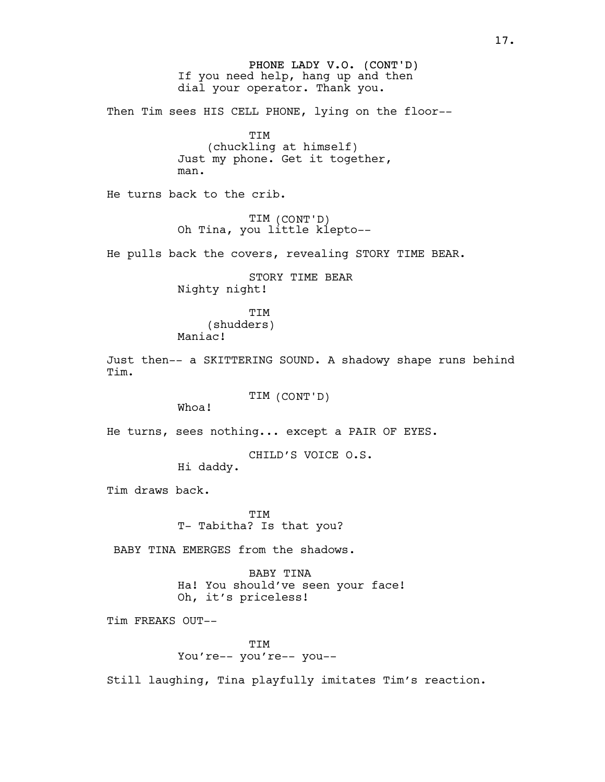PHONE LADY V.O. (CONT'D) If you need help, hang up and then dial your operator. Thank you.

Then Tim sees HIS CELL PHONE, lying on the floor--

TIM (chuckling at himself) Just my phone. Get it together, man.

He turns back to the crib.

TIM (CONT'D) Oh Tina, you little klepto--

He pulls back the covers, revealing STORY TIME BEAR.

STORY TIME BEAR Nighty night!

TIM (shudders) Maniac!

Just then-- a SKITTERING SOUND. A shadowy shape runs behind Tim.

TIM (CONT'D)

Whoa!

He turns, sees nothing... except a PAIR OF EYES.

CHILD'S VOICE O.S.

Hi daddy.

Tim draws back.

**TTM** T- Tabitha? Is that you?

BABY TINA EMERGES from the shadows.

BABY TINA Ha! You should've seen your face! Oh, it's priceless!

Tim FREAKS OUT--

**TTM** You're-- you're-- you--

Still laughing, Tina playfully imitates Tim's reaction.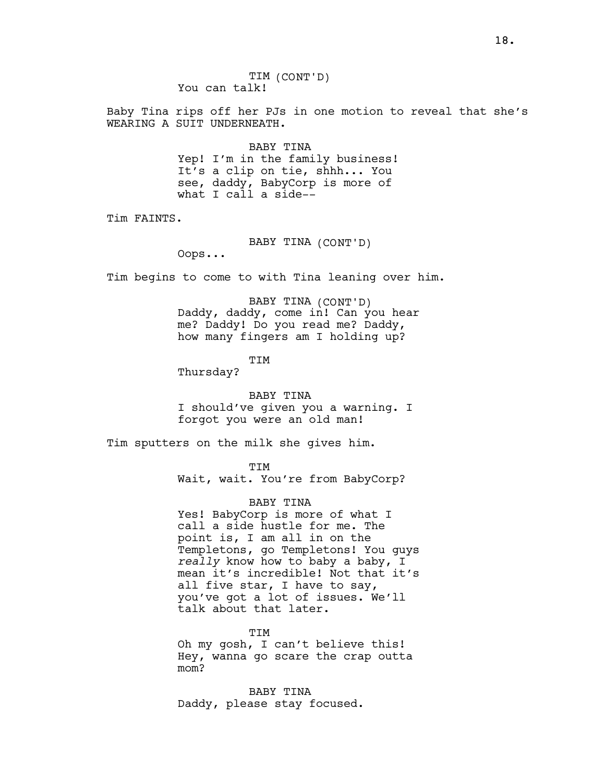Baby Tina rips off her PJs in one motion to reveal that she's WEARING A SUIT UNDERNEATH.

> BABY TINA Yep! I'm in the family business! It's a clip on tie, shhh... You see, daddy, BabyCorp is more of what I call a side--

Tim FAINTS.

BABY TINA (CONT'D)

Oops...

Tim begins to come to with Tina leaning over him.

BABY TINA (CONT'D) Daddy, daddy, come in! Can you hear me? Daddy! Do you read me? Daddy, how many fingers am I holding up?

TIM

Thursday?

BABY TINA I should've given you a warning. I forgot you were an old man!

Tim sputters on the milk she gives him.

TIM

Wait, wait. You're from BabyCorp?

BABY TINA

Yes! BabyCorp is more of what I call a side hustle for me. The point is, I am all in on the Templetons, go Templetons! You guys really know how to baby a baby, I mean it's incredible! Not that it's all five star, I have to say, you've got a lot of issues. We'll talk about that later.

TIM Oh my gosh, I can't believe this! Hey, wanna go scare the crap outta mom?

BABY TINA Daddy, please stay focused.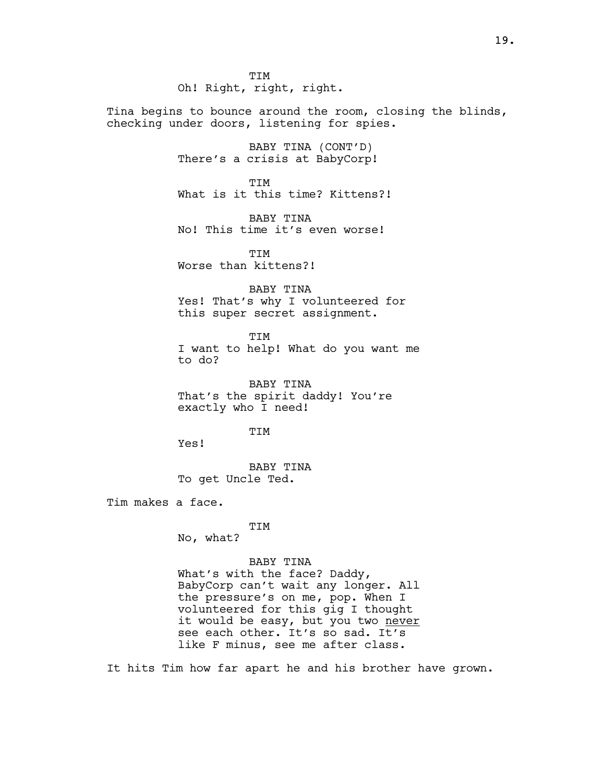TIM Oh! Right, right, right.

Tina begins to bounce around the room, closing the blinds, checking under doors, listening for spies.

> BABY TINA (CONT'D) There's a crisis at BabyCorp!

**TTM** What is it this time? Kittens?!

BABY TINA No! This time it's even worse!

**TTM** Worse than kittens?!

BABY TINA Yes! That's why I volunteered for this super secret assignment.

TIM I want to help! What do you want me to do?

BABY TINA That's the spirit daddy! You're exactly who I need!

**TTM** 

Yes!

BABY TINA To get Uncle Ted.

Tim makes a face.

### TIM

No, what?

### BABY TINA

What's with the face? Daddy, BabyCorp can't wait any longer. All the pressure's on me, pop. When I volunteered for this gig I thought it would be easy, but you two never see each other. It's so sad. It's like F minus, see me after class.

It hits Tim how far apart he and his brother have grown.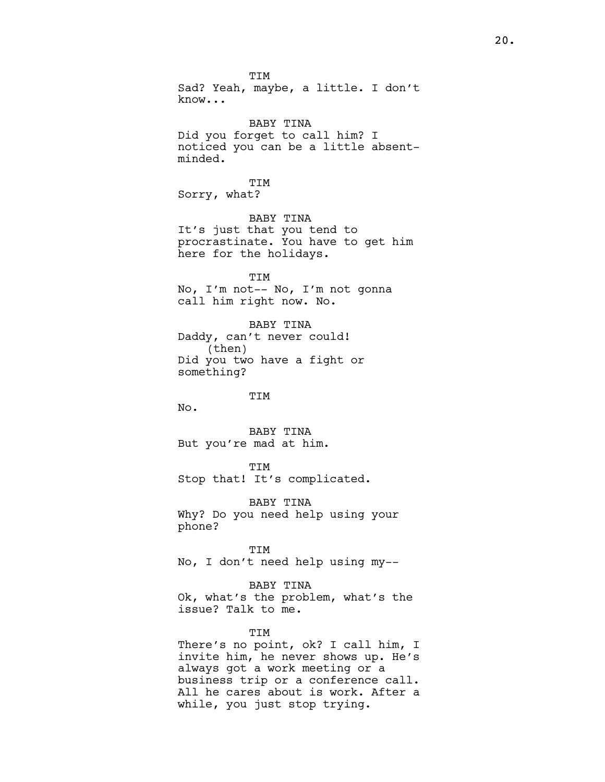TIM Sad? Yeah, maybe, a little. I don't know... BABY TINA Did you forget to call him? I noticed you can be a little absentminded. TIM Sorry, what? BABY TINA It's just that you tend to procrastinate. You have to get him here for the holidays. TIM No, I'm not-- No, I'm not gonna call him right now. No. BABY TINA Daddy, can't never could! (then) Did you two have a fight or something? TIM No. BABY TINA But you're mad at him. TIM Stop that! It's complicated. BABY TINA Why? Do you need help using your phone? TIM No, I don't need help using my-- BABY TINA Ok, what's the problem, what's the issue? Talk to me. TIM There's no point, ok? I call him, I invite him, he never shows up. He's always got a work meeting or a business trip or a conference call.

All he cares about is work. After a

while, you just stop trying.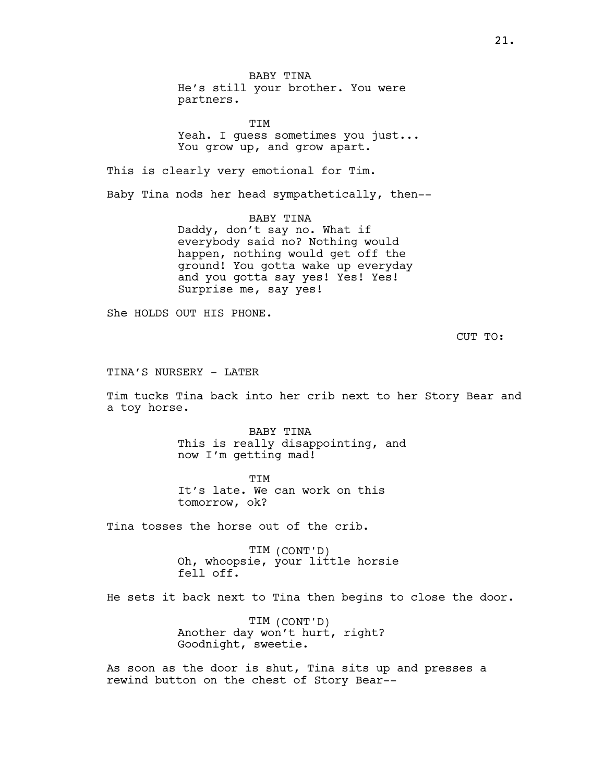BABY TINA He's still your brother. You were partners.

TIM Yeah. I guess sometimes you just... You grow up, and grow apart.

This is clearly very emotional for Tim.

Baby Tina nods her head sympathetically, then--

BABY TINA Daddy, don't say no. What if everybody said no? Nothing would happen, nothing would get off the ground! You gotta wake up everyday and you gotta say yes! Yes! Yes! Surprise me, say yes!

She HOLDS OUT HIS PHONE.

CUT TO:

TINA'S NURSERY - LATER

Tim tucks Tina back into her crib next to her Story Bear and a toy horse.

> BABY TINA This is really disappointing, and now I'm getting mad!

**TTM** It's late. We can work on this tomorrow, ok?

Tina tosses the horse out of the crib.

TIM (CONT'D) Oh, whoopsie, your little horsie fell off.

He sets it back next to Tina then begins to close the door.

TIM (CONT'D) Another day won't hurt, right? Goodnight, sweetie.

As soon as the door is shut, Tina sits up and presses a rewind button on the chest of Story Bear--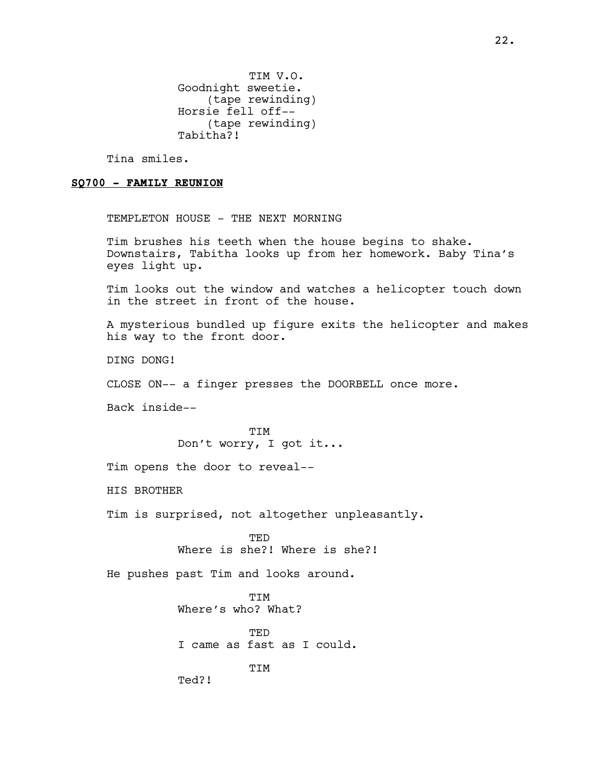TIM V.O. Goodnight sweetie. (tape rewinding) Horsie fell off-- (tape rewinding) Tabitha?!

Tina smiles.

#### SQ700 - FAMILY REUNION

TEMPLETON HOUSE - THE NEXT MORNING

Tim brushes his teeth when the house begins to shake. Downstairs, Tabitha looks up from her homework. Baby Tina's eyes light up.

Tim looks out the window and watches a helicopter touch down in the street in front of the house.

A mysterious bundled up figure exits the helicopter and makes his way to the front door.

DING DONG!

CLOSE ON-- a finger presses the DOORBELL once more.

Back inside--

**TTM** Don't worry, I got it...

Tim opens the door to reveal--

HIS BROTHER

Tim is surprised, not altogether unpleasantly.

TED Where is she?! Where is she?!

He pushes past Tim and looks around.

TIM Where's who? What?

TED I came as fast as I could.

TIM

Ted?!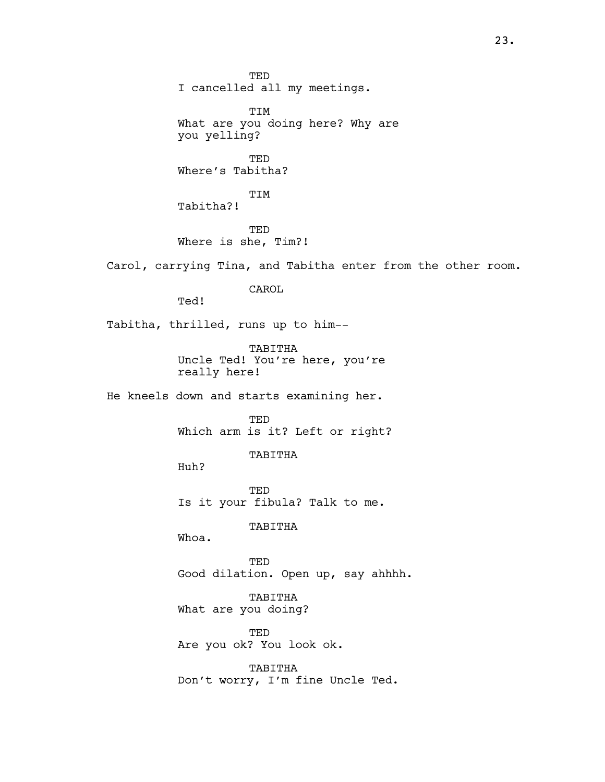TED I cancelled all my meetings. TIM What are you doing here? Why are you yelling? TED Where's Tabitha? TIM Tabitha?! TED Where is she, Tim?! Carol, carrying Tina, and Tabitha enter from the other room. CAROL Ted! Tabitha, thrilled, runs up to him-- TABITHA Uncle Ted! You're here, you're really here! He kneels down and starts examining her. TED Which arm is it? Left or right? TABITHA Huh? TED Is it your fibula? Talk to me. TABITHA Whoa. TED Good dilation. Open up, say ahhhh. TABITHA What are you doing? TED Are you ok? You look ok. TABITHA Don't worry, I'm fine Uncle Ted.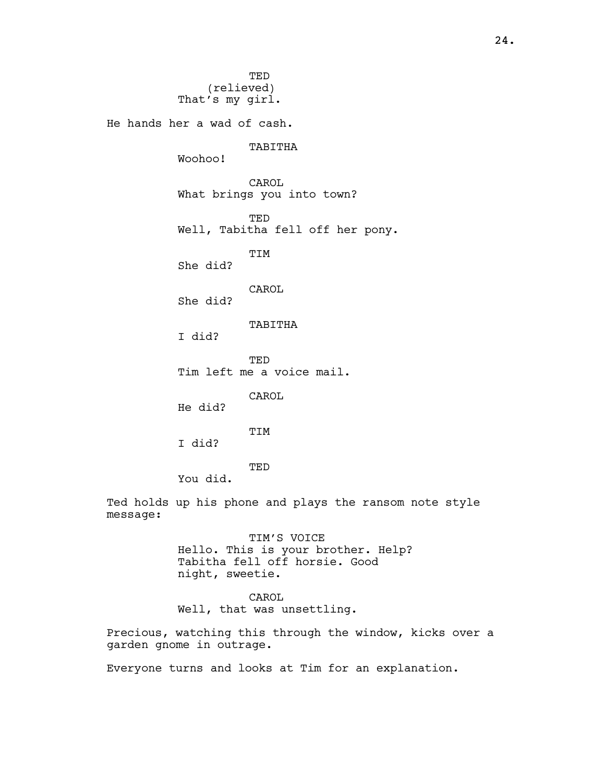TED (relieved) That's my girl. He hands her a wad of cash. TABITHA Woohoo! CAROL What brings you into town? TED Well, Tabitha fell off her pony. TIM She did? CAROL She did? TABITHA I did? TED Tim left me a voice mail. CAROL He did? **TTM** I did? TED You did.

Ted holds up his phone and plays the ransom note style message:

> TIM'S VOICE Hello. This is your brother. Help? Tabitha fell off horsie. Good night, sweetie.

# CAROL

Well, that was unsettling.

Precious, watching this through the window, kicks over a garden gnome in outrage.

Everyone turns and looks at Tim for an explanation.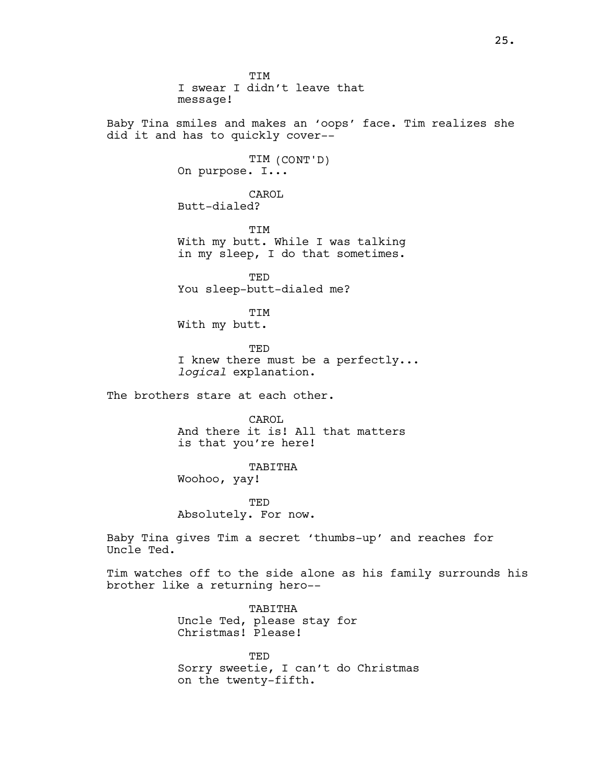TIM I swear I didn't leave that message! Baby Tina smiles and makes an 'oops' face. Tim realizes she did it and has to quickly cover-- TIM (CONT'D) On purpose. I... CAROL Butt-dialed? TIM With my butt. While I was talking in my sleep, I do that sometimes. TED You sleep-butt-dialed me? TIM With my butt. TED I knew there must be a perfectly... logical explanation. The brothers stare at each other. CAROL And there it is! All that matters is that you're here! TABITHA Woohoo, yay! TED Absolutely. For now. Baby Tina gives Tim a secret 'thumbs-up' and reaches for Uncle Ted. Tim watches off to the side alone as his family surrounds his brother like a returning hero-- TABITHA Uncle Ted, please stay for Christmas! Please!

> TED Sorry sweetie, I can't do Christmas on the twenty-fifth.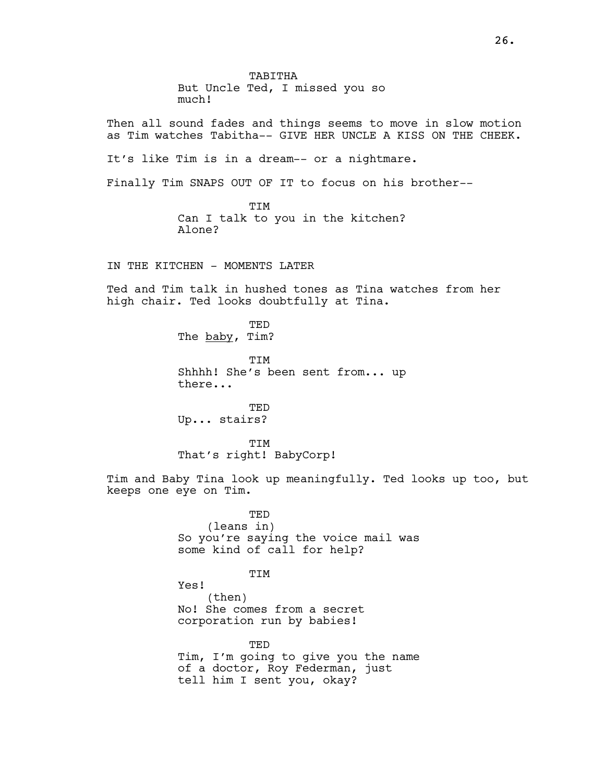TABITHA But Uncle Ted, I missed you so much!

Then all sound fades and things seems to move in slow motion as Tim watches Tabitha-- GIVE HER UNCLE A KISS ON THE CHEEK.

It's like Tim is in a dream-- or a nightmare.

Finally Tim SNAPS OUT OF IT to focus on his brother--

TIM Can I talk to you in the kitchen? Alone?

IN THE KITCHEN - MOMENTS LATER

Ted and Tim talk in hushed tones as Tina watches from her high chair. Ted looks doubtfully at Tina.

> TED The baby, Tim? TIM Shhhh! She's been sent from... up there...

TED Up... stairs?

**TTM** That's right! BabyCorp!

Tim and Baby Tina look up meaningfully. Ted looks up too, but keeps one eye on Tim.

> TED (leans in) So you're saying the voice mail was some kind of call for help?

### TIM

Yes! (then) No! She comes from a secret corporation run by babies!

TED Tim, I'm going to give you the name of a doctor, Roy Federman, just tell him I sent you, okay?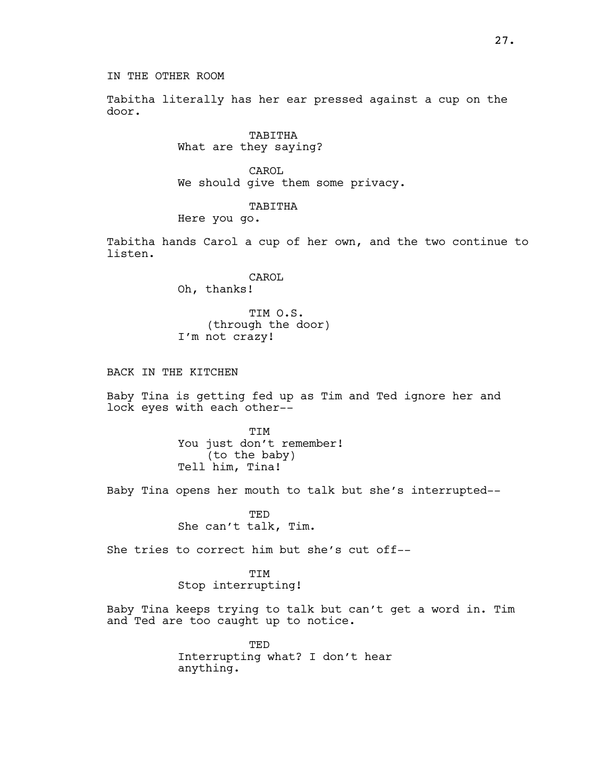Tabitha literally has her ear pressed against a cup on the door.

> TABITHA What are they saying?

CAROL. We should give them some privacy.

#### TABITHA

Here you go.

Tabitha hands Carol a cup of her own, and the two continue to listen.

> CAROL Oh, thanks!

TIM O.S. (through the door) I'm not crazy!

BACK IN THE KITCHEN

Baby Tina is getting fed up as Tim and Ted ignore her and lock eyes with each other--

> **TTM** You just don't remember! (to the baby) Tell him, Tina!

Baby Tina opens her mouth to talk but she's interrupted--

TED She can't talk, Tim.

She tries to correct him but she's cut off--

TIM Stop interrupting!

Baby Tina keeps trying to talk but can't get a word in. Tim and Ted are too caught up to notice.

> TED Interrupting what? I don't hear anything.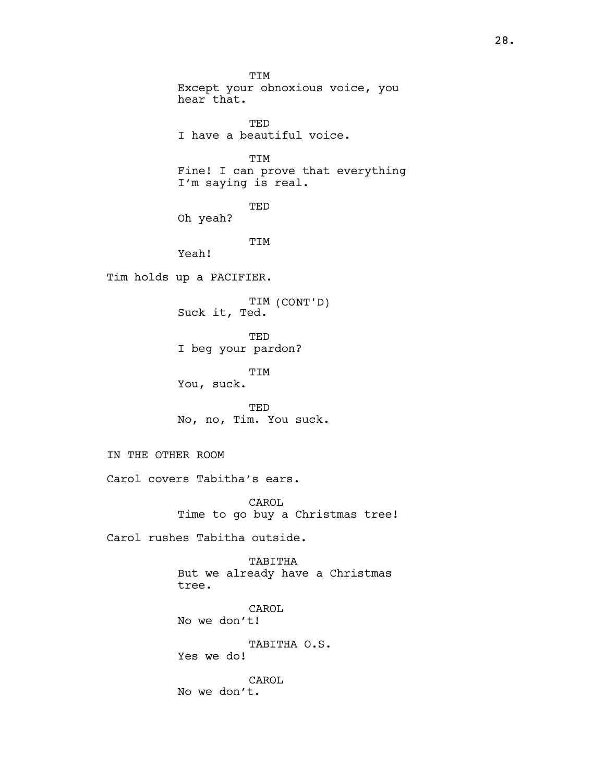TIM Except your obnoxious voice, you hear that. TED I have a beautiful voice. TIM Fine! I can prove that everything I'm saying is real. TED Oh yeah? TIM Yeah! Tim holds up a PACIFIER. TIM (CONT'D) Suck it, Ted. TED I beg your pardon? TIM You, suck. TED No, no, Tim. You suck. IN THE OTHER ROOM Carol covers Tabitha's ears. CAROL Time to go buy a Christmas tree! Carol rushes Tabitha outside. TABITHA But we already have a Christmas tree. CAROL No we don't! TABITHA O.S. Yes we do! CAROL No we don't.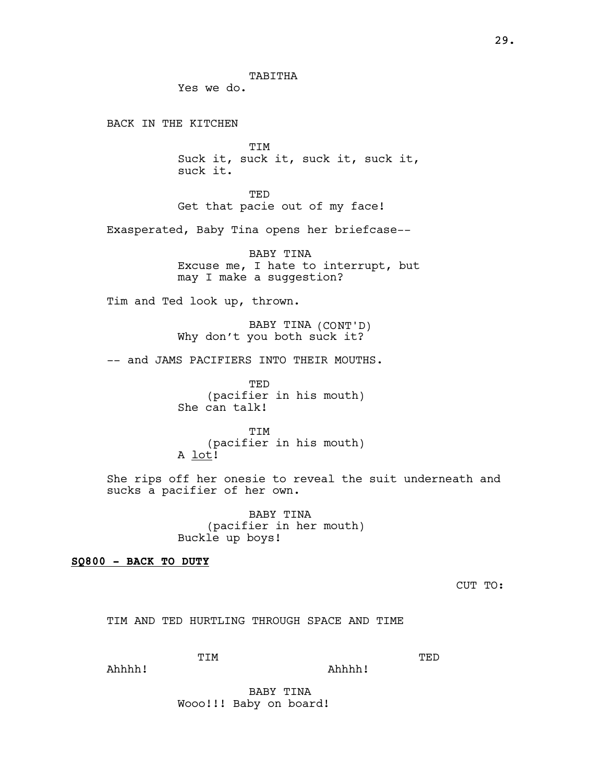Yes we do.

BACK IN THE KITCHEN

TIM Suck it, suck it, suck it, suck it, suck it.

**TED** Get that pacie out of my face!

Exasperated, Baby Tina opens her briefcase--

BABY TINA Excuse me, I hate to interrupt, but may I make a suggestion?

Tim and Ted look up, thrown.

BABY TINA (CONT'D) Why don't you both suck it?

-- and JAMS PACIFIERS INTO THEIR MOUTHS.

TED (pacifier in his mouth) She can talk!

**TTM** (pacifier in his mouth) A lot!

She rips off her onesie to reveal the suit underneath and sucks a pacifier of her own.

> BABY TINA (pacifier in her mouth) Buckle up boys!

### SQ800 - BACK TO DUTY

CUT TO:

TED

TIM AND TED HURTLING THROUGH SPACE AND TIME

Ahhhh!

Ahhhh!

BABY TINA Wooo!!! Baby on board!

TIM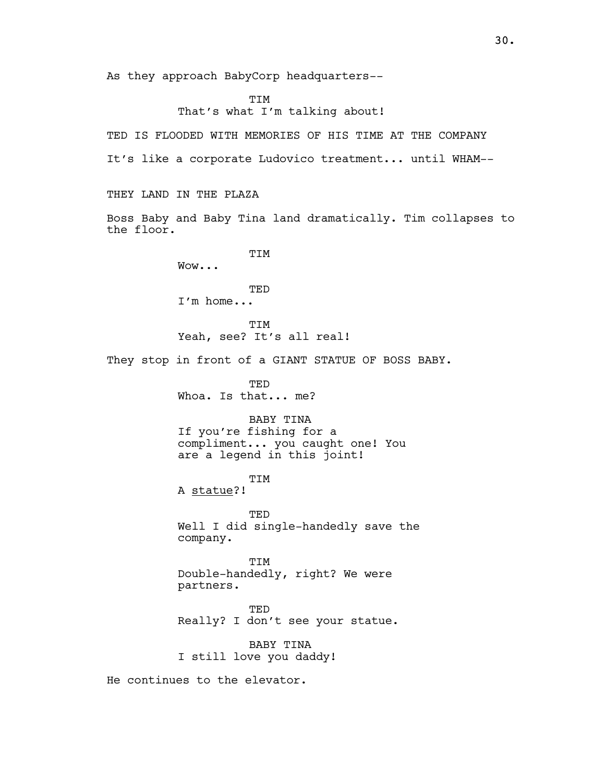As they approach BabyCorp headquarters--

TIM That's what I'm talking about!

TED IS FLOODED WITH MEMORIES OF HIS TIME AT THE COMPANY

It's like a corporate Ludovico treatment... until WHAM--

THEY LAND IN THE PLAZA

Boss Baby and Baby Tina land dramatically. Tim collapses to the floor.

> **TTM** Wow...

TED I'm home...

TIM Yeah, see? It's all real!

They stop in front of a GIANT STATUE OF BOSS BABY.

TED Whoa. Is that... me?

BABY TINA If you're fishing for a compliment... you caught one! You are a legend in this joint!

TIM A statue?!

TED Well I did single-handedly save the company.

**THU** Double-handedly, right? We were partners.

TED Really? I don't see your statue.

BABY TINA I still love you daddy!

He continues to the elevator.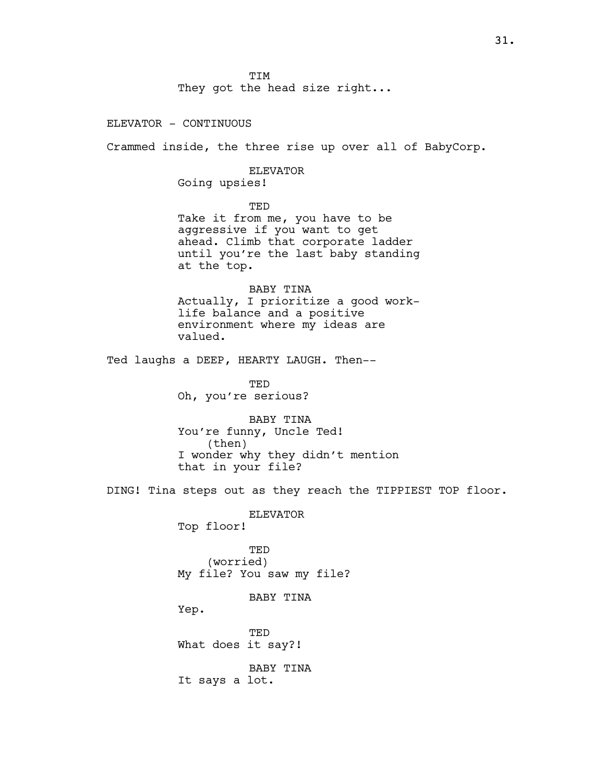TIM They got the head size right...

ELEVATOR - CONTINUOUS

Crammed inside, the three rise up over all of BabyCorp.

ELEVATOR Going upsies!

TED Take it from me, you have to be aggressive if you want to get ahead. Climb that corporate ladder until you're the last baby standing at the top.

BABY TINA Actually, I prioritize a good worklife balance and a positive environment where my ideas are valued.

Ted laughs a DEEP, HEARTY LAUGH. Then--

TED Oh, you're serious?

BABY TINA You're funny, Uncle Ted! (then) I wonder why they didn't mention that in your file?

DING! Tina steps out as they reach the TIPPIEST TOP floor.

ELEVATOR Top floor!

TED (worried) My file? You saw my file?

BABY TINA

Yep.

TED What does it say?!

BABY TINA It says a lot.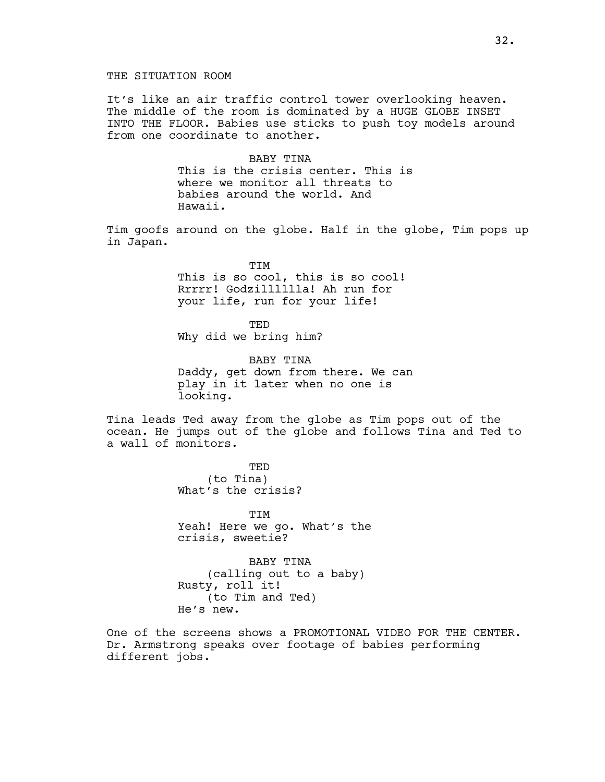### THE SITUATION ROOM

It's like an air traffic control tower overlooking heaven. The middle of the room is dominated by a HUGE GLOBE INSET INTO THE FLOOR. Babies use sticks to push toy models around from one coordinate to another.

> BABY TINA This is the crisis center. This is where we monitor all threats to babies around the world. And Hawaii.

Tim goofs around on the globe. Half in the globe, Tim pops up in Japan.

> TIM This is so cool, this is so cool! Rrrrr! Godzilllllla! Ah run for your life, run for your life!

TED Why did we bring him?

BABY TINA Daddy, get down from there. We can play in it later when no one is looking.

Tina leads Ted away from the globe as Tim pops out of the ocean. He jumps out of the globe and follows Tina and Ted to a wall of monitors.

> TED (to Tina) What's the crisis?

**TTM** Yeah! Here we go. What's the crisis, sweetie?

BABY TINA (calling out to a baby) Rusty, roll it! (to Tim and Ted) He's new.

One of the screens shows a PROMOTIONAL VIDEO FOR THE CENTER. Dr. Armstrong speaks over footage of babies performing different jobs.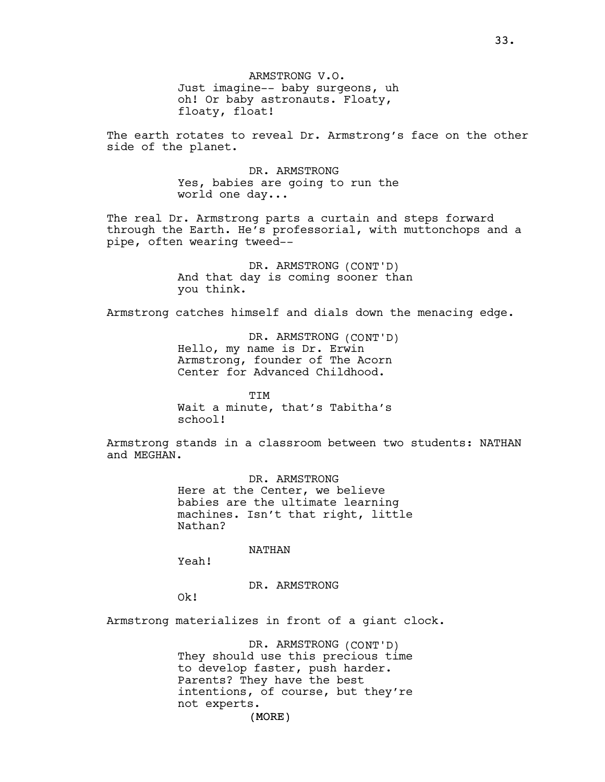ARMSTRONG V.O. Just imagine-- baby surgeons, uh oh! Or baby astronauts. Floaty, floaty, float!

The earth rotates to reveal Dr. Armstrong's face on the other side of the planet.

> DR. ARMSTRONG Yes, babies are going to run the world one day...

The real Dr. Armstrong parts a curtain and steps forward through the Earth. He's professorial, with muttonchops and a pipe, often wearing tweed--

> DR. ARMSTRONG (CONT'D) And that day is coming sooner than you think.

Armstrong catches himself and dials down the menacing edge.

DR. ARMSTRONG (CONT'D) Hello, my name is Dr. Erwin Armstrong, founder of The Acorn Center for Advanced Childhood.

TIM Wait a minute, that's Tabitha's school!

Armstrong stands in a classroom between two students: NATHAN and MEGHAN.

> DR. ARMSTRONG Here at the Center, we believe babies are the ultimate learning machines. Isn't that right, little Nathan?

> > NATHAN

Yeah!

DR. ARMSTRONG

Ok!

Armstrong materializes in front of a giant clock.

DR. ARMSTRONG (CONT'D) They should use this precious time to develop faster, push harder. Parents? They have the best intentions, of course, but they're not experts.

(MORE)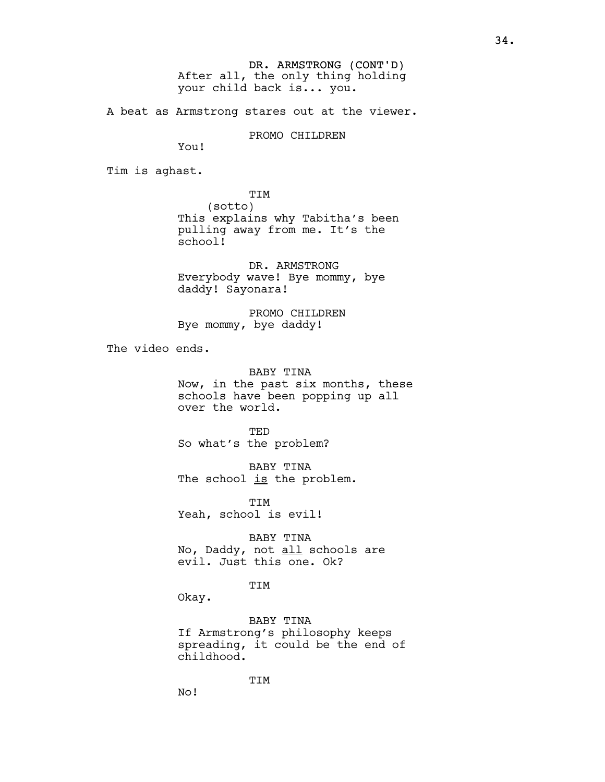DR. ARMSTRONG (CONT'D) After all, the only thing holding your child back is... you.

A beat as Armstrong stares out at the viewer.

PROMO CHILDREN

You!

Tim is aghast.

TIM (sotto) This explains why Tabitha's been pulling away from me. It's the school!

DR. ARMSTRONG Everybody wave! Bye mommy, bye daddy! Sayonara!

PROMO CHILDREN Bye mommy, bye daddy!

The video ends.

BABY TINA Now, in the past six months, these schools have been popping up all over the world.

TED So what's the problem?

BABY TINA The school is the problem.

TIM Yeah, school is evil!

BABY TINA No, Daddy, not all schools are evil. Just this one. Ok?

### TIM

Okay.

BABY TINA If Armstrong's philosophy keeps spreading, it could be the end of childhood.

TIM

No!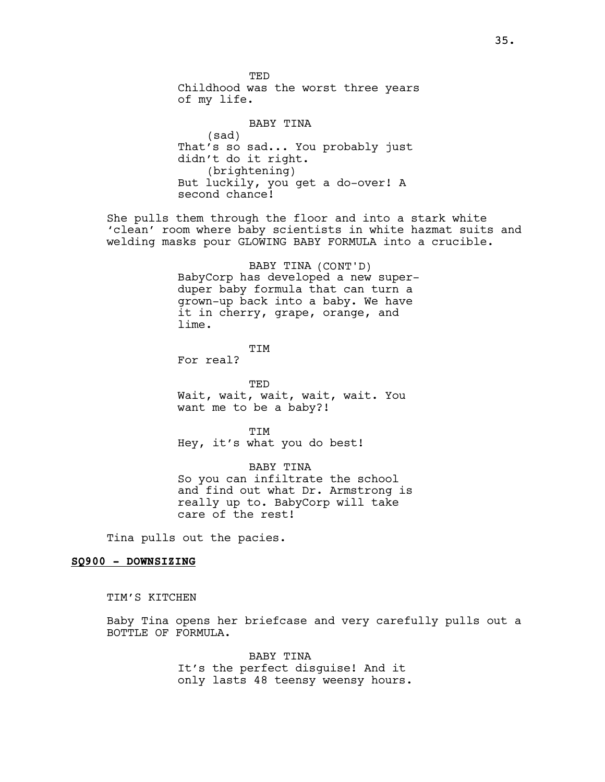**TED** Childhood was the worst three years of my life. BABY TINA (sad) That's so sad... You probably just didn't do it right. (brightening) But luckily, you get a do-over! A second chance! She pulls them through the floor and into a stark white 'clean' room where baby scientists in white hazmat suits and welding masks pour GLOWING BABY FORMULA into a crucible. BABY TINA (CONT'D) BabyCorp has developed a new superduper baby formula that can turn a grown-up back into a baby. We have it in cherry, grape, orange, and lime. TIM For real? TED Wait, wait, wait, wait, wait. You want me to be a baby?! TTM Hey, it's what you do best! BABY TINA So you can infiltrate the school and find out what Dr. Armstrong is really up to. BabyCorp will take care of the rest! Tina pulls out the pacies. SQ900 - DOWNSIZING TIM'S KITCHEN

Baby Tina opens her briefcase and very carefully pulls out a BOTTLE OF FORMULA.

> BABY TINA It's the perfect disguise! And it only lasts 48 teensy weensy hours.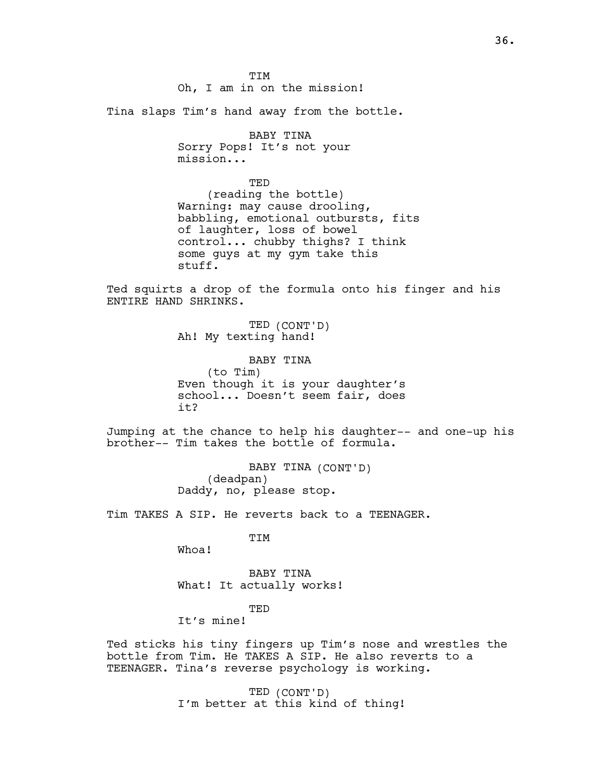TIM Oh, I am in on the mission!

Tina slaps Tim's hand away from the bottle.

BABY TINA Sorry Pops! It's not your mission...

TED (reading the bottle) Warning: may cause drooling, babbling, emotional outbursts, fits of laughter, loss of bowel control... chubby thighs? I think some guys at my gym take this stuff.

Ted squirts a drop of the formula onto his finger and his ENTIRE HAND SHRINKS.

> TED (CONT'D) Ah! My texting hand!

BABY TINA (to Tim) Even though it is your daughter's school... Doesn't seem fair, does it?

Jumping at the chance to help his daughter-- and one-up his brother-- Tim takes the bottle of formula.

> BABY TINA (CONT'D) (deadpan) Daddy, no, please stop.

Tim TAKES A SIP. He reverts back to a TEENAGER.

TIM

Whoa!

BABY TINA What! It actually works!

TED

It's mine!

Ted sticks his tiny fingers up Tim's nose and wrestles the bottle from Tim. He TAKES A SIP. He also reverts to a TEENAGER. Tina's reverse psychology is working.

> TED (CONT'D) I'm better at this kind of thing!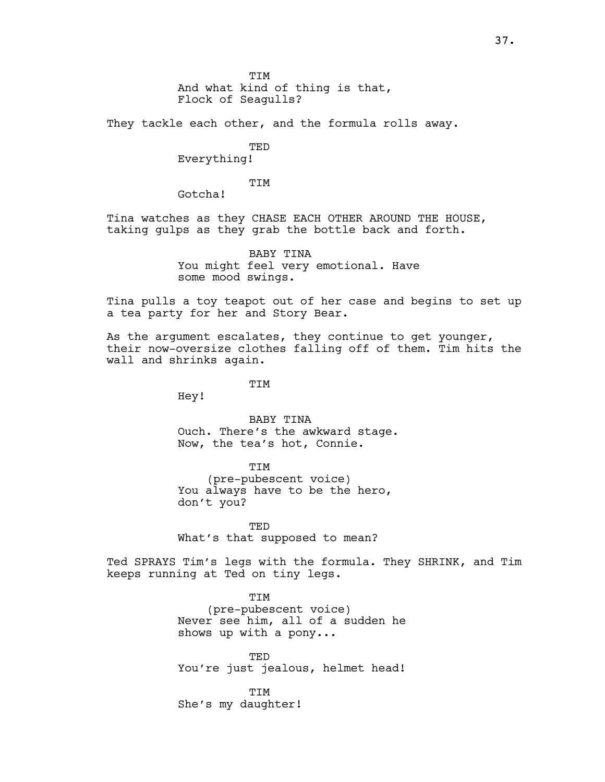TIM And what kind of thing is that, Flock of Seagulls?

They tackle each other, and the formula rolls away.

TED

Everything!

TIM

Gotcha!

Tina watches as they CHASE EACH OTHER AROUND THE HOUSE, taking gulps as they grab the bottle back and forth.

> BABY TINA You might feel very emotional. Have some mood swings.

Tina pulls a toy teapot out of her case and begins to set up a tea party for her and Story Bear.

As the argument escalates, they continue to get younger, their now-oversize clothes falling off of them. Tim hits the wall and shrinks again.

**TTM** 

Hey!

BABY TINA Ouch. There's the awkward stage. Now, the tea's hot, Connie.

TIM (pre-pubescent voice) You always have to be the hero, don't you?

TED What's that supposed to mean?

Ted SPRAYS Tim's legs with the formula. They SHRINK, and Tim keeps running at Ted on tiny legs.

> TIM (pre-pubescent voice) Never see him, all of a sudden he shows up with a pony...

> **TED** You're just jealous, helmet head!

**TTM** She's my daughter!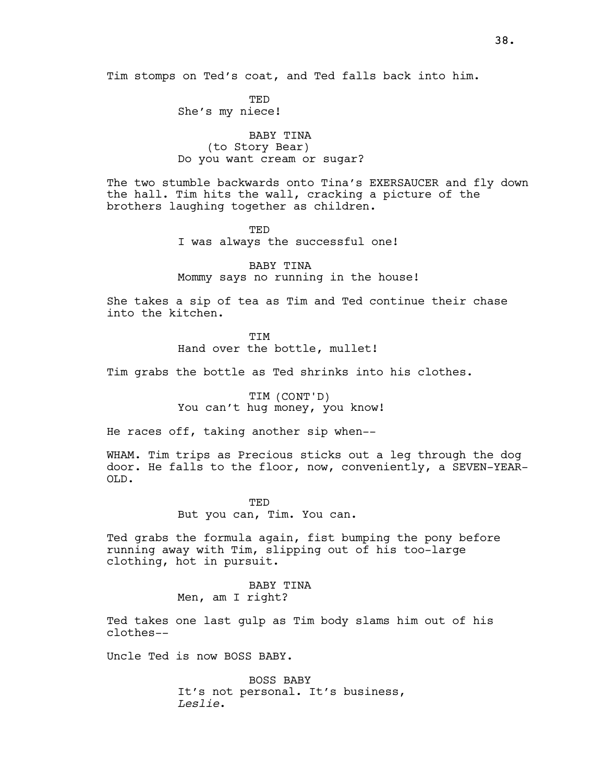Tim stomps on Ted's coat, and Ted falls back into him.

TED She's my niece!

BABY TINA (to Story Bear) Do you want cream or sugar?

The two stumble backwards onto Tina's EXERSAUCER and fly down the hall. Tim hits the wall, cracking a picture of the brothers laughing together as children.

> TED I was always the successful one!

BABY TINA Mommy says no running in the house!

She takes a sip of tea as Tim and Ted continue their chase into the kitchen.

> **TTM** Hand over the bottle, mullet!

Tim grabs the bottle as Ted shrinks into his clothes.

TIM (CONT'D) You can't hug money, you know!

He races off, taking another sip when--

WHAM. Tim trips as Precious sticks out a leg through the dog door. He falls to the floor, now, conveniently, a SEVEN-YEAR-OLD.

> TED But you can, Tim. You can.

Ted grabs the formula again, fist bumping the pony before running away with Tim, slipping out of his too-large clothing, hot in pursuit.

> BABY TINA Men, am I right?

Ted takes one last gulp as Tim body slams him out of his clothes--

Uncle Ted is now BOSS BABY.

BOSS BABY It's not personal. It's business, Leslie.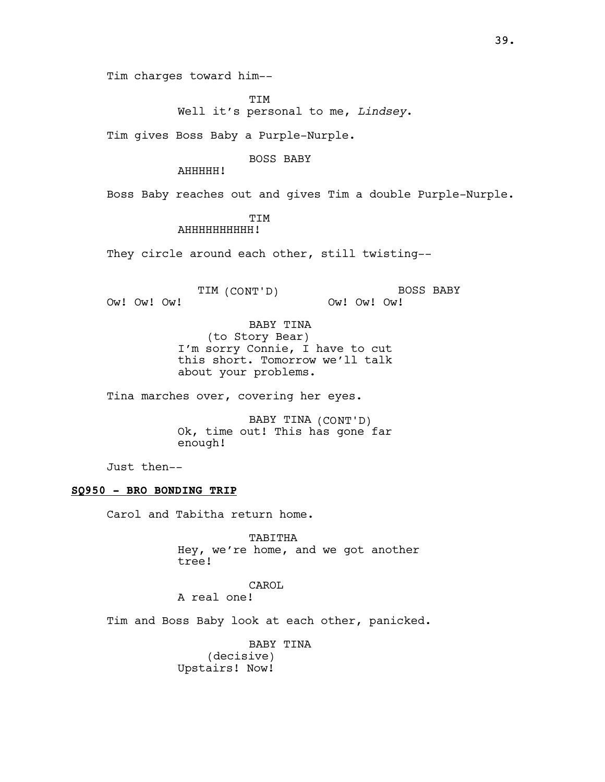Tim charges toward him--

TIM Well it's personal to me, Lindsey.

Tim gives Boss Baby a Purple-Nurple.

BOSS BABY

AHHHHH!

Boss Baby reaches out and gives Tim a double Purple-Nurple.

# TIM

### AHHHHHHHHHH!

They circle around each other, still twisting--

TIM (CONT'D)

BOSS BABY Ow! Ow! Ow!

Ow! Ow! Ow!

BABY TINA (to Story Bear) I'm sorry Connie, I have to cut this short. Tomorrow we'll talk about your problems.

Tina marches over, covering her eyes.

BABY TINA (CONT'D) Ok, time out! This has gone far enough!

Just then--

### SQ950 - BRO BONDING TRIP

Carol and Tabitha return home.

TABITHA Hey, we're home, and we got another tree!

CAROL A real one!

Tim and Boss Baby look at each other, panicked.

BABY TINA (decisive) Upstairs! Now!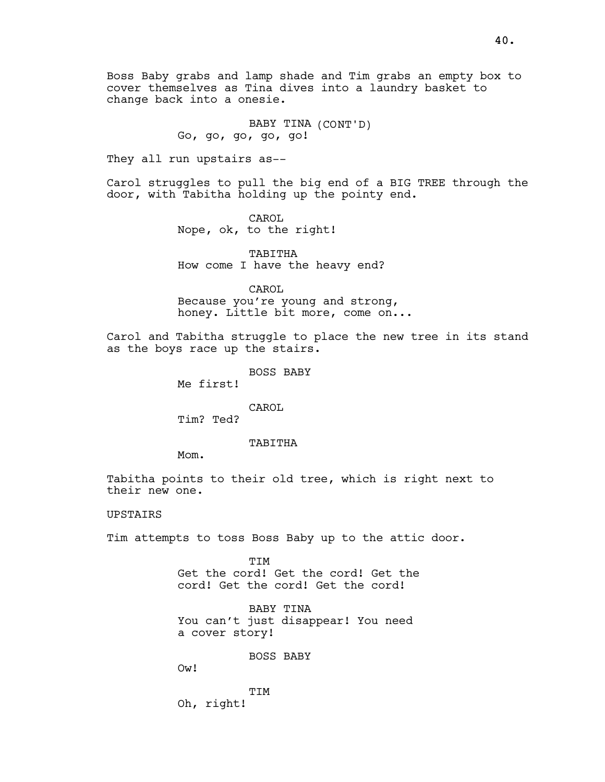Boss Baby grabs and lamp shade and Tim grabs an empty box to cover themselves as Tina dives into a laundry basket to change back into a onesie.

> BABY TINA (CONT'D) Go, go, go, go, go!

They all run upstairs as--

Carol struggles to pull the big end of a BIG TREE through the door, with Tabitha holding up the pointy end.

> CAROL Nope, ok, to the right!

TABITHA How come I have the heavy end?

CAROL

Because you're young and strong, honey. Little bit more, come on...

Carol and Tabitha struggle to place the new tree in its stand as the boys race up the stairs.

BOSS BABY

Me first!

CAROL

Tim? Ted?

### TABITHA

Mom.

Tabitha points to their old tree, which is right next to their new one.

# UPSTAIRS

Tim attempts to toss Boss Baby up to the attic door.

TIM Get the cord! Get the cord! Get the cord! Get the cord! Get the cord!

BABY TINA You can't just disappear! You need a cover story!

BOSS BABY

Ow!

**TTM** Oh, right!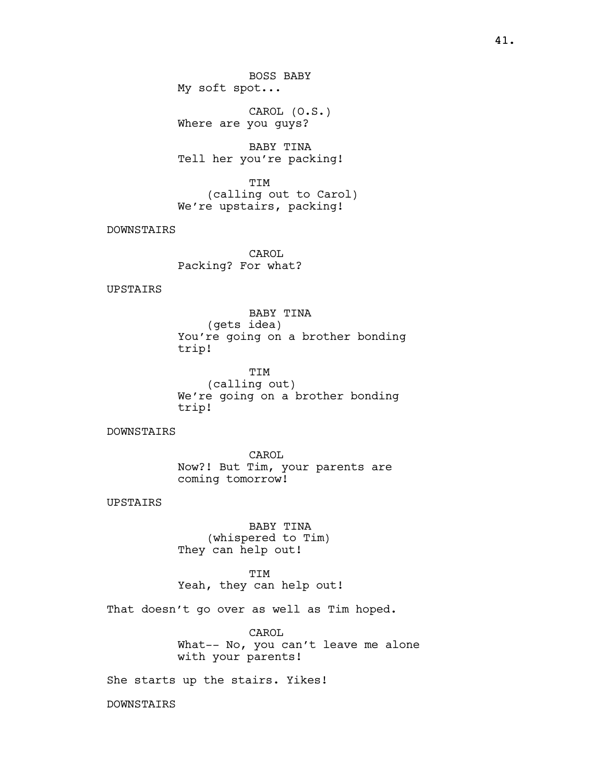CAROL (O.S.) Where are you guys?

BABY TINA Tell her you're packing!

TIM (calling out to Carol) We're upstairs, packing!

DOWNSTAIRS

CAROL Packing? For what?

UPSTAIRS

BABY TINA (gets idea) You're going on a brother bonding trip!

TIM (calling out) We're going on a brother bonding trip!

**DOWNSTAIRS** 

CAROL Now?! But Tim, your parents are coming tomorrow!

UPSTAIRS

BABY TINA (whispered to Tim) They can help out!

TIM Yeah, they can help out!

That doesn't go over as well as Tim hoped.

CAROL What-- No, you can't leave me alone with your parents!

She starts up the stairs. Yikes!

DOWNSTAIRS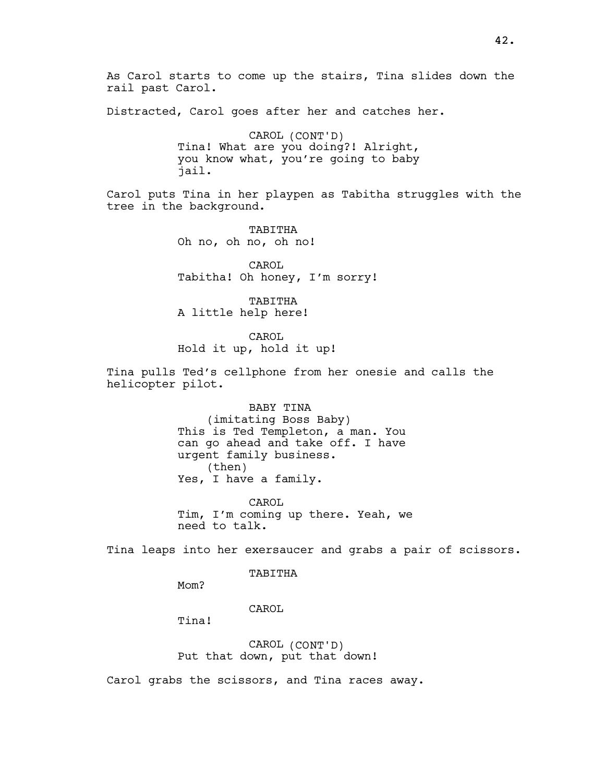Distracted, Carol goes after her and catches her.

CAROL (CONT'D) Tina! What are you doing?! Alright, you know what, you're going to baby jail.

Carol puts Tina in her playpen as Tabitha struggles with the tree in the background.

> TABITHA Oh no, oh no, oh no!

rail past Carol.

CAROL Tabitha! Oh honey, I'm sorry!

TABITHA A little help here!

CAROL

Hold it up, hold it up!

Tina pulls Ted's cellphone from her onesie and calls the helicopter pilot.

> BABY TINA (imitating Boss Baby) This is Ted Templeton, a man. You can go ahead and take off. I have urgent family business. (then) Yes, I have a family.

CAROL Tim, I'm coming up there. Yeah, we need to talk.

Tina leaps into her exersaucer and grabs a pair of scissors.

TABITHA

Mom?

CAROL

Tina!

CAROL (CONT'D) Put that down, put that down!

Carol grabs the scissors, and Tina races away.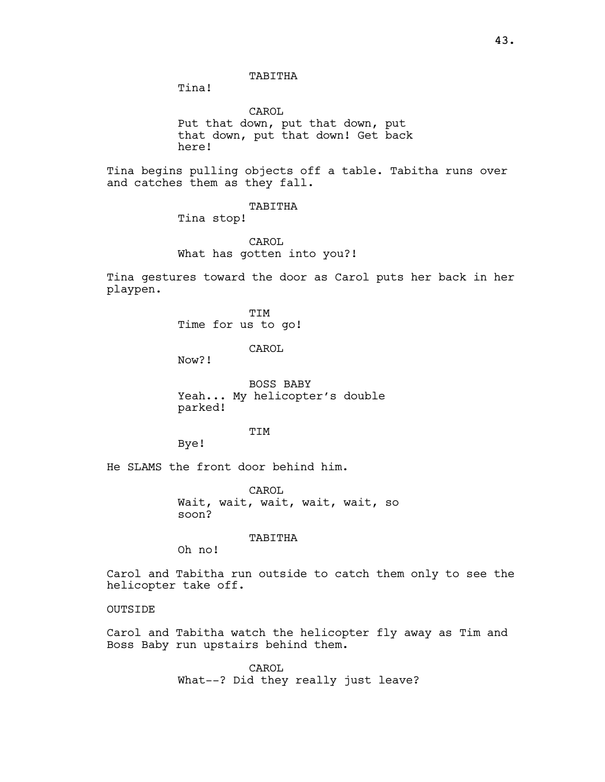### TABITHA

Tina!

CAROL Put that down, put that down, put that down, put that down! Get back here!

Tina begins pulling objects off a table. Tabitha runs over and catches them as they fall.

TABITHA

Tina stop!

CAROL What has gotten into you?!

Tina gestures toward the door as Carol puts her back in her playpen.

> TIM Time for us to go!

> > CAROL

Now?!

BOSS BABY Yeah... My helicopter's double parked!

**TTM** 

Bye!

He SLAMS the front door behind him.

CAROL Wait, wait, wait, wait, wait, so soon?

TABITHA

Oh no!

Carol and Tabitha run outside to catch them only to see the helicopter take off.

OUTSIDE

Carol and Tabitha watch the helicopter fly away as Tim and Boss Baby run upstairs behind them.

> CAROL What--? Did they really just leave?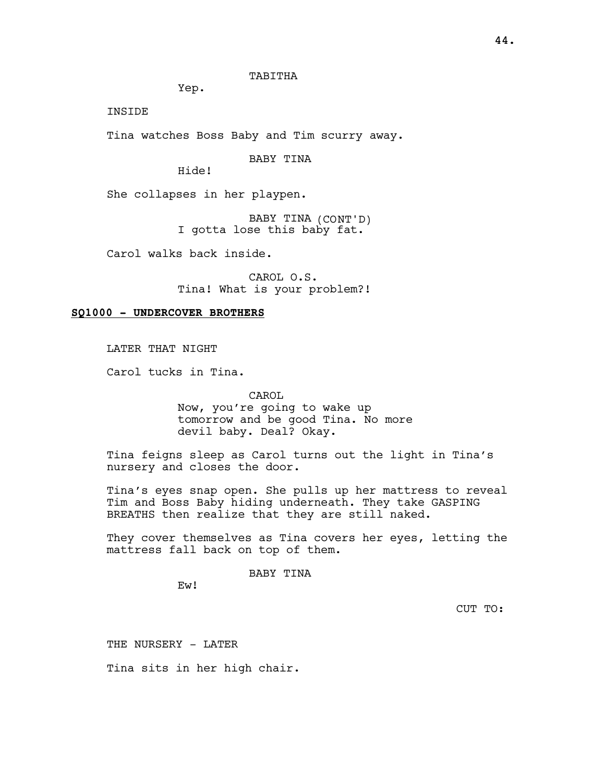TABITHA

Yep.

INSIDE

Tina watches Boss Baby and Tim scurry away.

BABY TINA

Hide!

She collapses in her playpen.

BABY TINA (CONT'D) I gotta lose this baby fat.

Carol walks back inside.

CAROL O.S. Tina! What is your problem?!

### SQ1000 - UNDERCOVER BROTHERS

LATER THAT NIGHT

Carol tucks in Tina.

CAROL

Now, you're going to wake up tomorrow and be good Tina. No more devil baby. Deal? Okay.

Tina feigns sleep as Carol turns out the light in Tina's nursery and closes the door.

Tina's eyes snap open. She pulls up her mattress to reveal Tim and Boss Baby hiding underneath. They take GASPING BREATHS then realize that they are still naked.

They cover themselves as Tina covers her eyes, letting the mattress fall back on top of them.

BABY TINA

Ew!

CUT TO:

THE NURSERY - LATER

Tina sits in her high chair.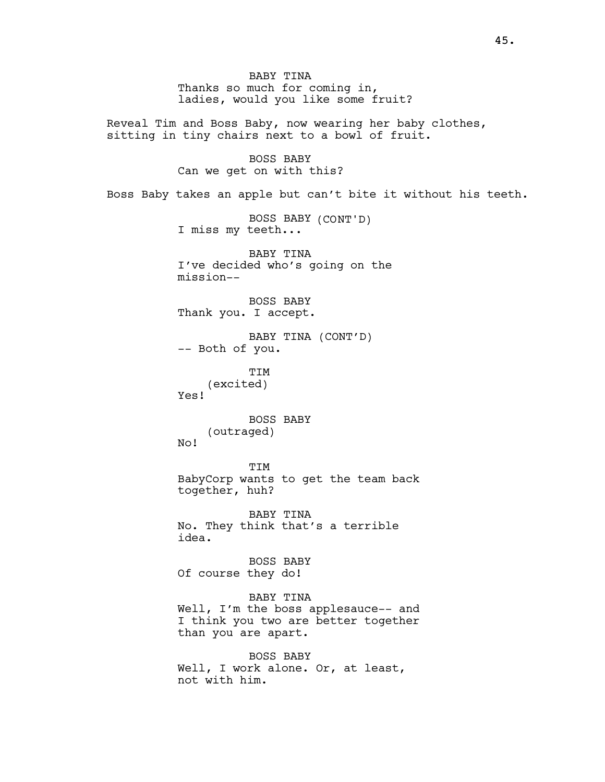BABY TINA Thanks so much for coming in, ladies, would you like some fruit? Reveal Tim and Boss Baby, now wearing her baby clothes, sitting in tiny chairs next to a bowl of fruit. BOSS BABY Can we get on with this? Boss Baby takes an apple but can't bite it without his teeth. BOSS BABY (CONT'D) I miss my teeth... BABY TINA I've decided who's going on the mission-- BOSS BABY Thank you. I accept. BABY TINA (CONT'D) -- Both of you. TIM (excited) Yes! BOSS BABY (outraged) No! TIM BabyCorp wants to get the team back together, huh? BABY TINA No. They think that's a terrible idea. BOSS BABY Of course they do! BABY TINA Well, I'm the boss applesauce-- and I think you two are better together than you are apart. BOSS BABY Well, I work alone. Or, at least, not with him.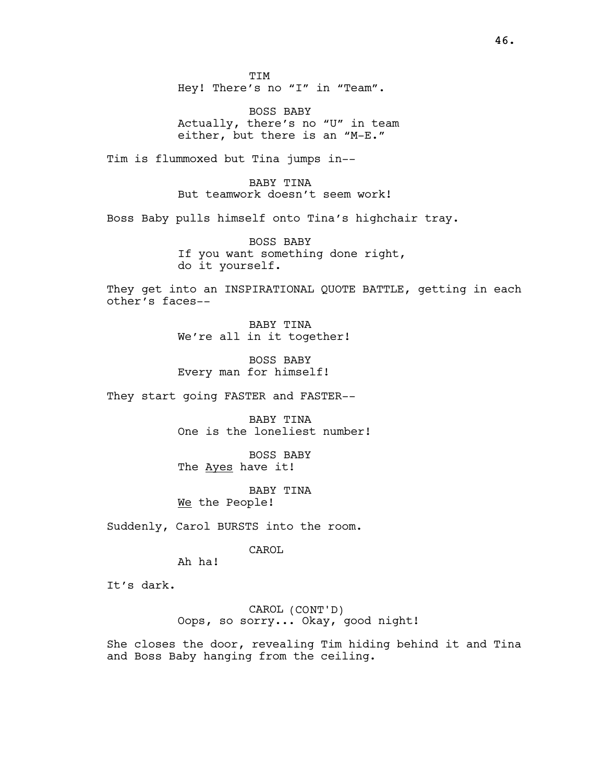TIM Hey! There's no "I" in "Team".

BOSS BABY Actually, there's no "U" in team either, but there is an "M-E."

Tim is flummoxed but Tina jumps in--

BABY TINA But teamwork doesn't seem work!

Boss Baby pulls himself onto Tina's highchair tray.

BOSS BABY If you want something done right, do it yourself.

They get into an INSPIRATIONAL QUOTE BATTLE, getting in each other's faces--

> BABY TINA We're all in it together!

BOSS BABY Every man for himself!

They start going FASTER and FASTER--

BABY TINA One is the loneliest number!

BOSS BABY The Ayes have it!

BABY TINA We the People!

Suddenly, Carol BURSTS into the room.

CAROL

Ah ha!

It's dark.

CAROL (CONT'D) Oops, so sorry... Okay, good night!

She closes the door, revealing Tim hiding behind it and Tina and Boss Baby hanging from the ceiling.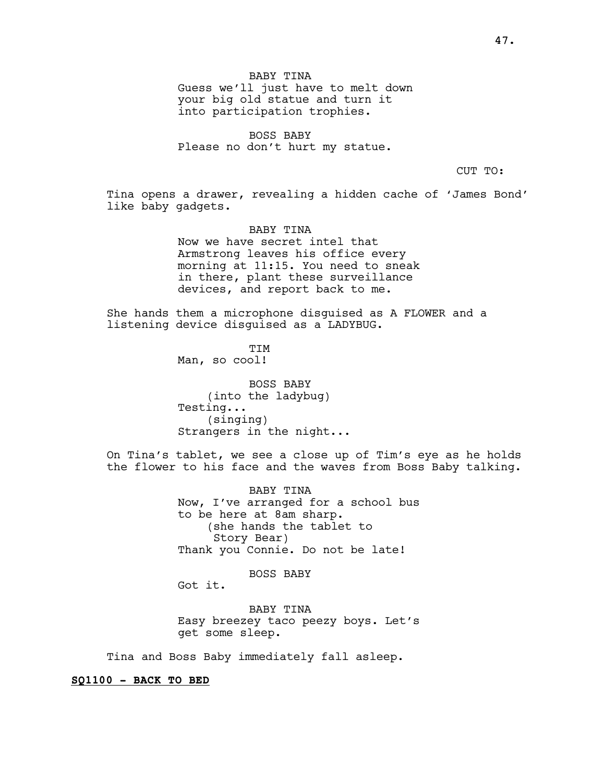BABY TINA Guess we'll just have to melt down your big old statue and turn it into participation trophies.

BOSS BABY Please no don't hurt my statue.

CUT TO:

Tina opens a drawer, revealing a hidden cache of 'James Bond' like baby gadgets.

> BABY TINA Now we have secret intel that Armstrong leaves his office every morning at 11:15. You need to sneak in there, plant these surveillance devices, and report back to me.

She hands them a microphone disguised as A FLOWER and a listening device disguised as a LADYBUG.

> TIM Man, so cool!

BOSS BABY (into the ladybug) Testing... (singing) Strangers in the night...

On Tina's tablet, we see a close up of Tim's eye as he holds the flower to his face and the waves from Boss Baby talking.

> BABY TINA Now, I've arranged for a school bus to be here at 8am sharp. (she hands the tablet to Story Bear) Thank you Connie. Do not be late!

> > BOSS BABY

Got it.

BABY TINA Easy breezey taco peezy boys. Let's get some sleep.

Tina and Boss Baby immediately fall asleep.

SQ1100 - BACK TO BED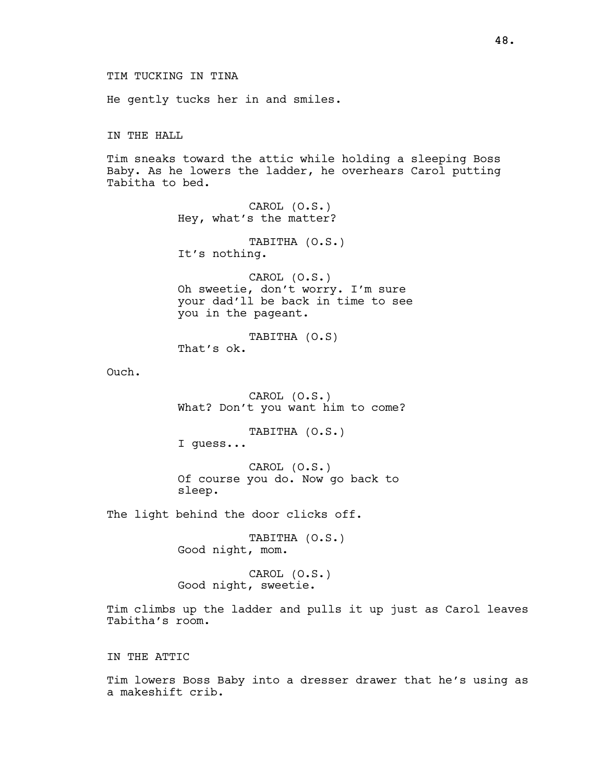He gently tucks her in and smiles.

IN THE HALL

Tim sneaks toward the attic while holding a sleeping Boss Baby. As he lowers the ladder, he overhears Carol putting Tabitha to bed.

> CAROL (O.S.) Hey, what's the matter?

TABITHA (O.S.) It's nothing.

CAROL (O.S.) Oh sweetie, don't worry. I'm sure your dad'll be back in time to see you in the pageant.

TABITHA (O.S) That's ok.

Ouch.

CAROL (O.S.) What? Don't you want him to come?

TABITHA (O.S.) I guess...

CAROL (O.S.) Of course you do. Now go back to sleep.

The light behind the door clicks off.

TABITHA (O.S.) Good night, mom.

CAROL (O.S.) Good night, sweetie.

Tim climbs up the ladder and pulls it up just as Carol leaves Tabitha's room.

IN THE ATTIC

Tim lowers Boss Baby into a dresser drawer that he's using as a makeshift crib.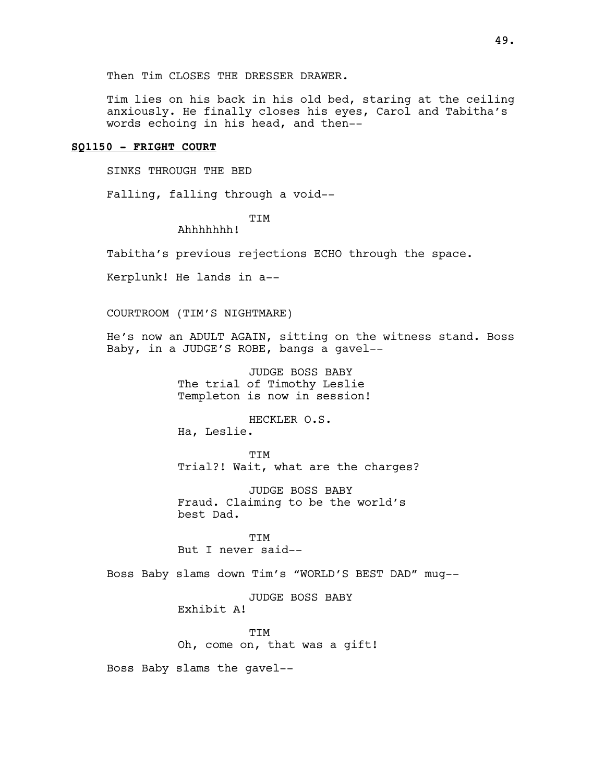Then Tim CLOSES THE DRESSER DRAWER.

Tim lies on his back in his old bed, staring at the ceiling anxiously. He finally closes his eyes, Carol and Tabitha's words echoing in his head, and then--

# SQ1150 - FRIGHT COURT

SINKS THROUGH THE BED

Falling, falling through a void--

TIM

Ahhhhhhh!

Tabitha's previous rejections ECHO through the space.

Kerplunk! He lands in a--

COURTROOM (TIM'S NIGHTMARE)

He's now an ADULT AGAIN, sitting on the witness stand. Boss Baby, in a JUDGE'S ROBE, bangs a gavel--

> JUDGE BOSS BABY The trial of Timothy Leslie Templeton is now in session!

HECKLER O.S. Ha, Leslie.

TIM Trial?! Wait, what are the charges?

JUDGE BOSS BABY Fraud. Claiming to be the world's best Dad.

**TTM** But I never said--

Boss Baby slams down Tim's "WORLD'S BEST DAD" mug--

JUDGE BOSS BABY Exhibit A!

TIM Oh, come on, that was a gift!

Boss Baby slams the gavel--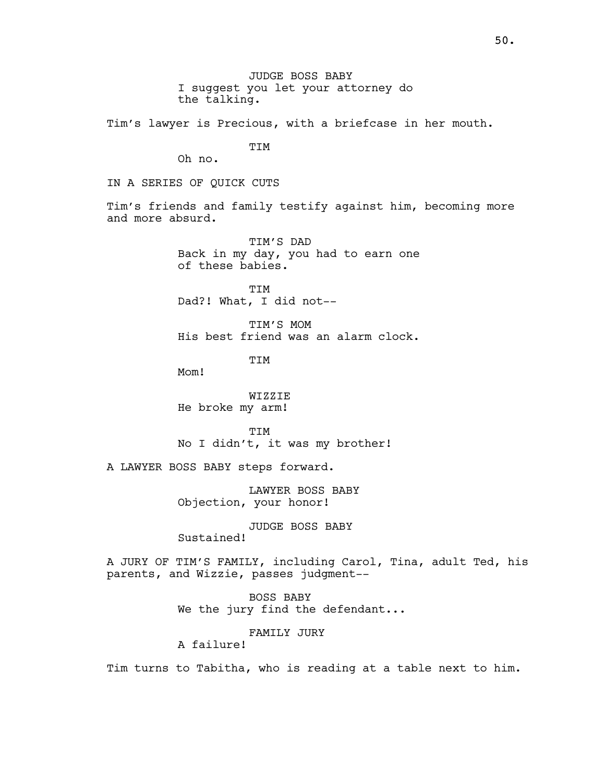JUDGE BOSS BABY I suggest you let your attorney do the talking.

Tim's lawyer is Precious, with a briefcase in her mouth.

TIM

Oh no.

IN A SERIES OF QUICK CUTS

Tim's friends and family testify against him, becoming more and more absurd.

> TIM'S DAD Back in my day, you had to earn one of these babies.

TIM Dad?! What, I did not--

TIM'S MOM His best friend was an alarm clock.

TIM

Mom!

WIZZIE He broke my arm!

**TTM** No I didn't, it was my brother!

A LAWYER BOSS BABY steps forward.

LAWYER BOSS BABY Objection, your honor!

JUDGE BOSS BABY Sustained!

A JURY OF TIM'S FAMILY, including Carol, Tina, adult Ted, his parents, and Wizzie, passes judgment--

> BOSS BABY We the jury find the defendant...

> > FAMILY JURY

A failure!

Tim turns to Tabitha, who is reading at a table next to him.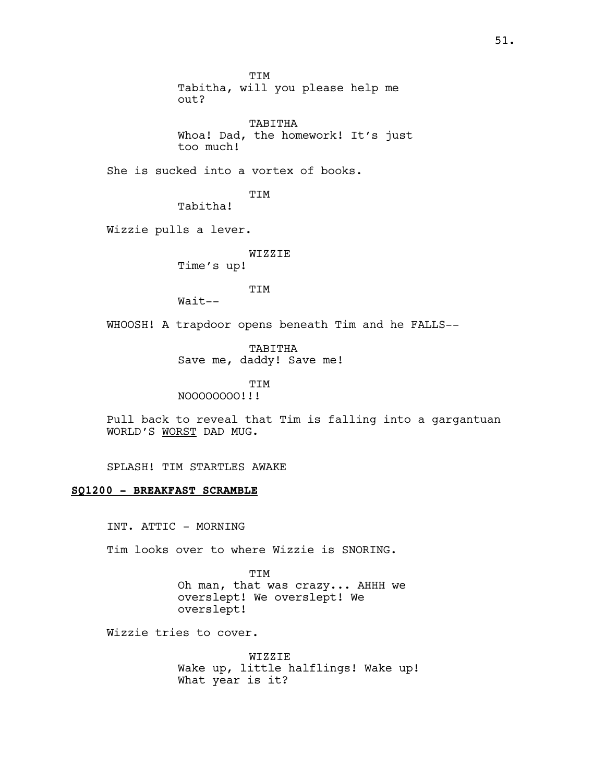TIM Tabitha, will you please help me out? TABITHA Whoa! Dad, the homework! It's just too much! She is sucked into a vortex of books. TIM Tabitha! Wizzie pulls a lever. WIZZIE Time's up! TIM  $Wait--$ WHOOSH! A trapdoor opens beneath Tim and he FALLS-- TABITHA Save me, daddy! Save me! TIM NOOOOOOOO!!! Pull back to reveal that Tim is falling into a gargantuan WORLD'S WORST DAD MUG. SPLASH! TIM STARTLES AWAKE

# SQ1200 - BREAKFAST SCRAMBLE

INT. ATTIC - MORNING

Tim looks over to where Wizzie is SNORING.

TIM Oh man, that was crazy... AHHH we overslept! We overslept! We overslept!

Wizzie tries to cover.

WIZZIE Wake up, little halflings! Wake up! What year is it?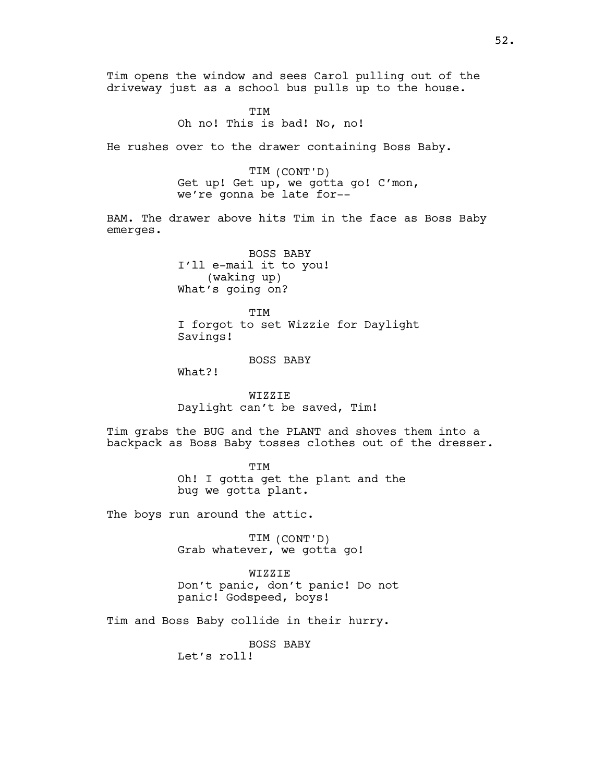Tim opens the window and sees Carol pulling out of the driveway just as a school bus pulls up to the house.

> TIM Oh no! This is bad! No, no!

He rushes over to the drawer containing Boss Baby.

TIM (CONT'D) Get up! Get up, we gotta go! C'mon, we're gonna be late for--

BAM. The drawer above hits Tim in the face as Boss Baby emerges.

> BOSS BABY I'll e-mail it to you! (waking up) What's going on?

TIM I forgot to set Wizzie for Daylight Savings!

BOSS BABY

What?!

WIZZIE Daylight can't be saved, Tim!

Tim grabs the BUG and the PLANT and shoves them into a backpack as Boss Baby tosses clothes out of the dresser.

> TIM Oh! I gotta get the plant and the bug we gotta plant.

The boys run around the attic.

TIM (CONT'D) Grab whatever, we gotta go!

WIZZIE Don't panic, don't panic! Do not panic! Godspeed, boys!

Tim and Boss Baby collide in their hurry.

BOSS BABY

Let's roll!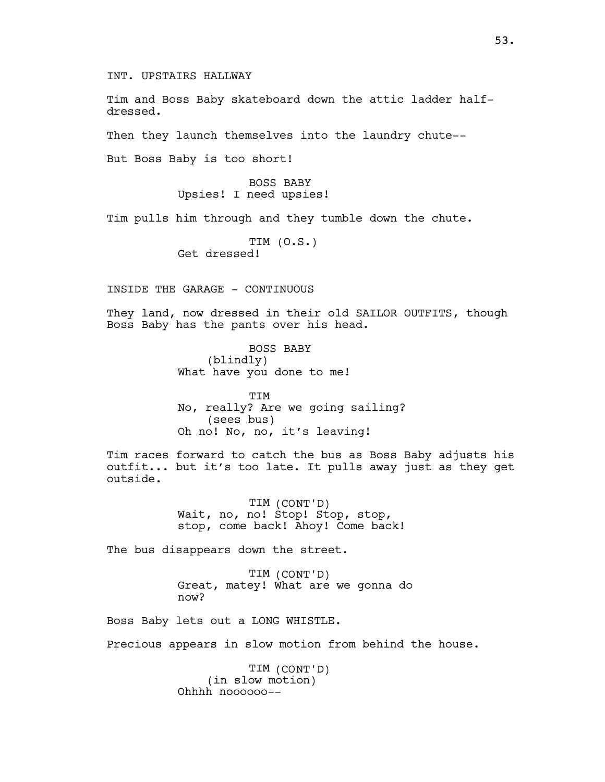INT. UPSTAIRS HALLWAY

Tim and Boss Baby skateboard down the attic ladder halfdressed.

Then they launch themselves into the laundry chute--

But Boss Baby is too short!

BOSS BABY Upsies! I need upsies!

Tim pulls him through and they tumble down the chute.

TIM (O.S.) Get dressed!

INSIDE THE GARAGE - CONTINUOUS

They land, now dressed in their old SAILOR OUTFITS, though Boss Baby has the pants over his head.

> BOSS BABY (blindly) What have you done to me!

TIM No, really? Are we going sailing? (sees bus) Oh no! No, no, it's leaving!

Tim races forward to catch the bus as Boss Baby adjusts his outfit... but it's too late. It pulls away just as they get outside.

> TIM (CONT'D) Wait, no, no! Stop! Stop, stop, stop, come back! Ahoy! Come back!

The bus disappears down the street.

TIM (CONT'D) Great, matey! What are we gonna do now?

Boss Baby lets out a LONG WHISTLE.

Precious appears in slow motion from behind the house.

TIM (CONT'D) (in slow motion) Ohhhh noooooo--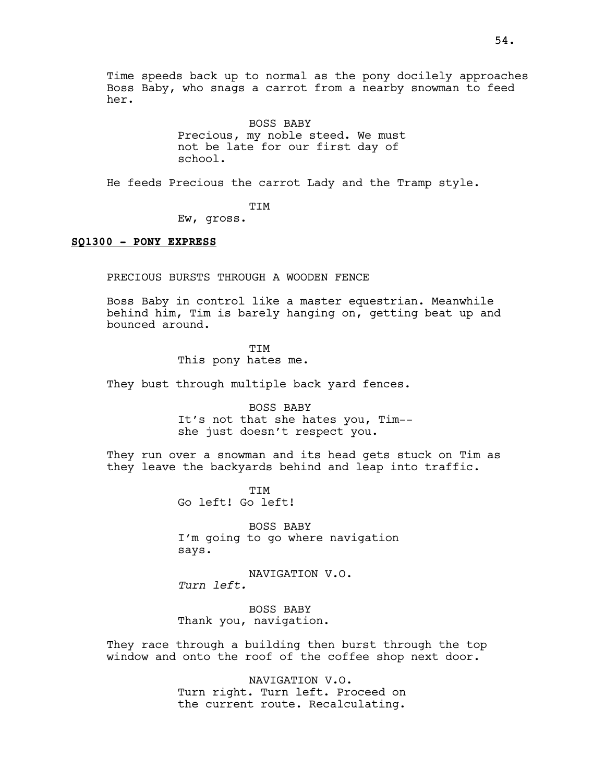Time speeds back up to normal as the pony docilely approaches Boss Baby, who snags a carrot from a nearby snowman to feed her.

> BOSS BABY Precious, my noble steed. We must not be late for our first day of school.

He feeds Precious the carrot Lady and the Tramp style.

TIM

Ew, gross.

### SQ1300 - PONY EXPRESS

PRECIOUS BURSTS THROUGH A WOODEN FENCE

Boss Baby in control like a master equestrian. Meanwhile behind him, Tim is barely hanging on, getting beat up and bounced around.

> **TTM** This pony hates me.

They bust through multiple back yard fences.

BOSS BABY It's not that she hates you, Tim- she just doesn't respect you.

They run over a snowman and its head gets stuck on Tim as they leave the backyards behind and leap into traffic.

> TIM Go left! Go left!

BOSS BABY I'm going to go where navigation says.

NAVIGATION V.O. Turn left.

BOSS BABY Thank you, navigation.

They race through a building then burst through the top window and onto the roof of the coffee shop next door.

> NAVIGATION V.O. Turn right. Turn left. Proceed on the current route. Recalculating.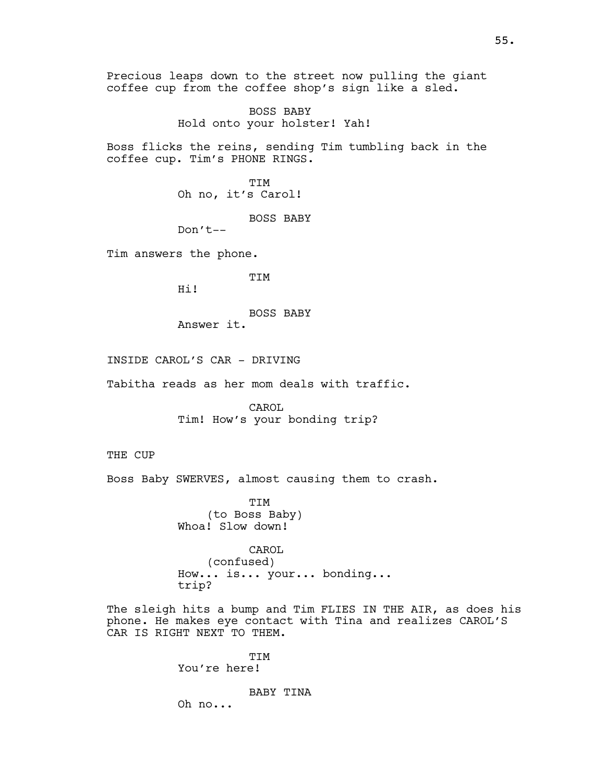Precious leaps down to the street now pulling the giant coffee cup from the coffee shop's sign like a sled.

> BOSS BABY Hold onto your holster! Yah!

Boss flicks the reins, sending Tim tumbling back in the coffee cup. Tim's PHONE RINGS.

> TIM Oh no, it's Carol!

> > BOSS BABY

Don't--

Tim answers the phone.

TIM

Hi!

BOSS BABY Answer it.

INSIDE CAROL'S CAR - DRIVING

Tabitha reads as her mom deals with traffic.

CAROL Tim! How's your bonding trip?

THE CUP

Boss Baby SWERVES, almost causing them to crash.

TIM (to Boss Baby) Whoa! Slow down!

CAROL (confused) How... is... your... bonding... trip?

The sleigh hits a bump and Tim FLIES IN THE AIR, as does his phone. He makes eye contact with Tina and realizes CAROL'S CAR IS RIGHT NEXT TO THEM.

> TIM You're here!

> > BABY TINA

Oh no...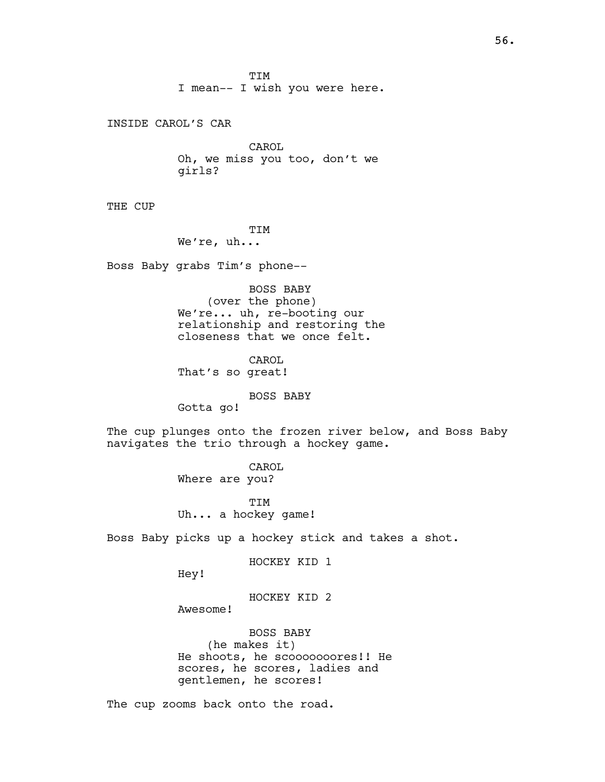TIM I mean-- I wish you were here.

INSIDE CAROL'S CAR

CAROL Oh, we miss you too, don't we girls?

THE CUP

TIM We're, uh...

Boss Baby grabs Tim's phone--

BOSS BABY (over the phone) We're... uh, re-booting our relationship and restoring the closeness that we once felt.

CAROL That's so great!

BOSS BABY

Gotta go!

The cup plunges onto the frozen river below, and Boss Baby navigates the trio through a hockey game.

> CAROL Where are you?

TIM Uh... a hockey game!

Boss Baby picks up a hockey stick and takes a shot.

HOCKEY KID 1

Hey!

HOCKEY KID 2

Awesome!

BOSS BABY (he makes it) He shoots, he scooooooores!! He scores, he scores, ladies and gentlemen, he scores!

The cup zooms back onto the road.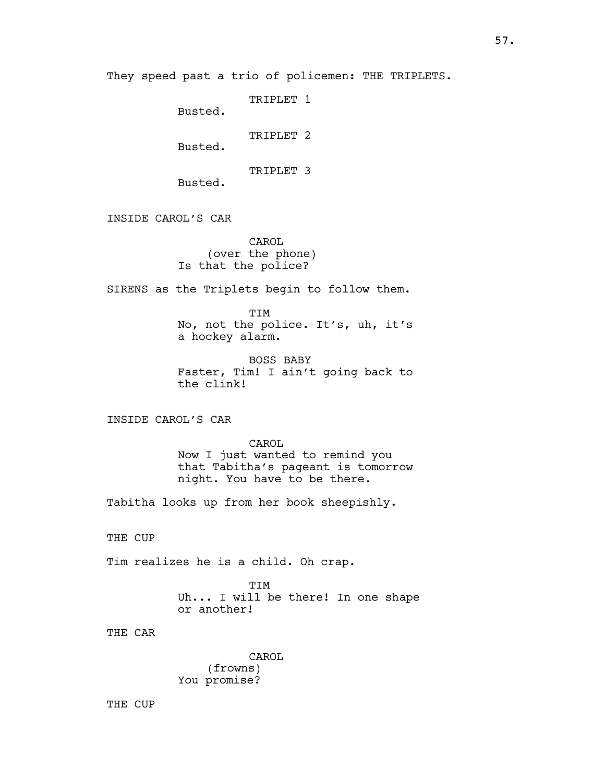```
TRIPLET 1
```
Busted.

TRIPLET 2

Busted.

TRIPLET 3

Busted.

INSIDE CAROL'S CAR

CAROL (over the phone) Is that the police?

SIRENS as the Triplets begin to follow them.

TIM No, not the police. It's, uh, it's a hockey alarm.

BOSS BABY Faster, Tim! I ain't going back to the clink!

INSIDE CAROL'S CAR

CAROL Now I just wanted to remind you that Tabitha's pageant is tomorrow night. You have to be there.

Tabitha looks up from her book sheepishly.

THE CUP

Tim realizes he is a child. Oh crap.

TIM Uh... I will be there! In one shape or another!

THE CAR

CAROL (frowns) You promise?

THE CUP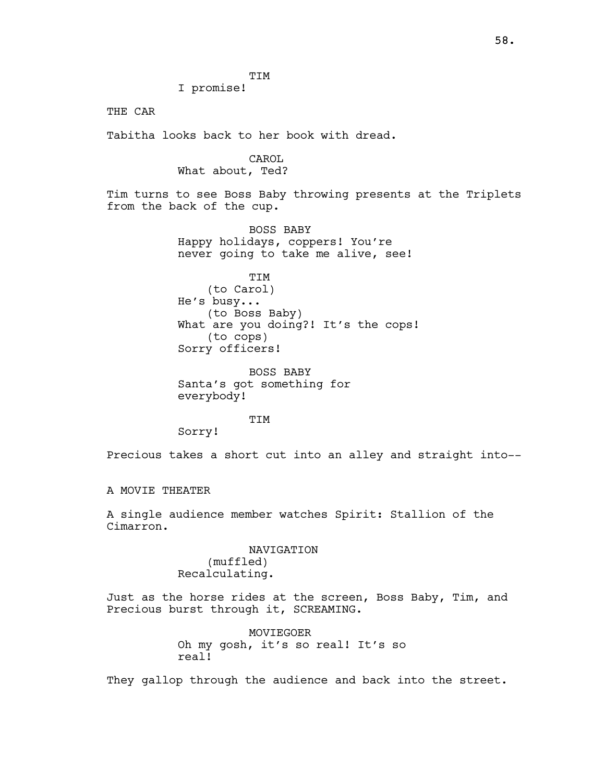TIM

I promise!

THE CAR

Tabitha looks back to her book with dread.

CAROL What about, Ted?

Tim turns to see Boss Baby throwing presents at the Triplets from the back of the cup.

> BOSS BABY Happy holidays, coppers! You're never going to take me alive, see!

TIM (to Carol) He's busy... (to Boss Baby) What are you doing?! It's the cops! (to cops) Sorry officers!

BOSS BABY Santa's got something for everybody!

TIM

Sorry!

Precious takes a short cut into an alley and straight into--

A MOVIE THEATER

A single audience member watches Spirit: Stallion of the Cimarron.

> NAVIGATION (muffled) Recalculating.

Just as the horse rides at the screen, Boss Baby, Tim, and Precious burst through it, SCREAMING.

> MOVIEGOER Oh my gosh, it's so real! It's so real!

They gallop through the audience and back into the street.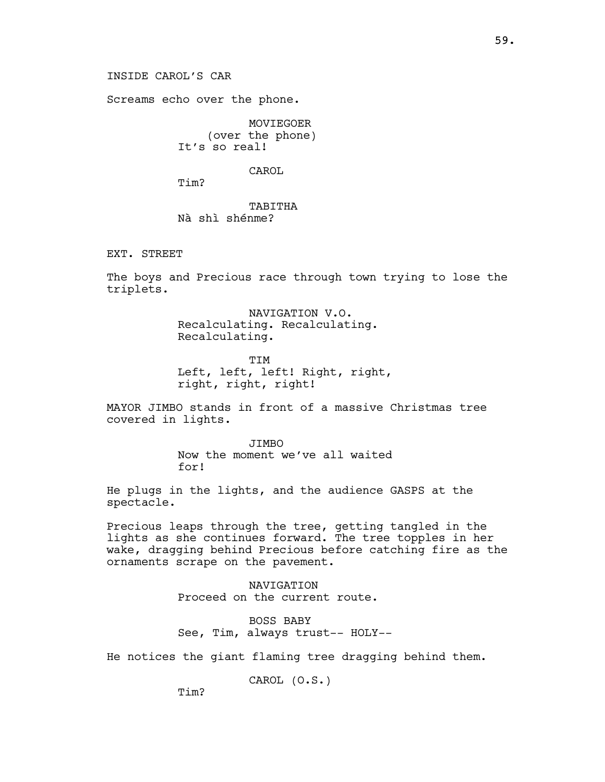59.

INSIDE CAROL'S CAR

Screams echo over the phone.

MOVIEGOER (over the phone) It's so real!

CAROL

Tim?

TABITHA Nà shì shénme?

EXT. STREET

The boys and Precious race through town trying to lose the triplets.

> NAVIGATION V.O. Recalculating. Recalculating. Recalculating.

TIM Left, left, left! Right, right, right, right, right!

MAYOR JIMBO stands in front of a massive Christmas tree covered in lights.

> JIMBO Now the moment we've all waited for!

He plugs in the lights, and the audience GASPS at the spectacle.

Precious leaps through the tree, getting tangled in the lights as she continues forward. The tree topples in her wake, dragging behind Precious before catching fire as the ornaments scrape on the pavement.

> NAVIGATION Proceed on the current route.

BOSS BABY See, Tim, always trust-- HOLY--

He notices the giant flaming tree dragging behind them.

CAROL (O.S.)

Tim?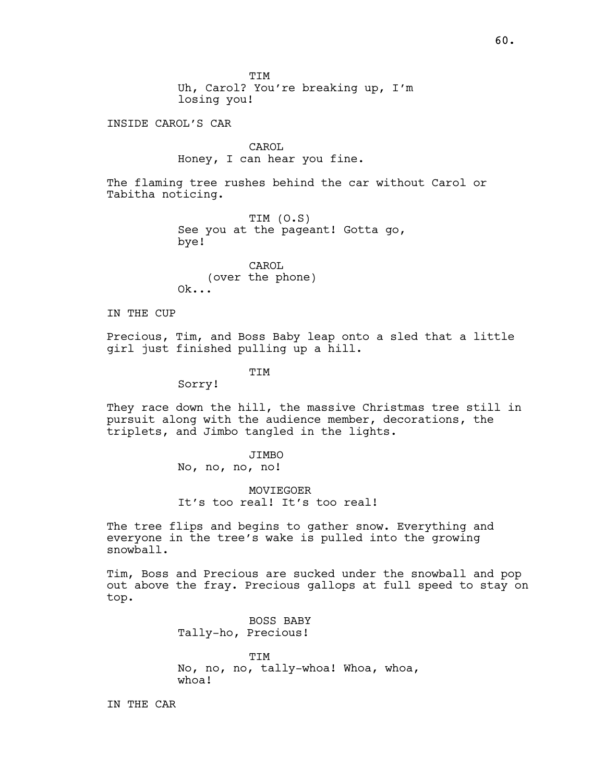TIM Uh, Carol? You're breaking up, I'm losing you!

INSIDE CAROL'S CAR

CAROL Honey, I can hear you fine.

The flaming tree rushes behind the car without Carol or Tabitha noticing.

> TIM (O.S) See you at the pageant! Gotta go, bye!

CAROL (over the phone) Ok...

IN THE CUP

Precious, Tim, and Boss Baby leap onto a sled that a little girl just finished pulling up a hill.

TIM

Sorry!

They race down the hill, the massive Christmas tree still in pursuit along with the audience member, decorations, the triplets, and Jimbo tangled in the lights.

> JIMBO No, no, no, no!

MOVIEGOER It's too real! It's too real!

The tree flips and begins to gather snow. Everything and everyone in the tree's wake is pulled into the growing snowball.

Tim, Boss and Precious are sucked under the snowball and pop out above the fray. Precious gallops at full speed to stay on top.

> BOSS BABY Tally-ho, Precious!

TIM No, no, no, tally-whoa! Whoa, whoa, whoa!

IN THE CAR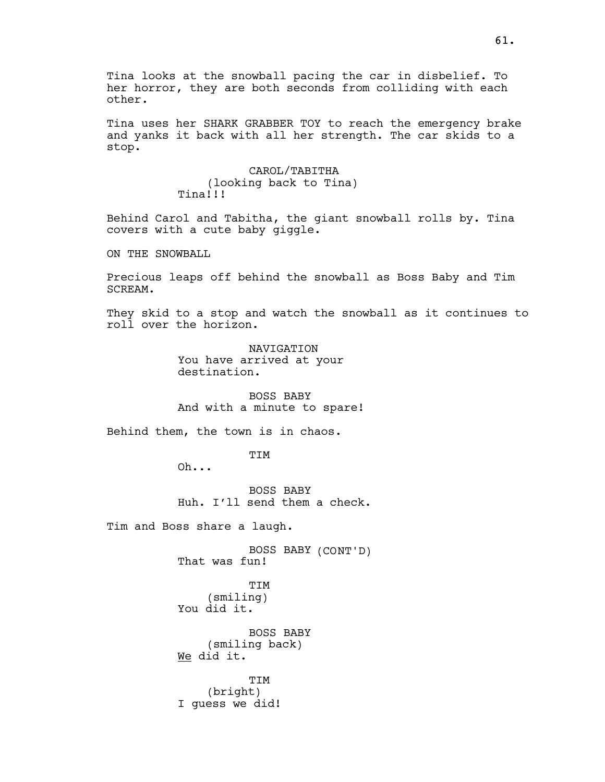Tina looks at the snowball pacing the car in disbelief. To her horror, they are both seconds from colliding with each other.

Tina uses her SHARK GRABBER TOY to reach the emergency brake and yanks it back with all her strength. The car skids to a stop.

> CAROL/TABITHA (looking back to Tina) Tina!!!

Behind Carol and Tabitha, the giant snowball rolls by. Tina covers with a cute baby giggle.

ON THE SNOWBALL

Precious leaps off behind the snowball as Boss Baby and Tim SCREAM.

They skid to a stop and watch the snowball as it continues to roll over the horizon.

> NAVIGATION You have arrived at your destination.

BOSS BABY And with a minute to spare!

Behind them, the town is in chaos.

TIM

Oh...

BOSS BABY Huh. I'll send them a check.

Tim and Boss share a laugh.

BOSS BABY (CONT'D) That was fun!

TIM (smiling) You did it.

BOSS BABY (smiling back) We did it.

TIM (bright) I guess we did!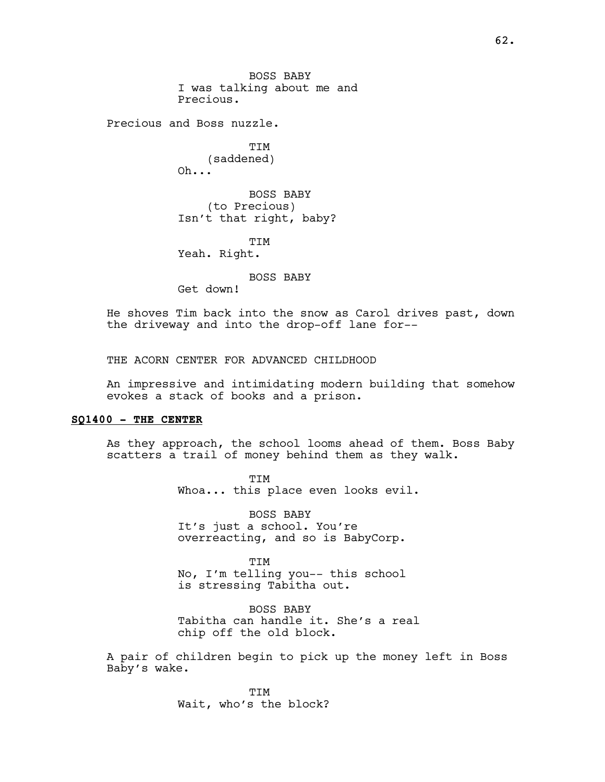BOSS BABY I was talking about me and Precious.

Precious and Boss nuzzle.

**TTM** (saddened) Oh...

BOSS BABY (to Precious) Isn't that right, baby?

TIM Yeah. Right.

BOSS BABY

Get down!

He shoves Tim back into the snow as Carol drives past, down the driveway and into the drop-off lane for--

THE ACORN CENTER FOR ADVANCED CHILDHOOD

An impressive and intimidating modern building that somehow evokes a stack of books and a prison.

### SQ1400 - THE CENTER

As they approach, the school looms ahead of them. Boss Baby scatters a trail of money behind them as they walk.

> TIM Whoa... this place even looks evil.

BOSS BABY It's just a school. You're overreacting, and so is BabyCorp.

**TTM** No, I'm telling you-- this school is stressing Tabitha out.

BOSS BABY Tabitha can handle it. She's a real chip off the old block.

A pair of children begin to pick up the money left in Boss Baby's wake.

> **TTM** Wait, who's the block?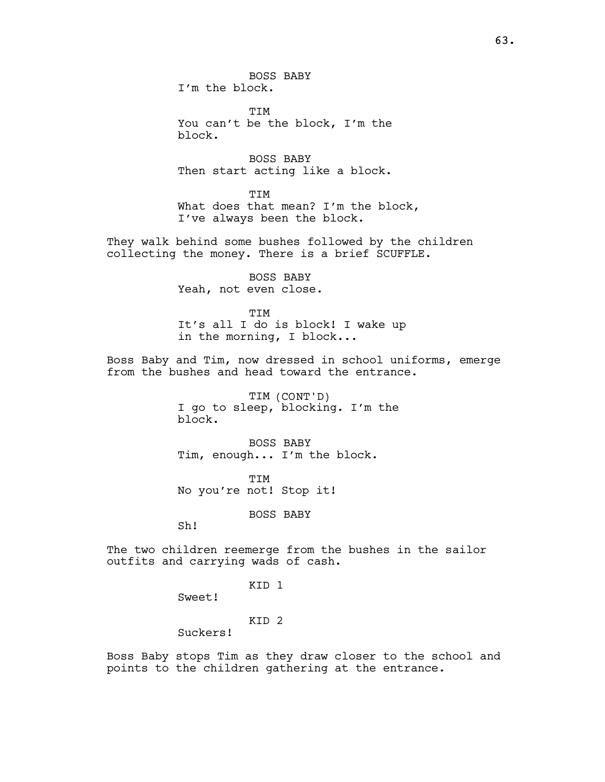BOSS BABY I'm the block.

TIM You can't be the block, I'm the block.

BOSS BABY Then start acting like a block.

**TTM** What does that mean? I'm the block, I've always been the block.

They walk behind some bushes followed by the children collecting the money. There is a brief SCUFFLE.

> BOSS BABY Yeah, not even close.

TIM It's all I do is block! I wake up in the morning, I block...

Boss Baby and Tim, now dressed in school uniforms, emerge from the bushes and head toward the entrance.

> TIM (CONT'D) I go to sleep, blocking. I'm the block.

BOSS BABY Tim, enough... I'm the block.

TIM No you're not! Stop it!

BOSS BABY

Sh!

The two children reemerge from the bushes in the sailor outfits and carrying wads of cash.

KID 1

Sweet!

KID 2

Suckers!

Boss Baby stops Tim as they draw closer to the school and points to the children gathering at the entrance.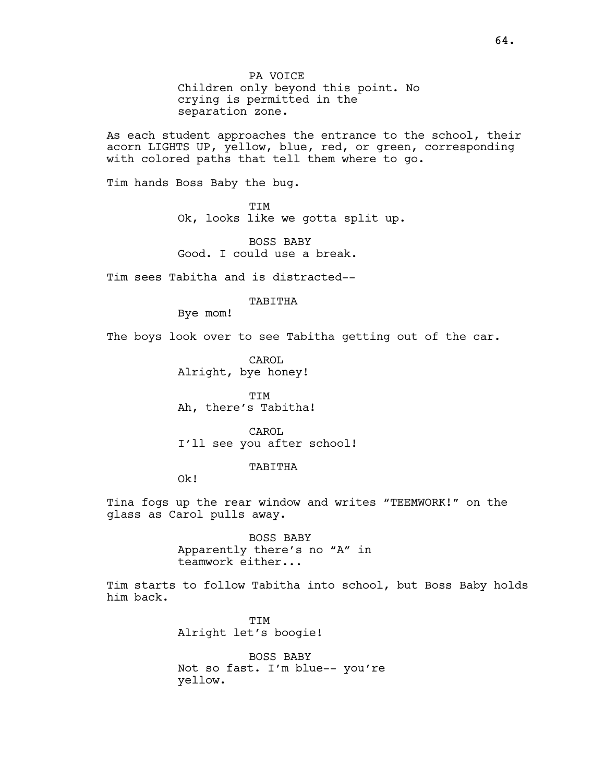PA VOICE Children only beyond this point. No crying is permitted in the separation zone.

As each student approaches the entrance to the school, their acorn LIGHTS UP, yellow, blue, red, or green, corresponding with colored paths that tell them where to go.

Tim hands Boss Baby the bug.

TIM Ok, looks like we gotta split up.

BOSS BABY Good. I could use a break.

Tim sees Tabitha and is distracted--

### TABITHA

Bye mom!

The boys look over to see Tabitha getting out of the car.

CAROL Alright, bye honey!

TIM Ah, there's Tabitha!

CAROL. I'll see you after school!

#### TABITHA

Ok!

Tina fogs up the rear window and writes "TEEMWORK!" on the glass as Carol pulls away.

> BOSS BABY Apparently there's no "A" in teamwork either...

Tim starts to follow Tabitha into school, but Boss Baby holds him back.

> TIM Alright let's boogie!

BOSS BABY Not so fast. I'm blue-- you're yellow.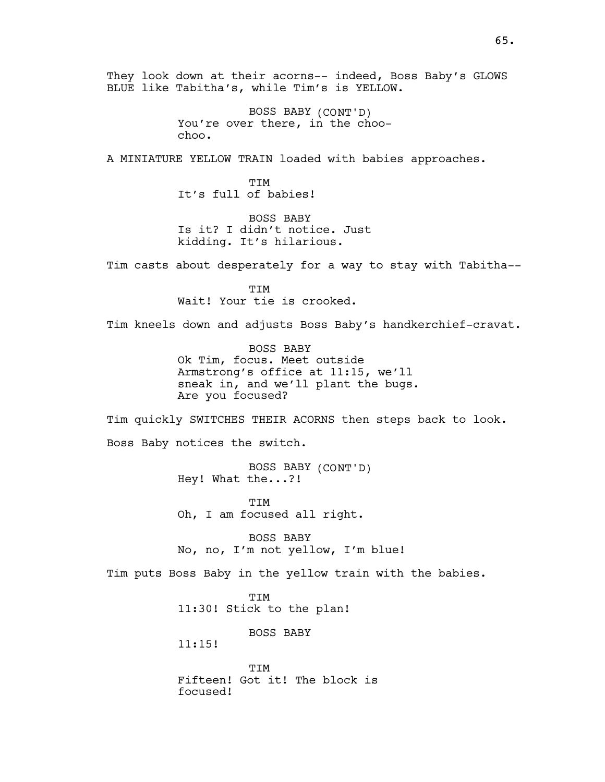They look down at their acorns-- indeed, Boss Baby's GLOWS BLUE like Tabitha's, while Tim's is YELLOW.

> BOSS BABY (CONT'D) You're over there, in the choochoo.

A MINIATURE YELLOW TRAIN loaded with babies approaches.

**TTM** It's full of babies!

BOSS BABY Is it? I didn't notice. Just kidding. It's hilarious.

Tim casts about desperately for a way to stay with Tabitha--

TIM Wait! Your tie is crooked.

Tim kneels down and adjusts Boss Baby's handkerchief-cravat.

BOSS BABY Ok Tim, focus. Meet outside Armstrong's office at 11:15, we'll sneak in, and we'll plant the bugs. Are you focused?

Tim quickly SWITCHES THEIR ACORNS then steps back to look.

Boss Baby notices the switch.

BOSS BABY (CONT'D) Hey! What the...?!

TIM Oh, I am focused all right.

BOSS BABY No, no, I'm not yellow, I'm blue!

Tim puts Boss Baby in the yellow train with the babies.

TIM 11:30! Stick to the plan!

BOSS BABY

11:15!

**TTM** Fifteen! Got it! The block is focused!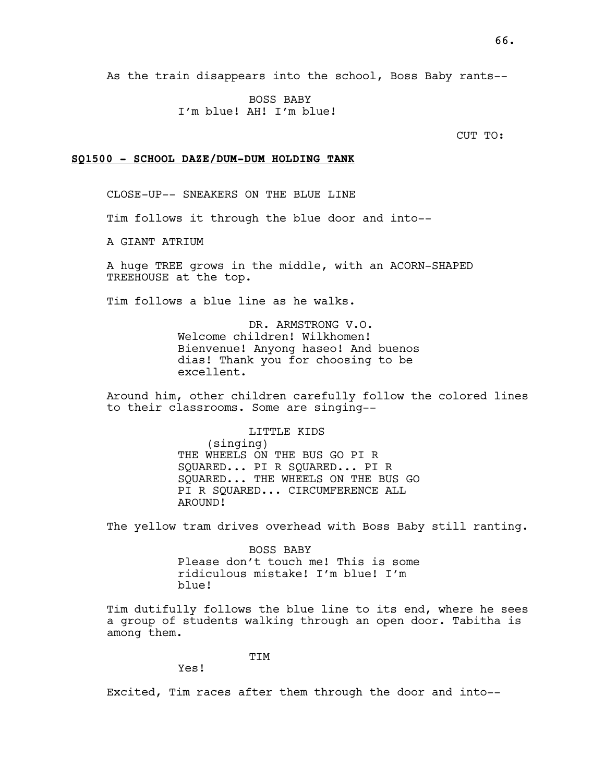BOSS BABY I'm blue! AH! I'm blue!

CUT TO:

#### SQ1500 - SCHOOL DAZE/DUM-DUM HOLDING TANK

CLOSE-UP-- SNEAKERS ON THE BLUE LINE

Tim follows it through the blue door and into--

A GIANT ATRIUM

A huge TREE grows in the middle, with an ACORN-SHAPED TREEHOUSE at the top.

Tim follows a blue line as he walks.

DR. ARMSTRONG V.O. Welcome children! Wilkhomen! Bienvenue! Anyong haseo! And buenos dias! Thank you for choosing to be excellent.

Around him, other children carefully follow the colored lines to their classrooms. Some are singing--

> LITTLE KIDS (singing) THE WHEELS ON THE BUS GO PI R SQUARED... PI R SQUARED... PI R SQUARED... THE WHEELS ON THE BUS GO PI R SQUARED... CIRCUMFERENCE ALL AROUND!

The yellow tram drives overhead with Boss Baby still ranting.

BOSS BABY Please don't touch me! This is some ridiculous mistake! I'm blue! I'm blue!

Tim dutifully follows the blue line to its end, where he sees a group of students walking through an open door. Tabitha is among them.

TIM

Yes!

Excited, Tim races after them through the door and into--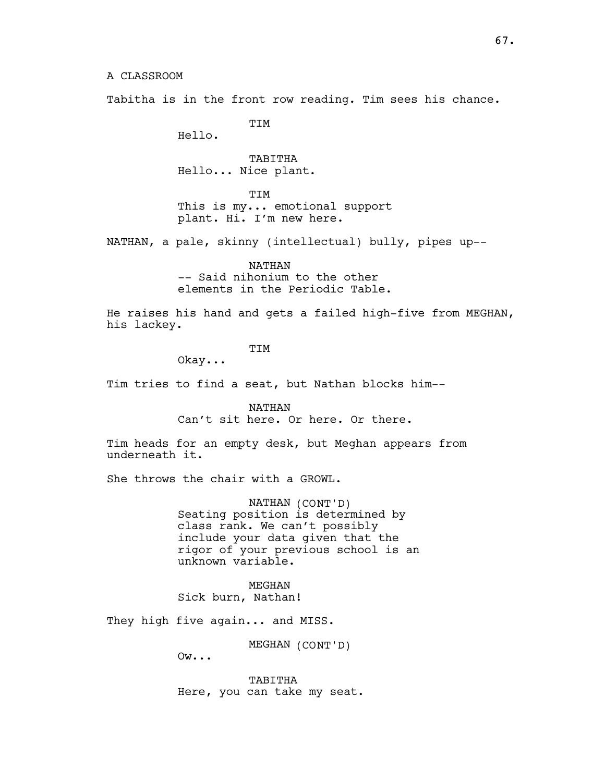Tabitha is in the front row reading. Tim sees his chance.

TIM

Hello.

TABITHA Hello... Nice plant.

TIM

This is my... emotional support plant. Hi. I'm new here.

NATHAN, a pale, skinny (intellectual) bully, pipes up--

NATHAN -- Said nihonium to the other elements in the Periodic Table.

He raises his hand and gets a failed high-five from MEGHAN, his lackey.

TIM

Okay...

Tim tries to find a seat, but Nathan blocks him--

NATHAN Can't sit here. Or here. Or there.

Tim heads for an empty desk, but Meghan appears from underneath it.

She throws the chair with a GROWL.

NATHAN (CONT'D) Seating position is determined by class rank. We can't possibly include your data given that the rigor of your previous school is an unknown variable.

MEGHAN Sick burn, Nathan!

They high five again... and MISS.

MEGHAN (CONT'D)

Ow...

TABITHA Here, you can take my seat.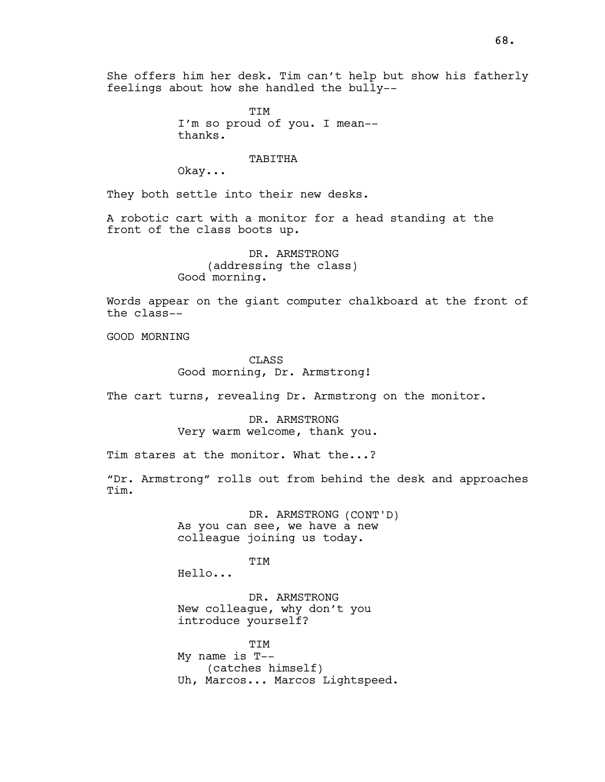She offers him her desk. Tim can't help but show his fatherly feelings about how she handled the bully--

> TIM I'm so proud of you. I mean- thanks.

> > TABITHA

Okay...

They both settle into their new desks.

A robotic cart with a monitor for a head standing at the front of the class boots up.

> DR. ARMSTRONG (addressing the class) Good morning.

Words appear on the giant computer chalkboard at the front of the class--

GOOD MORNING

CLASS Good morning, Dr. Armstrong!

The cart turns, revealing Dr. Armstrong on the monitor.

DR. ARMSTRONG Very warm welcome, thank you.

Tim stares at the monitor. What the...?

"Dr. Armstrong" rolls out from behind the desk and approaches Tim.

> DR. ARMSTRONG (CONT'D) As you can see, we have a new colleague joining us today.

**TTM** Hello...

DR. ARMSTRONG New colleague, why don't you introduce yourself?

**TTM** My name is T-- (catches himself) Uh, Marcos... Marcos Lightspeed.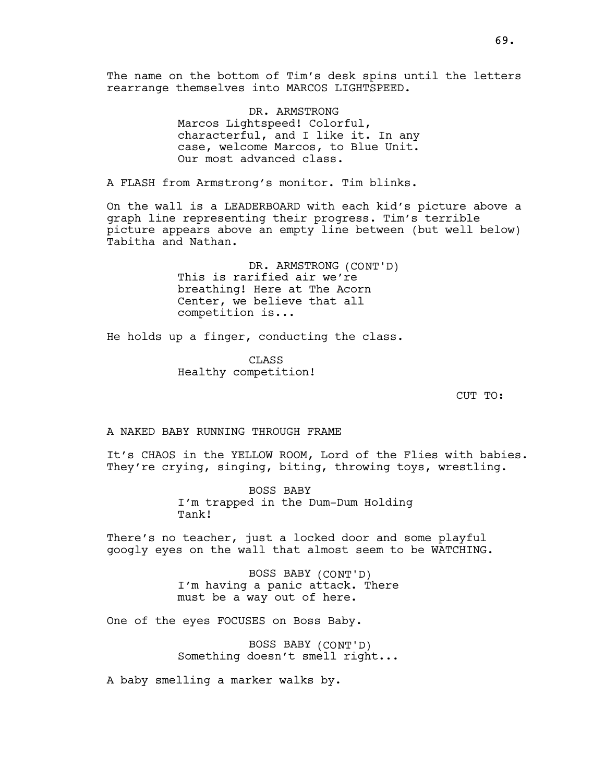The name on the bottom of Tim's desk spins until the letters rearrange themselves into MARCOS LIGHTSPEED.

> DR. ARMSTRONG Marcos Lightspeed! Colorful, characterful, and I like it. In any case, welcome Marcos, to Blue Unit. Our most advanced class.

A FLASH from Armstrong's monitor. Tim blinks.

On the wall is a LEADERBOARD with each kid's picture above a graph line representing their progress. Tim's terrible picture appears above an empty line between (but well below) Tabitha and Nathan.

> DR. ARMSTRONG (CONT'D) This is rarified air we're breathing! Here at The Acorn Center, we believe that all competition is...

He holds up a finger, conducting the class.

CLASS Healthy competition!

CUT TO:

A NAKED BABY RUNNING THROUGH FRAME

It's CHAOS in the YELLOW ROOM, Lord of the Flies with babies. They're crying, singing, biting, throwing toys, wrestling.

> BOSS BABY I'm trapped in the Dum-Dum Holding Tank!

There's no teacher, just a locked door and some playful googly eyes on the wall that almost seem to be WATCHING.

> BOSS BABY (CONT'D) I'm having a panic attack. There must be a way out of here.

One of the eyes FOCUSES on Boss Baby.

BOSS BABY (CONT'D) Something doesn't smell right...

A baby smelling a marker walks by.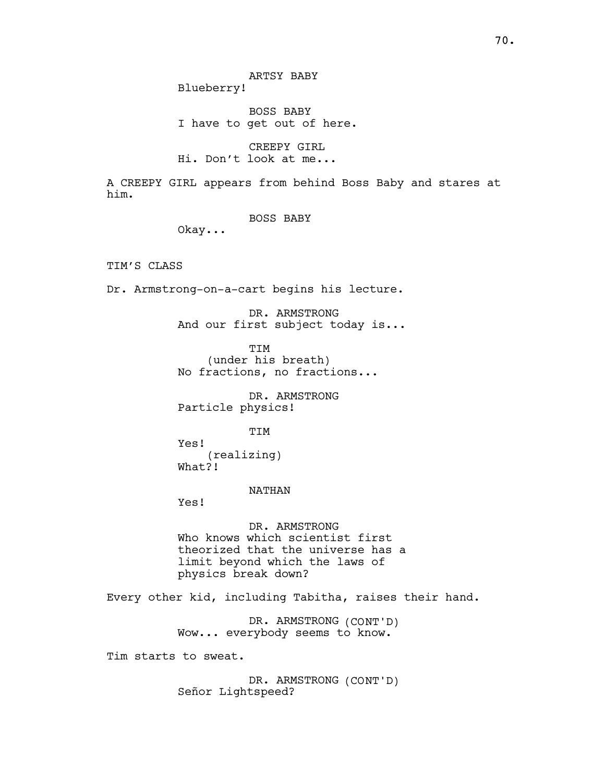70.

ARTSY BABY Blueberry!

BOSS BABY I have to get out of here.

CREEPY GIRL Hi. Don't look at me...

A CREEPY GIRL appears from behind Boss Baby and stares at him.

BOSS BABY

Okay...

TIM'S CLASS

Dr. Armstrong-on-a-cart begins his lecture.

DR. ARMSTRONG And our first subject today is...

TIM (under his breath) No fractions, no fractions...

DR. ARMSTRONG Particle physics!

**TTM** 

Yes! (realizing) What?!

NATHAN

Yes!

DR. ARMSTRONG Who knows which scientist first theorized that the universe has a limit beyond which the laws of physics break down?

Every other kid, including Tabitha, raises their hand.

DR. ARMSTRONG (CONT'D) Wow... everybody seems to know.

Tim starts to sweat.

DR. ARMSTRONG (CONT'D) Señor Lightspeed?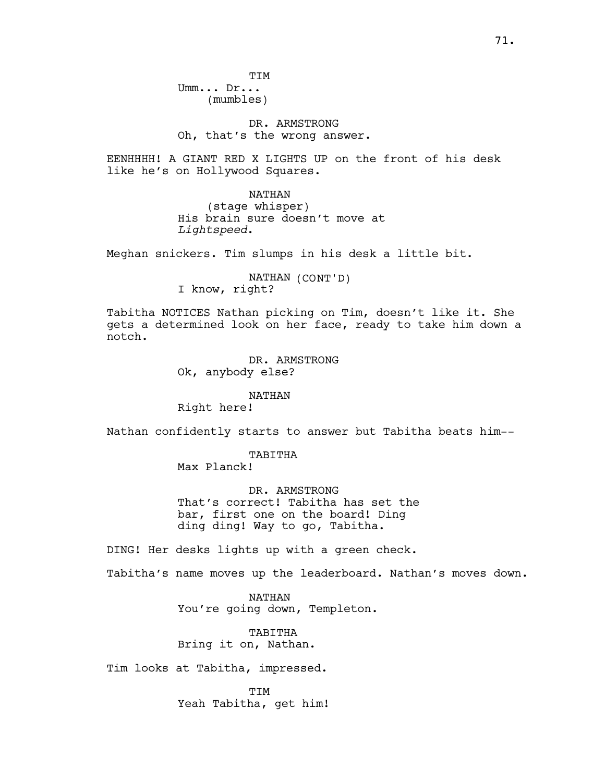DR. ARMSTRONG Oh, that's the wrong answer.

EENHHHH! A GIANT RED X LIGHTS UP on the front of his desk like he's on Hollywood Squares.

NATHAN

(stage whisper) His brain sure doesn't move at Lightspeed.

Meghan snickers. Tim slumps in his desk a little bit.

NATHAN (CONT'D) I know, right?

Tabitha NOTICES Nathan picking on Tim, doesn't like it. She gets a determined look on her face, ready to take him down a notch.

> DR. ARMSTRONG Ok, anybody else?

> > NATHAN

Right here!

Nathan confidently starts to answer but Tabitha beats him--

TABITHA

Max Planck!

DR. ARMSTRONG That's correct! Tabitha has set the bar, first one on the board! Ding ding ding! Way to go, Tabitha.

DING! Her desks lights up with a green check.

Tabitha's name moves up the leaderboard. Nathan's moves down.

NATHAN You're going down, Templeton.

TABITHA Bring it on, Nathan.

Tim looks at Tabitha, impressed.

**TTM** Yeah Tabitha, get him!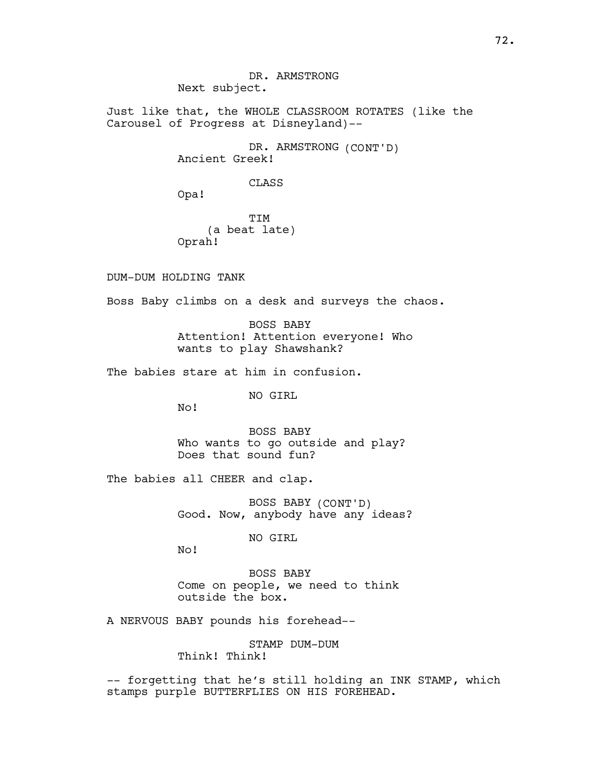DR. ARMSTRONG Next subject.

Just like that, the WHOLE CLASSROOM ROTATES (like the Carousel of Progress at Disneyland)--

> DR. ARMSTRONG (CONT'D) Ancient Greek!

> > CLASS

Opa!

TIM (a beat late) Oprah!

DUM-DUM HOLDING TANK

Boss Baby climbs on a desk and surveys the chaos.

BOSS BABY Attention! Attention everyone! Who wants to play Shawshank?

The babies stare at him in confusion.

NO GIRL

No!

BOSS BABY Who wants to go outside and play? Does that sound fun?

The babies all CHEER and clap.

BOSS BABY (CONT'D) Good. Now, anybody have any ideas?

NO GIRL

No!

BOSS BABY Come on people, we need to think outside the box.

A NERVOUS BABY pounds his forehead--

STAMP DUM-DUM Think! Think!

-- forgetting that he's still holding an INK STAMP, which stamps purple BUTTERFLIES ON HIS FOREHEAD.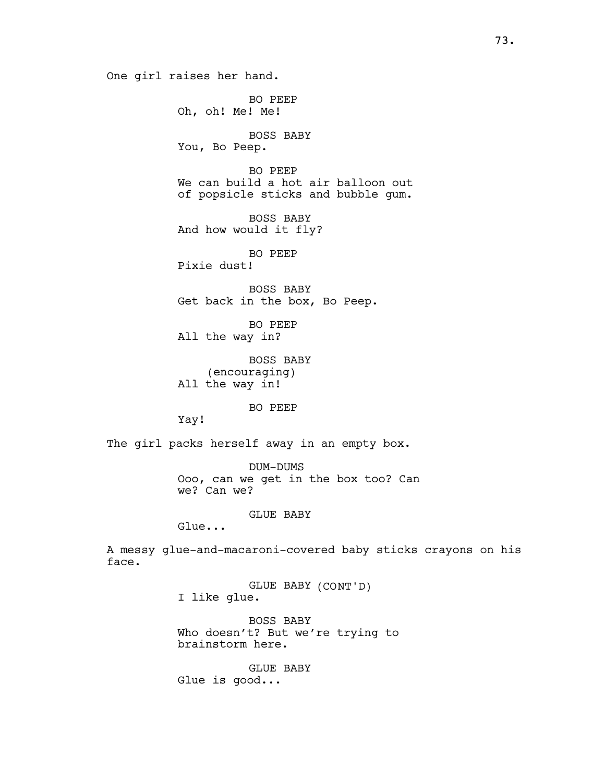One girl raises her hand.

BO PEEP Oh, oh! Me! Me! BOSS BABY You, Bo Peep. BO PEEP We can build a hot air balloon out of popsicle sticks and bubble gum. BOSS BABY And how would it fly? BO PEEP Pixie dust! BOSS BABY Get back in the box, Bo Peep. BO PEEP All the way in? BOSS BABY (encouraging) All the way in! BO PEEP Yay! The girl packs herself away in an empty box. DUM-DUMS Ooo, can we get in the box too? Can we? Can we? GLUE BABY Glue... A messy glue-and-macaroni-covered baby sticks crayons on his GLUE BABY (CONT'D) I like glue.

> BOSS BABY Who doesn't? But we're trying to brainstorm here.

GLUE BABY Glue is good...

face.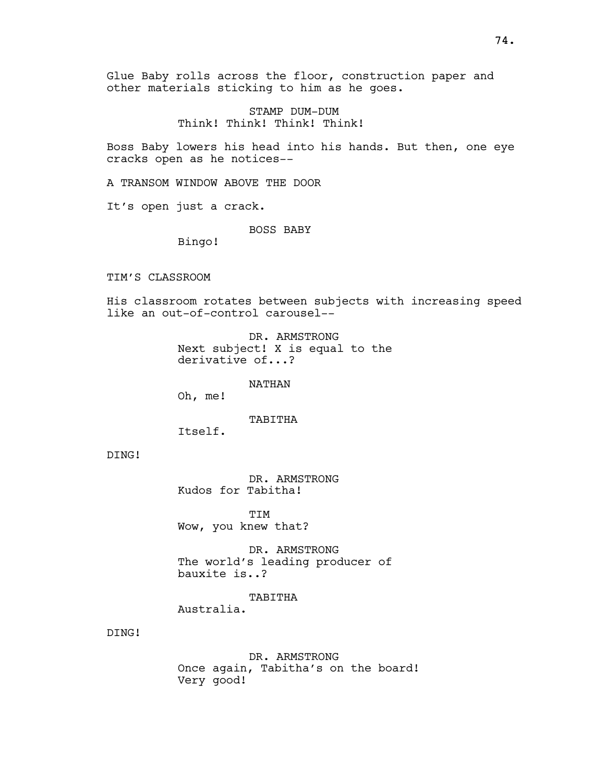Glue Baby rolls across the floor, construction paper and other materials sticking to him as he goes.

> STAMP DUM-DUM Think! Think! Think! Think!

Boss Baby lowers his head into his hands. But then, one eye cracks open as he notices--

A TRANSOM WINDOW ABOVE THE DOOR

It's open just a crack.

BOSS BABY

Bingo!

TIM'S CLASSROOM

His classroom rotates between subjects with increasing speed like an out-of-control carousel--

> DR. ARMSTRONG Next subject! X is equal to the derivative of...?

> > NATHAN

Oh, me!

TABITHA

Itself.

DING!

DR. ARMSTRONG Kudos for Tabitha!

**TTM** Wow, you knew that?

DR. ARMSTRONG The world's leading producer of bauxite is..?

TABITHA

Australia.

DING!

DR. ARMSTRONG Once again, Tabitha's on the board! Very good!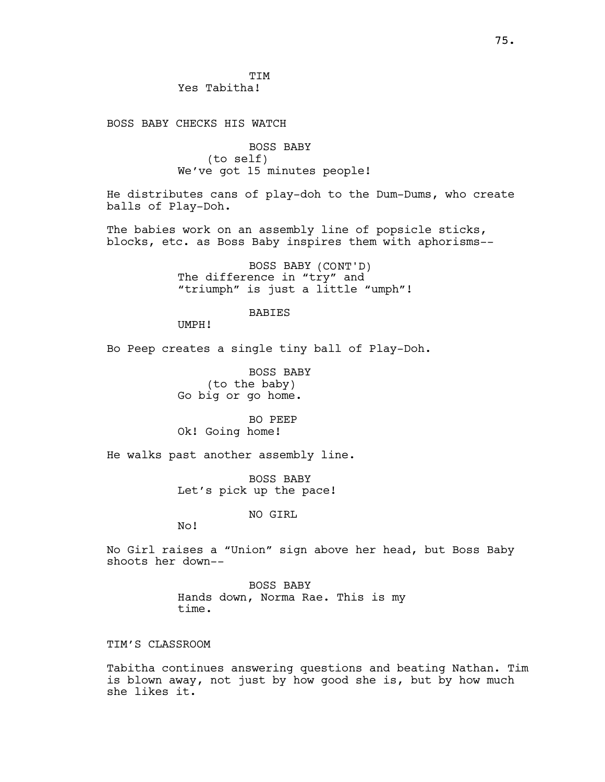BOSS BABY CHECKS HIS WATCH

BOSS BABY (to self) We've got 15 minutes people!

He distributes cans of play-doh to the Dum-Dums, who create balls of Play-Doh.

The babies work on an assembly line of popsicle sticks, blocks, etc. as Boss Baby inspires them with aphorisms--

> BOSS BABY (CONT'D) The difference in "try" and "triumph" is just a little "umph"!

#### BABIES

UMPH!

Bo Peep creates a single tiny ball of Play-Doh.

BOSS BABY (to the baby) Go big or go home.

BO PEEP Ok! Going home!

He walks past another assembly line.

BOSS BABY Let's pick up the pace!

NO GIRL

No!

No Girl raises a "Union" sign above her head, but Boss Baby shoots her down--

> BOSS BABY Hands down, Norma Rae. This is my time.

# TIM'S CLASSROOM

Tabitha continues answering questions and beating Nathan. Tim is blown away, not just by how good she is, but by how much she likes it.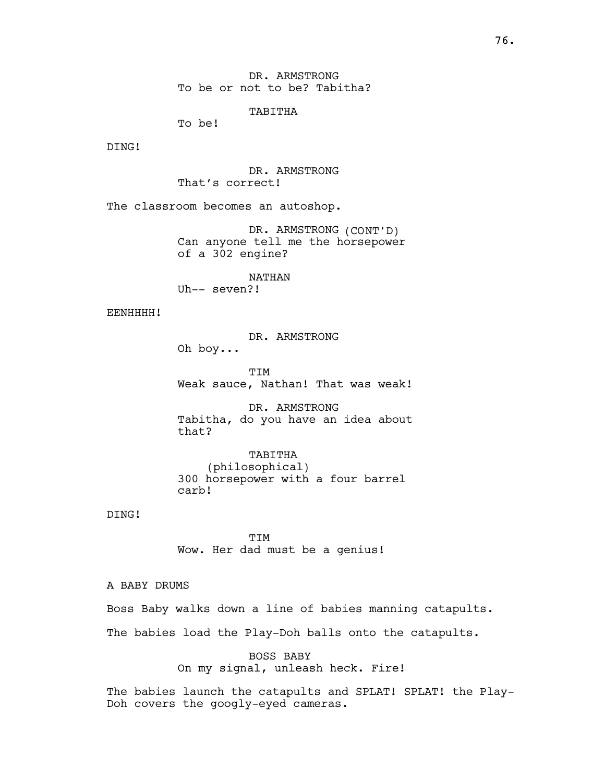TABITHA

To be!

DING!

DR. ARMSTRONG That's correct!

The classroom becomes an autoshop.

DR. ARMSTRONG (CONT'D) Can anyone tell me the horsepower of a 302 engine?

NATHAN Uh-- seven?!

### EENHHHH!

DR. ARMSTRONG

Oh boy...

TIM Weak sauce, Nathan! That was weak!

DR. ARMSTRONG Tabitha, do you have an idea about that?

TABITHA (philosophical) 300 horsepower with a four barrel carb!

DING!

TIM Wow. Her dad must be a genius!

A BABY DRUMS

Boss Baby walks down a line of babies manning catapults.

The babies load the Play-Doh balls onto the catapults.

BOSS BABY On my signal, unleash heck. Fire!

The babies launch the catapults and SPLAT! SPLAT! the Play-Doh covers the googly-eyed cameras.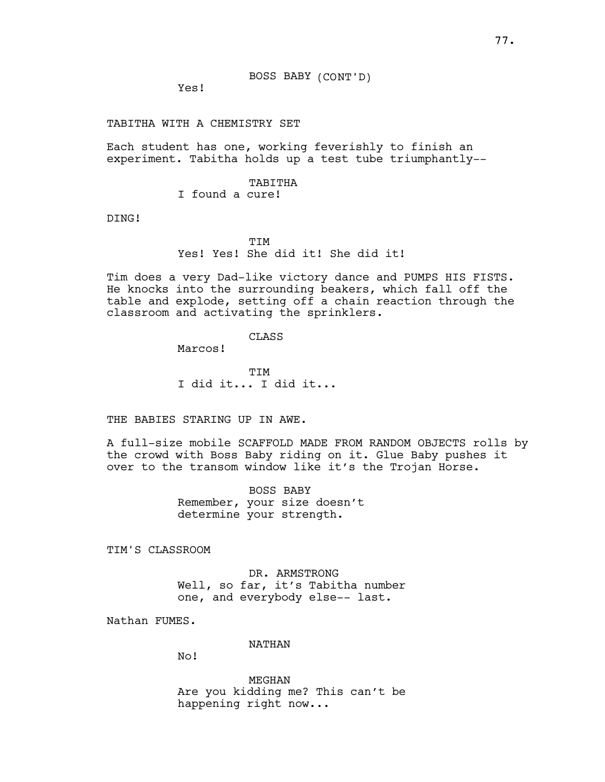BOSS BABY (CONT'D)

Yes!

TABITHA WITH A CHEMISTRY SET

Each student has one, working feverishly to finish an experiment. Tabitha holds up a test tube triumphantly--

> TABITHA I found a cure!

DING!

**TTM** 

Yes! Yes! She did it! She did it!

Tim does a very Dad-like victory dance and PUMPS HIS FISTS. He knocks into the surrounding beakers, which fall off the table and explode, setting off a chain reaction through the classroom and activating the sprinklers.

### CLASS

Marcos!

TIM I did it... I did it...

THE BABIES STARING UP IN AWE.

A full-size mobile SCAFFOLD MADE FROM RANDOM OBJECTS rolls by the crowd with Boss Baby riding on it. Glue Baby pushes it over to the transom window like it's the Trojan Horse.

> BOSS BABY Remember, your size doesn't determine your strength.

TIM'S CLASSROOM

DR. ARMSTRONG Well, so far, it's Tabitha number one, and everybody else-- last.

Nathan FUMES.

NATHAN

No!

MEGHAN Are you kidding me? This can't be happening right now...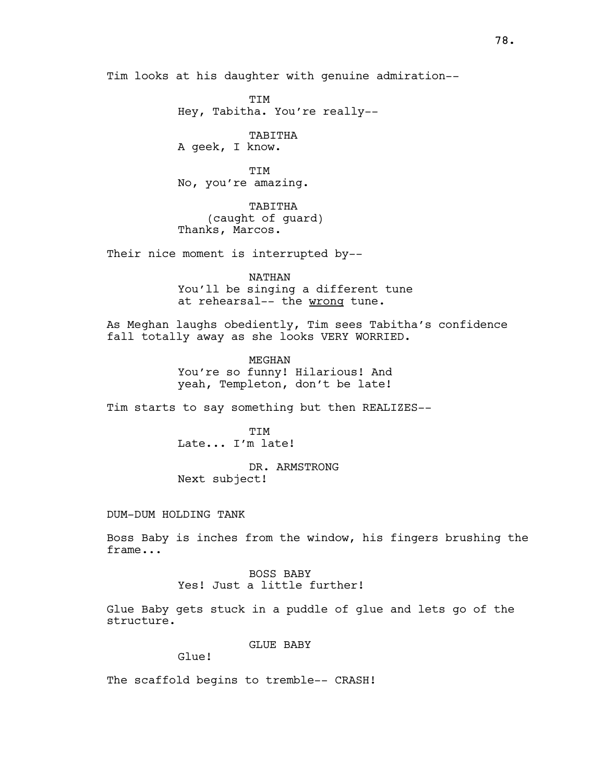Tim looks at his daughter with genuine admiration--

TIM Hey, Tabitha. You're really--

TABITHA A geek, I know.

**TTM** No, you're amazing.

TABITHA (caught of guard) Thanks, Marcos.

Their nice moment is interrupted by--

NATHAN You'll be singing a different tune at rehearsal-- the wrong tune.

As Meghan laughs obediently, Tim sees Tabitha's confidence fall totally away as she looks VERY WORRIED.

> MEGHAN You're so funny! Hilarious! And yeah, Templeton, don't be late!

Tim starts to say something but then REALIZES--

**TTM** Late... I'm late!

DR. ARMSTRONG Next subject!

#### DUM-DUM HOLDING TANK

Boss Baby is inches from the window, his fingers brushing the frame...

> BOSS BABY Yes! Just a little further!

Glue Baby gets stuck in a puddle of glue and lets go of the structure.

GLUE BABY

Glue!

The scaffold begins to tremble-- CRASH!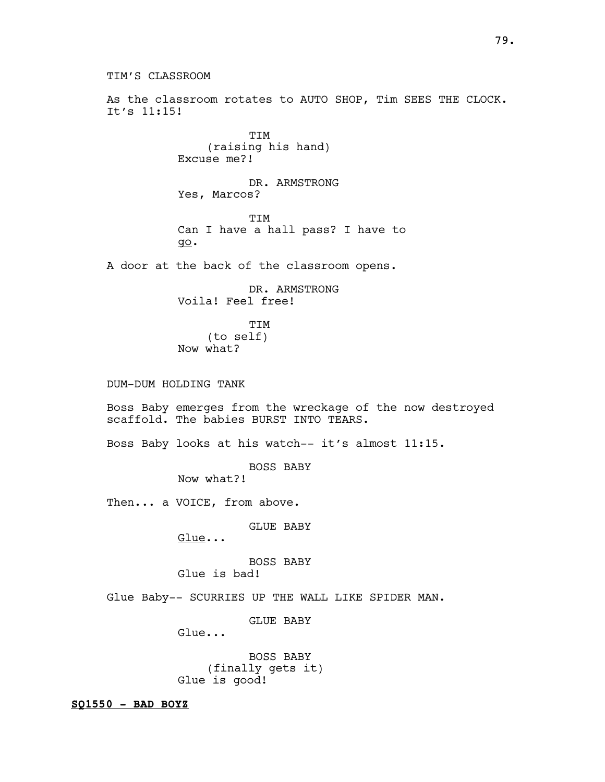TIM'S CLASSROOM As the classroom rotates to AUTO SHOP, Tim SEES THE CLOCK. It's 11:15! TIM (raising his hand) Excuse me?! DR. ARMSTRONG Yes, Marcos? TIM Can I have a hall pass? I have to go. A door at the back of the classroom opens. DR. ARMSTRONG Voila! Feel free! TIM (to self) Now what? DUM-DUM HOLDING TANK Boss Baby emerges from the wreckage of the now destroyed scaffold. The babies BURST INTO TEARS. Boss Baby looks at his watch-- it's almost 11:15. BOSS BABY Now what?! Then... a VOICE, from above. GLUE BABY Glue... BOSS BABY Glue is bad! Glue Baby-- SCURRIES UP THE WALL LIKE SPIDER MAN. GLUE BABY Glue... BOSS BABY (finally gets it) Glue is good!

 $SQ1550 - BAD BOYZ$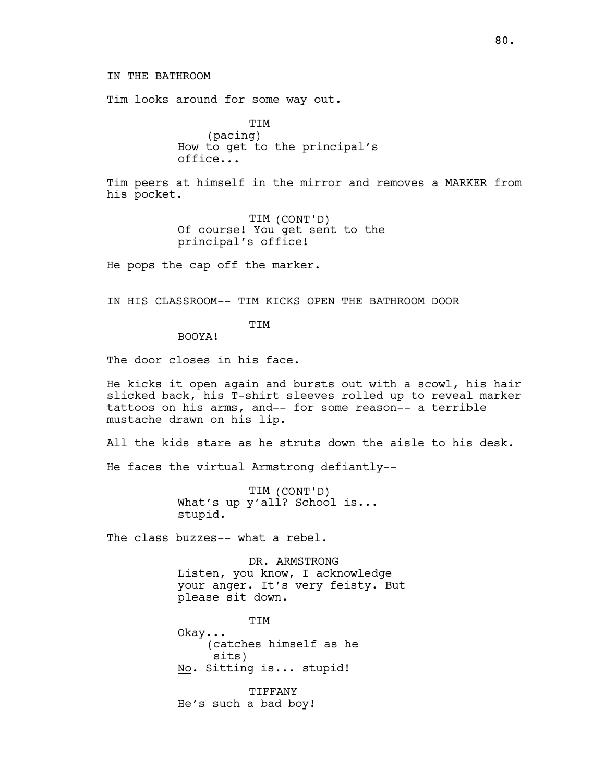Tim looks around for some way out.

TIM (pacing) How to get to the principal's office...

Tim peers at himself in the mirror and removes a MARKER from his pocket.

> TIM (CONT'D) Of course! You get sent to the principal's office!

He pops the cap off the marker.

IN HIS CLASSROOM-- TIM KICKS OPEN THE BATHROOM DOOR

**TTM** 

BOOYA!

The door closes in his face.

He kicks it open again and bursts out with a scowl, his hair slicked back, his T-shirt sleeves rolled up to reveal marker tattoos on his arms, and-- for some reason-- a terrible mustache drawn on his lip.

All the kids stare as he struts down the aisle to his desk.

He faces the virtual Armstrong defiantly--

TIM (CONT'D) What's up y'all? School is... stupid.

The class buzzes-- what a rebel.

DR. ARMSTRONG Listen, you know, I acknowledge your anger. It's very feisty. But please sit down.

TIM Okay... (catches himself as he sits) No. Sitting is... stupid!

**TIFFANY** He's such a bad boy!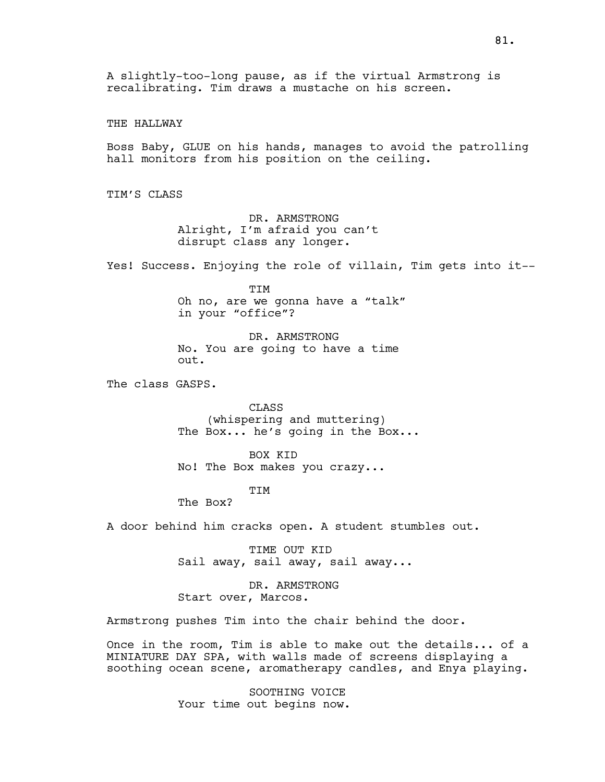THE HALLWAY

Boss Baby, GLUE on his hands, manages to avoid the patrolling hall monitors from his position on the ceiling.

TIM'S CLASS

DR. ARMSTRONG Alright, I'm afraid you can't disrupt class any longer.

Yes! Success. Enjoying the role of villain, Tim gets into it--

TIM Oh no, are we gonna have a "talk" in your "office"?

DR. ARMSTRONG No. You are going to have a time out.

The class GASPS.

CLASS (whispering and muttering) The Box... he's going in the Box...

BOX KID No! The Box makes you crazy...

TIM

The Box?

A door behind him cracks open. A student stumbles out.

TIME OUT KID Sail away, sail away, sail away...

DR. ARMSTRONG Start over, Marcos.

Armstrong pushes Tim into the chair behind the door.

Once in the room, Tim is able to make out the details... of a MINIATURE DAY SPA, with walls made of screens displaying a soothing ocean scene, aromatherapy candles, and Enya playing.

> SOOTHING VOICE Your time out begins now.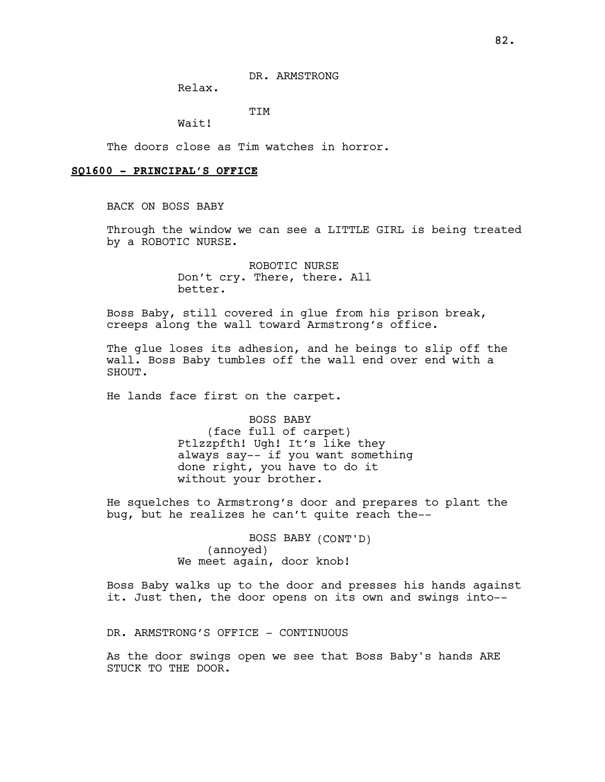DR. ARMSTRONG

Relax.

TIM

Wait!

The doors close as Tim watches in horror.

## SQ1600 - PRINCIPAL'S OFFICE

BACK ON BOSS BABY

Through the window we can see a LITTLE GIRL is being treated by a ROBOTIC NURSE.

> ROBOTIC NURSE Don't cry. There, there. All better.

Boss Baby, still covered in glue from his prison break, creeps along the wall toward Armstrong's office.

The glue loses its adhesion, and he beings to slip off the wall. Boss Baby tumbles off the wall end over end with a SHOUT.

He lands face first on the carpet.

BOSS BABY (face full of carpet) Ptlzzpfth! Ugh! It's like they always say-- if you want something done right, you have to do it without your brother.

He squelches to Armstrong's door and prepares to plant the bug, but he realizes he can't quite reach the--

> BOSS BABY (CONT'D) (annoyed) We meet again, door knob!

Boss Baby walks up to the door and presses his hands against it. Just then, the door opens on its own and swings into--

DR. ARMSTRONG'S OFFICE - CONTINUOUS

As the door swings open we see that Boss Baby's hands ARE STUCK TO THE DOOR.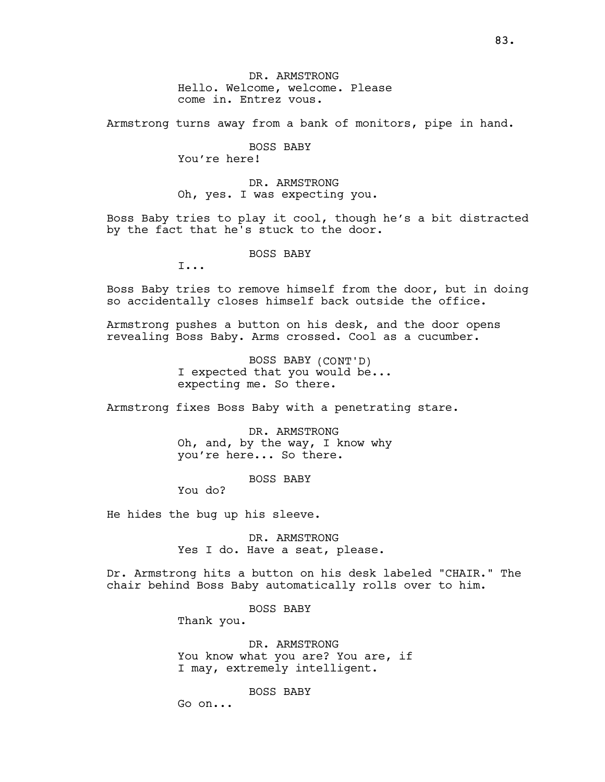DR. ARMSTRONG Hello. Welcome, welcome. Please come in. Entrez vous.

Armstrong turns away from a bank of monitors, pipe in hand.

BOSS BABY You're here!

DR. ARMSTRONG Oh, yes. I was expecting you.

Boss Baby tries to play it cool, though he's a bit distracted by the fact that he's stuck to the door.

BOSS BABY

I...

Boss Baby tries to remove himself from the door, but in doing so accidentally closes himself back outside the office.

Armstrong pushes a button on his desk, and the door opens revealing Boss Baby. Arms crossed. Cool as a cucumber.

> BOSS BABY (CONT'D) I expected that you would be... expecting me. So there.

Armstrong fixes Boss Baby with a penetrating stare.

DR. ARMSTRONG Oh, and, by the way, I know why you're here... So there.

BOSS BABY

You do?

He hides the bug up his sleeve.

DR. ARMSTRONG Yes I do. Have a seat, please.

Dr. Armstrong hits a button on his desk labeled "CHAIR." The chair behind Boss Baby automatically rolls over to him.

BOSS BABY

Thank you.

DR. ARMSTRONG You know what you are? You are, if I may, extremely intelligent.

BOSS BABY

Go on...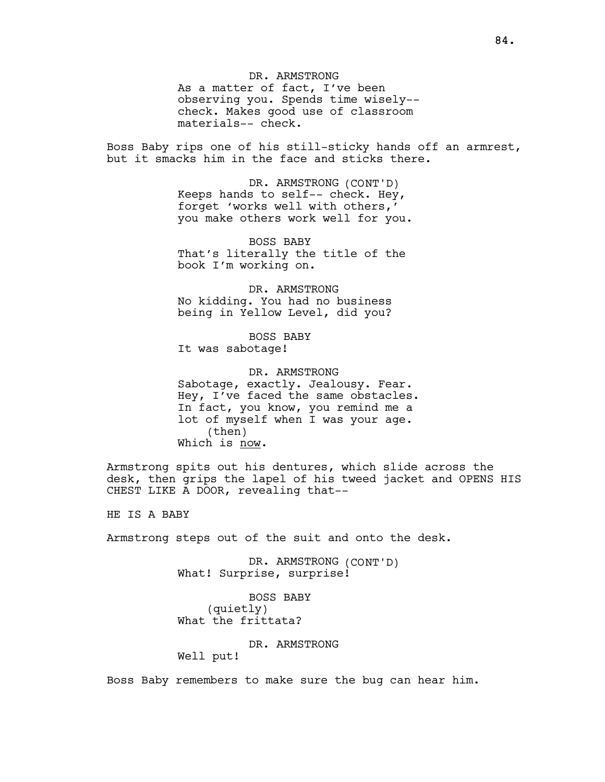DR. ARMSTRONG As a matter of fact, I've been observing you. Spends time wisely- check. Makes good use of classroom materials-- check.

Boss Baby rips one of his still-sticky hands off an armrest, but it smacks him in the face and sticks there.

> DR. ARMSTRONG (CONT'D) Keeps hands to self-- check. Hey, forget 'works well with others,' you make others work well for you.

BOSS BABY That's literally the title of the book I'm working on.

DR. ARMSTRONG No kidding. You had no business being in Yellow Level, did you?

BOSS BABY It was sabotage!

DR. ARMSTRONG Sabotage, exactly. Jealousy. Fear. Hey, I've faced the same obstacles. In fact, you know, you remind me a lot of myself when I was your age. (then) Which is now.

Armstrong spits out his dentures, which slide across the desk, then grips the lapel of his tweed jacket and OPENS HIS CHEST LIKE A DOOR, revealing that--

HE IS A BABY

Armstrong steps out of the suit and onto the desk.

DR. ARMSTRONG (CONT'D) What! Surprise, surprise!

BOSS BABY (quietly) What the frittata?

DR. ARMSTRONG

Well put!

Boss Baby remembers to make sure the bug can hear him.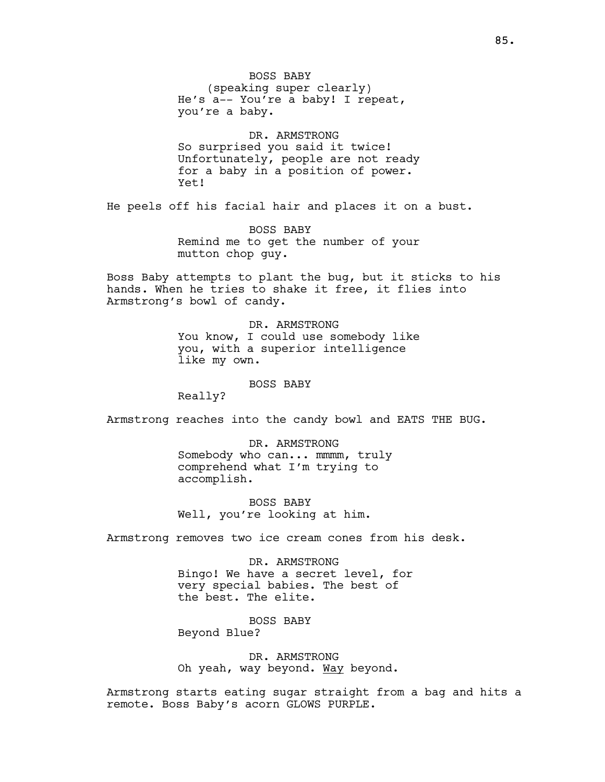BOSS BABY (speaking super clearly) He's a-- You're a baby! I repeat, you're a baby.

DR. ARMSTRONG So surprised you said it twice! Unfortunately, people are not ready for a baby in a position of power. Yet!

He peels off his facial hair and places it on a bust.

BOSS BABY Remind me to get the number of your mutton chop guy.

Boss Baby attempts to plant the bug, but it sticks to his hands. When he tries to shake it free, it flies into Armstrong's bowl of candy.

> DR. ARMSTRONG You know, I could use somebody like you, with a superior intelligence like my own.

#### BOSS BABY

Really?

Armstrong reaches into the candy bowl and EATS THE BUG.

DR. ARMSTRONG Somebody who can... mmmm, truly comprehend what I'm trying to accomplish.

BOSS BABY Well, you're looking at him.

Armstrong removes two ice cream cones from his desk.

DR. ARMSTRONG Bingo! We have a secret level, for very special babies. The best of the best. The elite.

BOSS BABY Beyond Blue?

DR. ARMSTRONG Oh yeah, way beyond. Way beyond.

Armstrong starts eating sugar straight from a bag and hits a remote. Boss Baby's acorn GLOWS PURPLE.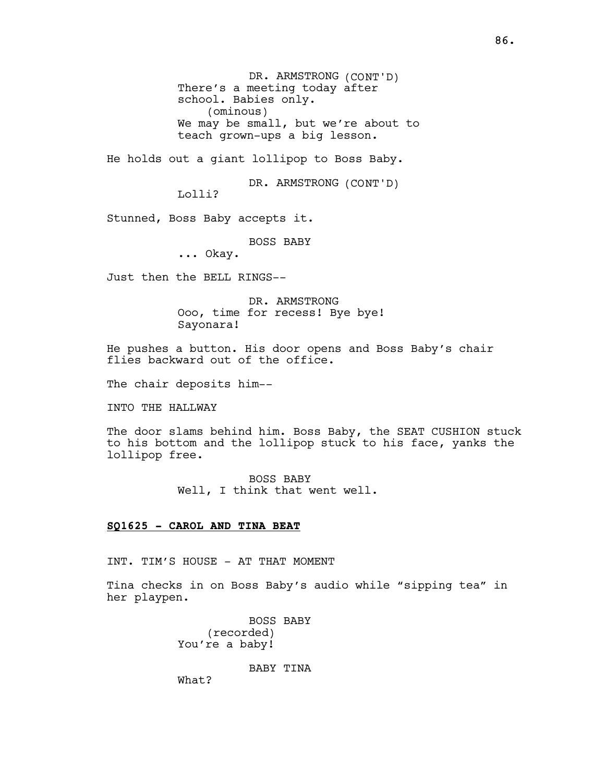DR. ARMSTRONG (CONT'D) There's a meeting today after school. Babies only. (ominous) We may be small, but we're about to teach grown-ups a big lesson.

He holds out a giant lollipop to Boss Baby.

DR. ARMSTRONG (CONT'D)

Lolli?

Stunned, Boss Baby accepts it.

BOSS BABY

... Okay.

Just then the BELL RINGS--

DR. ARMSTRONG Ooo, time for recess! Bye bye! Sayonara!

He pushes a button. His door opens and Boss Baby's chair flies backward out of the office.

The chair deposits him--

INTO THE HALLWAY

The door slams behind him. Boss Baby, the SEAT CUSHION stuck to his bottom and the lollipop stuck to his face, yanks the lollipop free.

> BOSS BABY Well, I think that went well.

# SQ1625 - CAROL AND TINA BEAT

INT. TIM'S HOUSE - AT THAT MOMENT

Tina checks in on Boss Baby's audio while "sipping tea" in her playpen.

> BOSS BABY (recorded) You're a baby!

> > BABY TINA

What?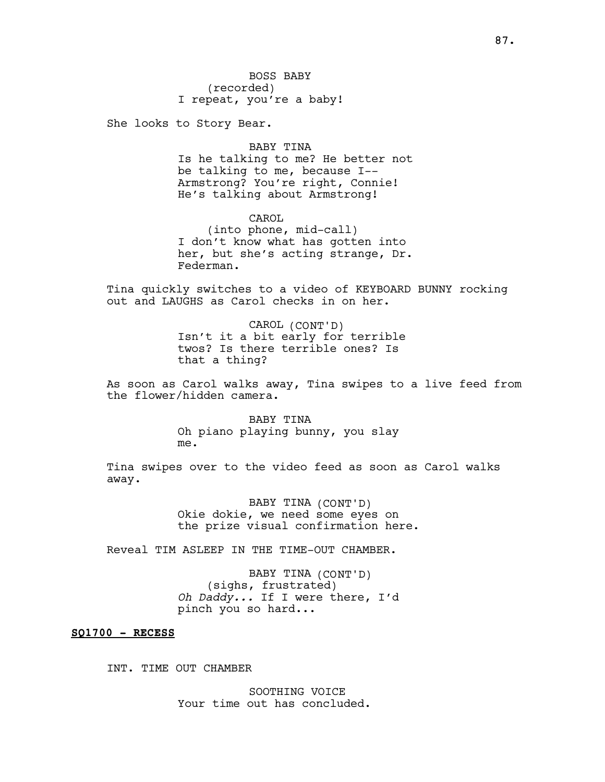She looks to Story Bear.

### BABY TINA

Is he talking to me? He better not be talking to me, because I-- Armstrong? You're right, Connie! He's talking about Armstrong!

CAROL (into phone, mid-call) I don't know what has gotten into her, but she's acting strange, Dr. Federman.

Tina quickly switches to a video of KEYBOARD BUNNY rocking out and LAUGHS as Carol checks in on her.

> CAROL (CONT'D) Isn't it a bit early for terrible twos? Is there terrible ones? Is that a thing?

As soon as Carol walks away, Tina swipes to a live feed from the flower/hidden camera.

> BABY TINA Oh piano playing bunny, you slay me.

Tina swipes over to the video feed as soon as Carol walks away.

> BABY TINA (CONT'D) Okie dokie, we need some eyes on the prize visual confirmation here.

Reveal TIM ASLEEP IN THE TIME-OUT CHAMBER.

BABY TINA (CONT'D) (sighs, frustrated) Oh Daddy... If I were there, I'd pinch you so hard...

# SQ1700 - RECESS

INT. TIME OUT CHAMBER

SOOTHING VOICE Your time out has concluded.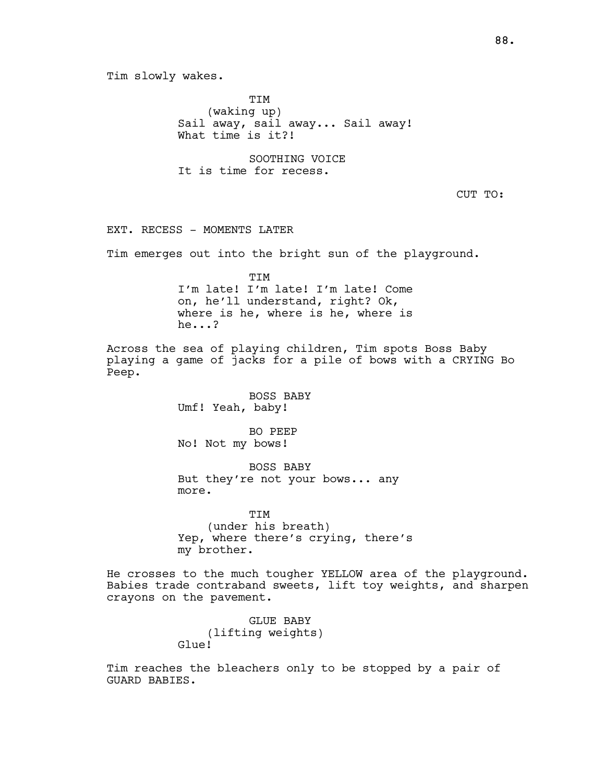Tim slowly wakes. TIM (waking up) Sail away, sail away... Sail away! What time is it?! SOOTHING VOICE It is time for recess. CUT TO: EXT. RECESS - MOMENTS LATER Tim emerges out into the bright sun of the playground. TIM I'm late! I'm late! I'm late! Come on, he'll understand, right? Ok, where is he, where is he, where is he...? Across the sea of playing children, Tim spots Boss Baby playing a game of jacks for a pile of bows with a CRYING Bo Peep. BOSS BABY Umf! Yeah, baby! BO PEEP No! Not my bows! BOSS BABY But they're not your bows... any more. **TTM** (under his breath) Yep, where there's crying, there's my brother. He crosses to the much tougher YELLOW area of the playground. Babies trade contraband sweets, lift toy weights, and sharpen crayons on the pavement. GLUE BABY

(lifting weights) Glue!

Tim reaches the bleachers only to be stopped by a pair of GUARD BABIES.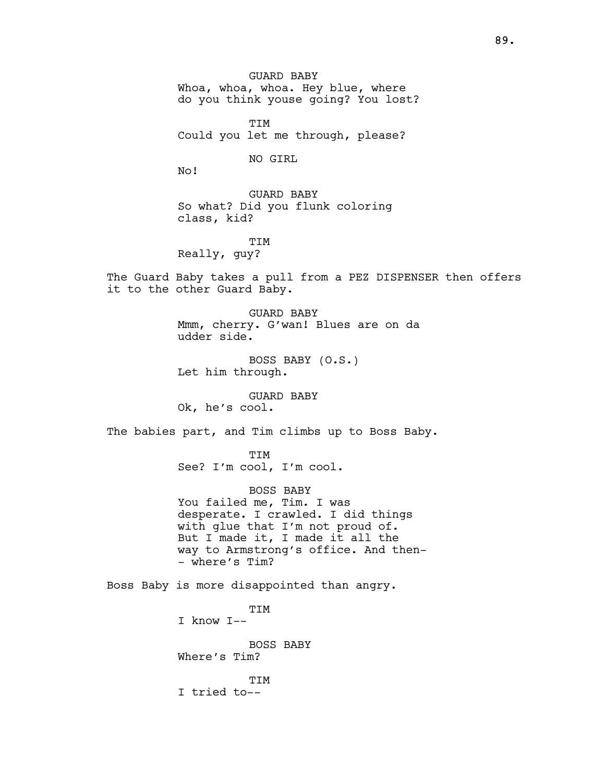GUARD BABY Whoa, whoa, whoa. Hey blue, where do you think youse going? You lost?

TIM Could you let me through, please?

NO GIRL

No!

GUARD BABY So what? Did you flunk coloring class, kid?

TIM Really, guy?

The Guard Baby takes a pull from a PEZ DISPENSER then offers it to the other Guard Baby.

> GUARD BABY Mmm, cherry. G'wan! Blues are on da udder side.

BOSS BABY (O.S.) Let him through.

GUARD BABY Ok, he's cool.

The babies part, and Tim climbs up to Boss Baby.

TIM See? I'm cool, I'm cool.

BOSS BABY You failed me, Tim. I was desperate. I crawled. I did things with glue that I'm not proud of. But I made it, I made it all the way to Armstrong's office. And then- - where's Tim?

Boss Baby is more disappointed than angry.

TIM I know I-- BOSS BABY Where's Tim? TIM I tried to--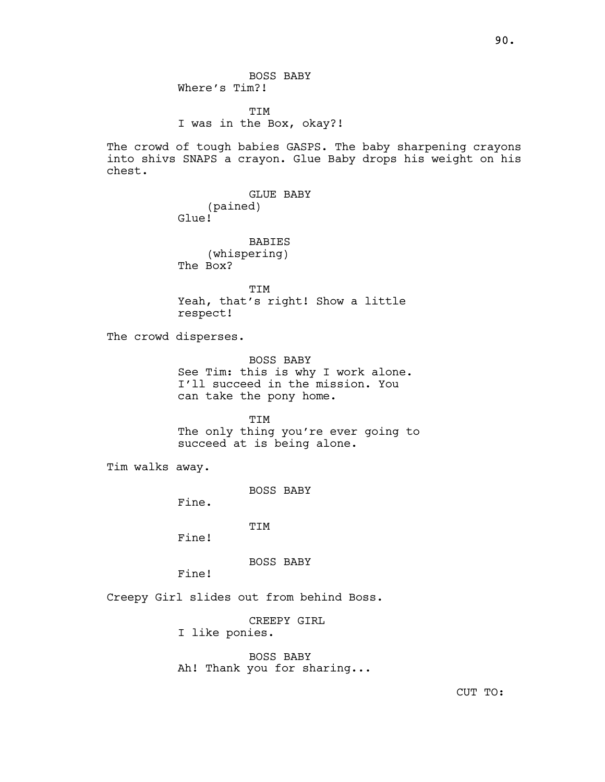BOSS BABY Where's Tim?!

TIM I was in the Box, okay?!

The crowd of tough babies GASPS. The baby sharpening crayons into shivs SNAPS a crayon. Glue Baby drops his weight on his chest.

> GLUE BABY (pained) Glue!

BABIES (whispering) The Box?

TIM Yeah, that's right! Show a little respect!

The crowd disperses.

BOSS BABY See Tim: this is why I work alone. I'll succeed in the mission. You can take the pony home.

TIM The only thing you're ever going to succeed at is being alone.

Tim walks away.

BOSS BABY

Fine.

TIM

Fine!

BOSS BABY

Fine!

Creepy Girl slides out from behind Boss.

CREEPY GIRL

I like ponies.

BOSS BABY Ah! Thank you for sharing...

CUT TO: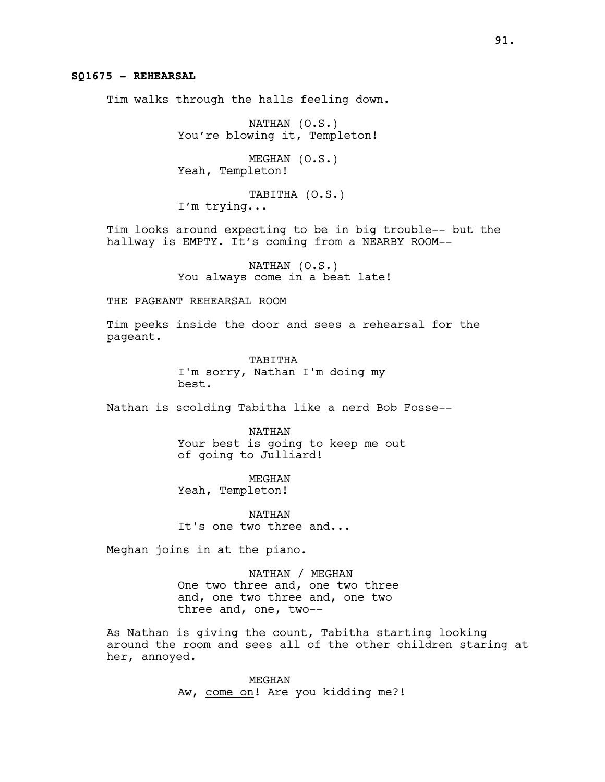# SQ1675 - REHEARSAL

Tim walks through the halls feeling down.

NATHAN (O.S.) You're blowing it, Templeton!

MEGHAN (O.S.) Yeah, Templeton!

TABITHA (O.S.) I'm trying...

Tim looks around expecting to be in big trouble-- but the hallway is EMPTY. It's coming from a NEARBY ROOM--

> NATHAN (O.S.) You always come in a beat late!

# THE PAGEANT REHEARSAL ROOM

Tim peeks inside the door and sees a rehearsal for the pageant.

> TABITHA I'm sorry, Nathan I'm doing my best.

Nathan is scolding Tabitha like a nerd Bob Fosse--

NATHAN Your best is going to keep me out of going to Julliard!

MEGHAN Yeah, Templeton!

NATHAN It's one two three and...

Meghan joins in at the piano.

NATHAN / MEGHAN One two three and, one two three and, one two three and, one two three and, one, two--

As Nathan is giving the count, Tabitha starting looking around the room and sees all of the other children staring at her, annoyed.

> MEGHAN Aw, come on! Are you kidding me?!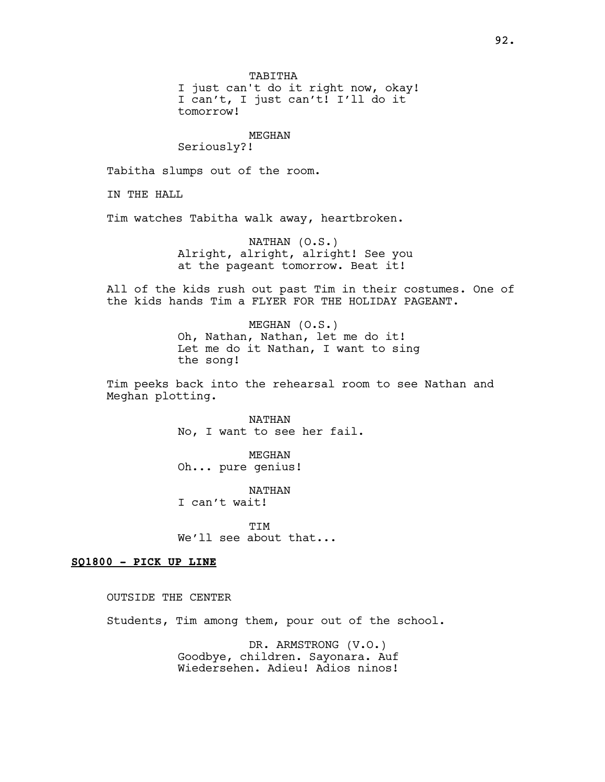TABITHA

I just can't do it right now, okay! I can't, I just can't! I'll do it tomorrow!

#### MEGHAN

Seriously?!

Tabitha slumps out of the room.

IN THE HALL

Tim watches Tabitha walk away, heartbroken.

NATHAN (O.S.) Alright, alright, alright! See you at the pageant tomorrow. Beat it!

All of the kids rush out past Tim in their costumes. One of the kids hands Tim a FLYER FOR THE HOLIDAY PAGEANT.

> MEGHAN (O.S.) Oh, Nathan, Nathan, let me do it! Let me do it Nathan, I want to sing the song!

Tim peeks back into the rehearsal room to see Nathan and Meghan plotting.

> NATHAN No, I want to see her fail.

MEGHAN Oh... pure genius!

NATHAN I can't wait!

TIM We'll see about that...

## SQ1800 - PICK UP LINE

OUTSIDE THE CENTER

Students, Tim among them, pour out of the school.

DR. ARMSTRONG (V.O.) Goodbye, children. Sayonara. Auf Wiedersehen. Adieu! Adios ninos!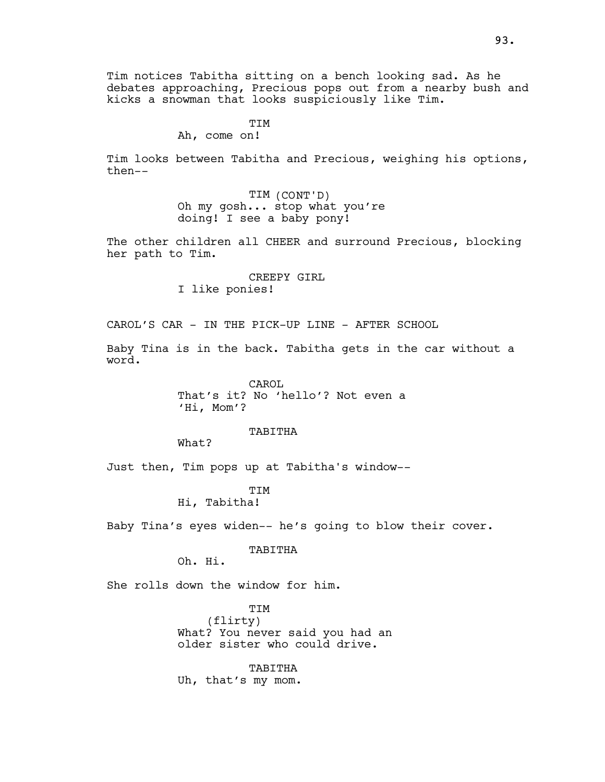Tim notices Tabitha sitting on a bench looking sad. As he debates approaching, Precious pops out from a nearby bush and kicks a snowman that looks suspiciously like Tim.

> **TTM** Ah, come on!

Tim looks between Tabitha and Precious, weighing his options, then--

> TIM (CONT'D) Oh my gosh... stop what you're doing! I see a baby pony!

The other children all CHEER and surround Precious, blocking her path to Tim.

> CREEPY GIRL I like ponies!

CAROL'S CAR - IN THE PICK-UP LINE - AFTER SCHOOL

Baby Tina is in the back. Tabitha gets in the car without a word.

> CAROL<sub>I</sub> That's it? No 'hello'? Not even a 'Hi, Mom'?

> > TABITHA

What?

Just then, Tim pops up at Tabitha's window--

TIM Hi, Tabitha!

Baby Tina's eyes widen-- he's going to blow their cover.

TABITHA

Oh. Hi.

She rolls down the window for him.

TIM (flirty) What? You never said you had an older sister who could drive.

TABITHA Uh, that's my mom.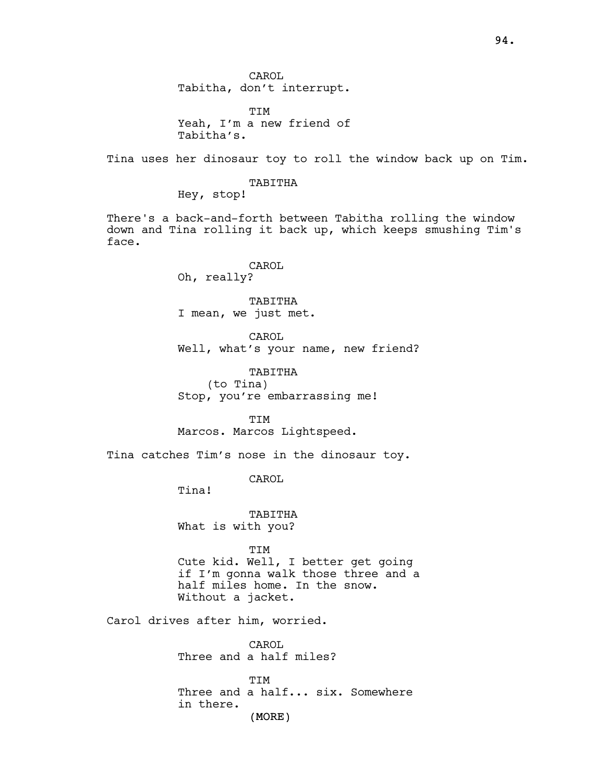CAROL Tabitha, don't interrupt.

TIM Yeah, I'm a new friend of Tabitha's.

Tina uses her dinosaur toy to roll the window back up on Tim.

# TABITHA

Hey, stop!

There's a back-and-forth between Tabitha rolling the window down and Tina rolling it back up, which keeps smushing Tim's face.

> CAROL Oh, really?

TABITHA I mean, we just met.

CAROL Well, what's your name, new friend?

TABITHA (to Tina) Stop, you're embarrassing me!

TIM Marcos. Marcos Lightspeed.

Tina catches Tim's nose in the dinosaur toy.

CAROL

Tina!

TABITHA What is with you?

TIM

Cute kid. Well, I better get going if I'm gonna walk those three and a half miles home. In the snow. Without a jacket.

Carol drives after him, worried.

CAROL. Three and a half miles?

TIM Three and a half... six. Somewhere in there.

(MORE)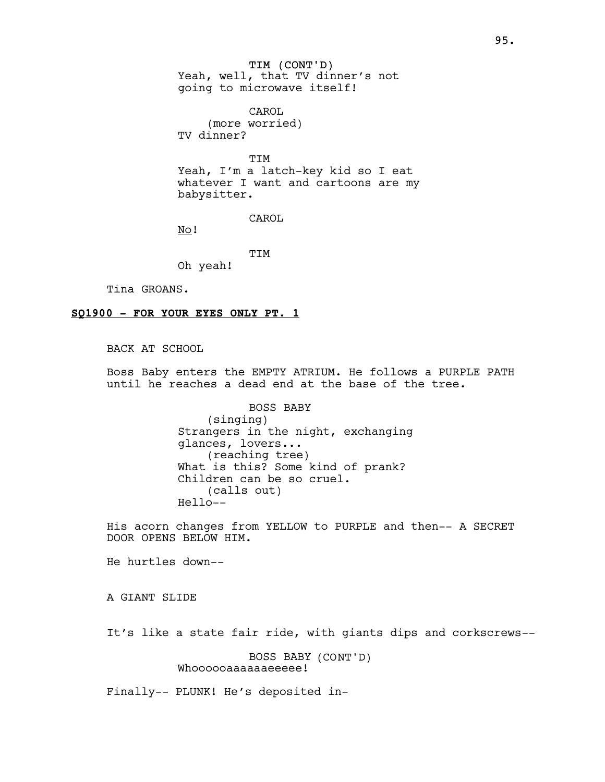TIM (CONT'D) Yeah, well, that TV dinner's not going to microwave itself!

CAROL (more worried) TV dinner?

TIM Yeah, I'm a latch-key kid so I eat whatever I want and cartoons are my babysitter.

CAROL

No!

**TTM** Oh yeah!

Tina GROANS.

#### SQ1900 - FOR YOUR EYES ONLY PT. 1

BACK AT SCHOOL

Boss Baby enters the EMPTY ATRIUM. He follows a PURPLE PATH until he reaches a dead end at the base of the tree.

> BOSS BABY (singing) Strangers in the night, exchanging glances, lovers... (reaching tree) What is this? Some kind of prank? Children can be so cruel. (calls out) Hello--

His acorn changes from YELLOW to PURPLE and then-- A SECRET DOOR OPENS BELOW HIM.

He hurtles down--

A GIANT SLIDE

It's like a state fair ride, with giants dips and corkscrews--

BOSS BABY (CONT'D) Whoooooaaaaaaeeeee!

Finally-- PLUNK! He's deposited in-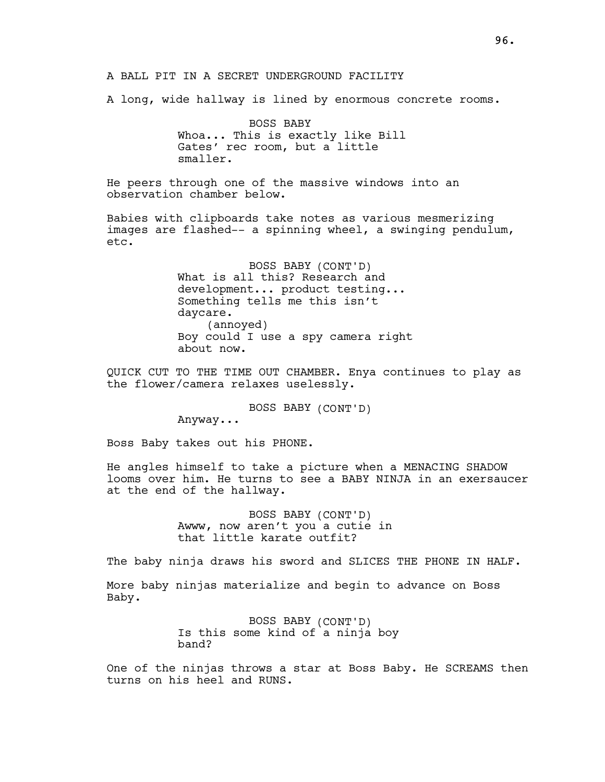A BALL PIT IN A SECRET UNDERGROUND FACILITY

A long, wide hallway is lined by enormous concrete rooms.

BOSS BABY Whoa... This is exactly like Bill Gates' rec room, but a little smaller.

He peers through one of the massive windows into an observation chamber below.

Babies with clipboards take notes as various mesmerizing images are flashed-- a spinning wheel, a swinging pendulum, etc.

> BOSS BABY (CONT'D) What is all this? Research and development... product testing... Something tells me this isn't daycare. (annoyed) Boy could I use a spy camera right about now.

QUICK CUT TO THE TIME OUT CHAMBER. Enya continues to play as the flower/camera relaxes uselessly.

BOSS BABY (CONT'D)

Anyway...

Boss Baby takes out his PHONE.

He angles himself to take a picture when a MENACING SHADOW looms over him. He turns to see a BABY NINJA in an exersaucer at the end of the hallway.

> BOSS BABY (CONT'D) Awww, now aren't you a cutie in that little karate outfit?

The baby ninja draws his sword and SLICES THE PHONE IN HALF.

More baby ninjas materialize and begin to advance on Boss Baby.

> BOSS BABY (CONT'D) Is this some kind of a ninja boy band?

One of the ninjas throws a star at Boss Baby. He SCREAMS then turns on his heel and RUNS.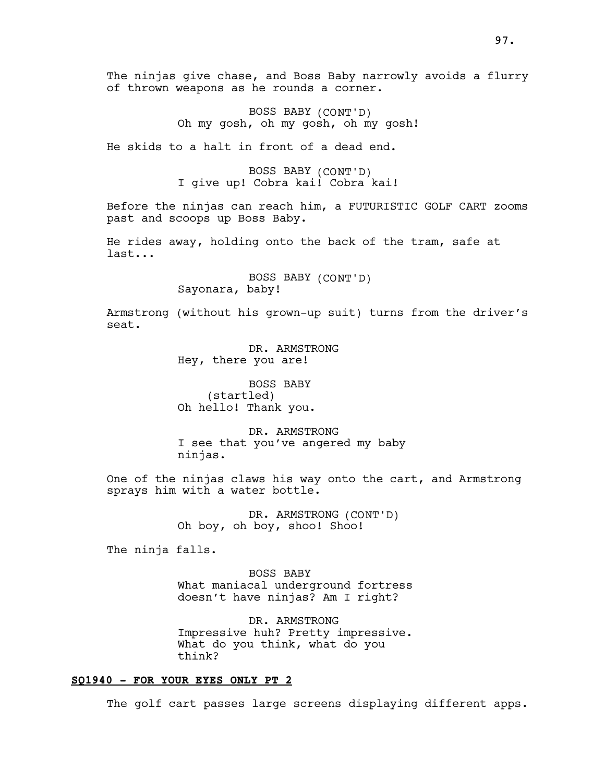The ninjas give chase, and Boss Baby narrowly avoids a flurry of thrown weapons as he rounds a corner.

> BOSS BABY (CONT'D) Oh my gosh, oh my gosh, oh my gosh!

He skids to a halt in front of a dead end.

BOSS BABY (CONT'D) I give up! Cobra kai! Cobra kai!

Before the ninjas can reach him, a FUTURISTIC GOLF CART zooms past and scoops up Boss Baby.

He rides away, holding onto the back of the tram, safe at last...

> BOSS BABY (CONT'D) Sayonara, baby!

Armstrong (without his grown-up suit) turns from the driver's seat.

> DR. ARMSTRONG Hey, there you are!

BOSS BABY (startled) Oh hello! Thank you.

DR. ARMSTRONG I see that you've angered my baby ninjas.

One of the ninjas claws his way onto the cart, and Armstrong sprays him with a water bottle.

> DR. ARMSTRONG (CONT'D) Oh boy, oh boy, shoo! Shoo!

The ninja falls.

BOSS BABY What maniacal underground fortress doesn't have ninjas? Am I right?

DR. ARMSTRONG Impressive huh? Pretty impressive. What do you think, what do you think?

# SQ1940 - FOR YOUR EYES ONLY PT 2

The golf cart passes large screens displaying different apps.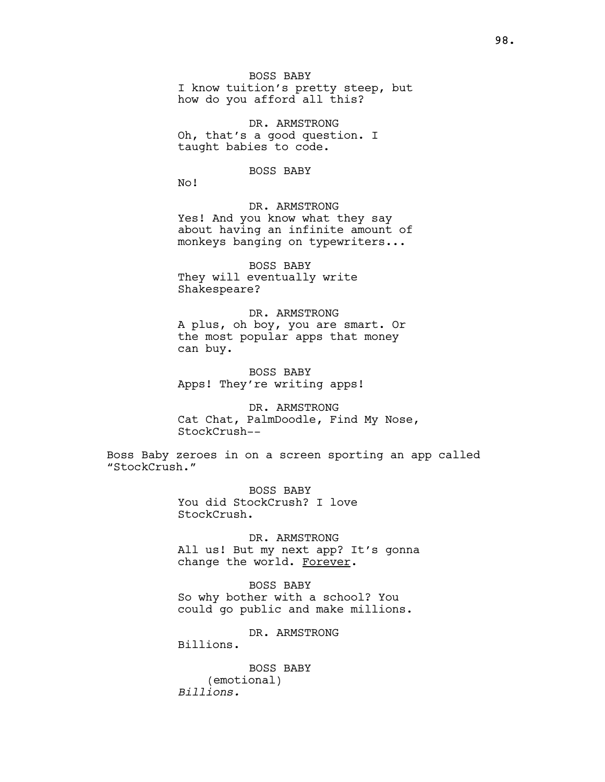BOSS BABY I know tuition's pretty steep, but

how do you afford all this?

DR. ARMSTRONG Oh, that's a good question. I taught babies to code.

BOSS BABY

No!

DR. ARMSTRONG Yes! And you know what they say about having an infinite amount of monkeys banging on typewriters...

BOSS BABY They will eventually write Shakespeare?

DR. ARMSTRONG A plus, oh boy, you are smart. Or the most popular apps that money can buy.

BOSS BABY Apps! They're writing apps!

DR. ARMSTRONG Cat Chat, PalmDoodle, Find My Nose, StockCrush--

Boss Baby zeroes in on a screen sporting an app called "StockCrush."

> BOSS BABY You did StockCrush? I love StockCrush.

DR. ARMSTRONG All us! But my next app? It's gonna change the world. Forever.

BOSS BABY So why bother with a school? You could go public and make millions.

DR. ARMSTRONG

Billions.

BOSS BABY (emotional) Billions.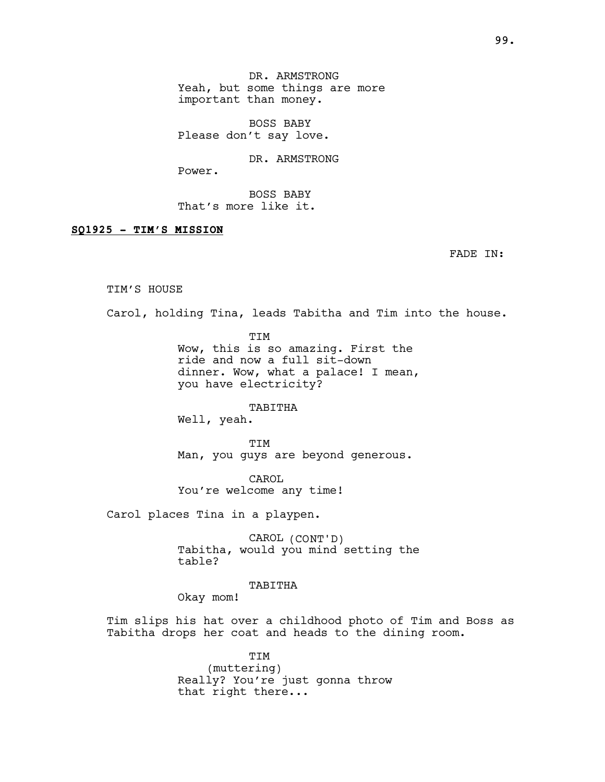DR. ARMSTRONG Yeah, but some things are more important than money.

BOSS BABY Please don't say love.

DR. ARMSTRONG

Power.

BOSS BABY That's more like it.

### SQ1925 - TIM'S MISSION

FADE IN:

#### TIM'S HOUSE

Carol, holding Tina, leads Tabitha and Tim into the house.

TIM

Wow, this is so amazing. First the ride and now a full sit-down dinner. Wow, what a palace! I mean, you have electricity?

TABITHA

Well, yeah.

TIM Man, you guys are beyond generous.

CAROL You're welcome any time!

Carol places Tina in a playpen.

CAROL (CONT'D) Tabitha, would you mind setting the table?

TABITHA

Okay mom!

Tim slips his hat over a childhood photo of Tim and Boss as Tabitha drops her coat and heads to the dining room.

> TIM (muttering) Really? You're just gonna throw that right there...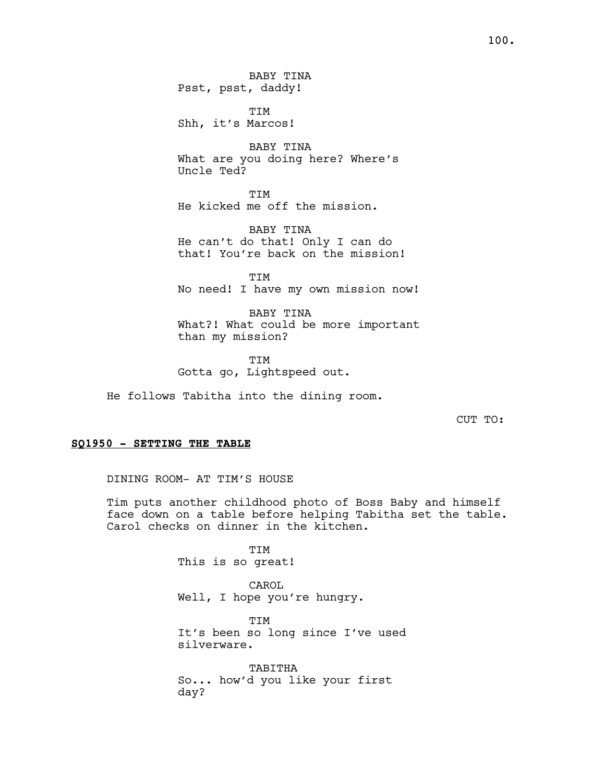TIM Shh, it's Marcos!

BABY TINA What are you doing here? Where's Uncle Ted?

TIM He kicked me off the mission.

BABY TINA He can't do that! Only I can do that! You're back on the mission!

**TTM** No need! I have my own mission now!

BABY TINA What?! What could be more important than my mission?

TIM Gotta go, Lightspeed out.

He follows Tabitha into the dining room.

CUT TO:

### SQ1950 - SETTING THE TABLE

DINING ROOM- AT TIM'S HOUSE

Tim puts another childhood photo of Boss Baby and himself face down on a table before helping Tabitha set the table. Carol checks on dinner in the kitchen.

> TIM This is so great!

CAROL Well, I hope you're hungry.

TIM It's been so long since I've used silverware.

TABITHA So... how'd you like your first day?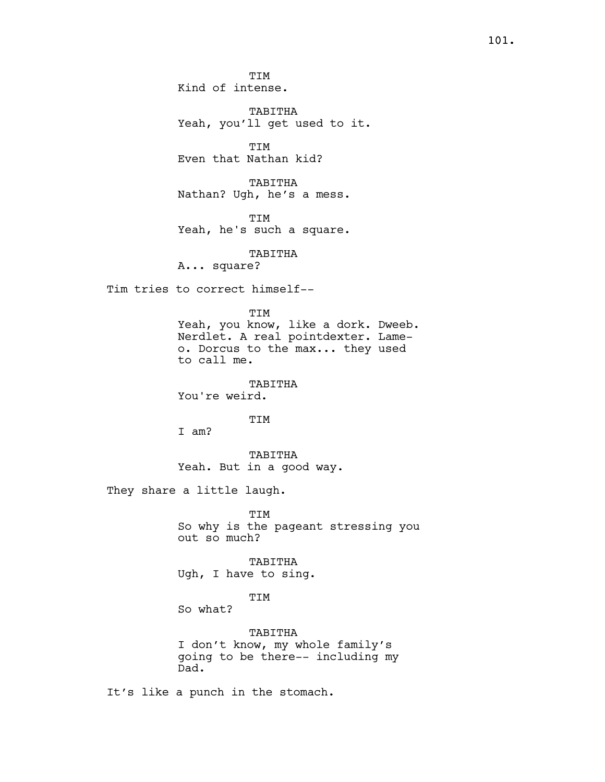TABITHA Yeah, you'll get used to it.

TIM Even that Nathan kid?

TABITHA Nathan? Ugh, he's a mess.

TIM Yeah, he's such a square.

TABITHA

A... square?

Tim tries to correct himself--

TIM

Yeah, you know, like a dork. Dweeb. Nerdlet. A real pointdexter. Lameo. Dorcus to the max... they used to call me.

TABITHA You're weird.

TIM

I am?

TABITHA Yeah. But in a good way.

They share a little laugh.

TIM So why is the pageant stressing you out so much?

TABITHA Ugh, I have to sing.

TIM

So what?

TABITHA I don't know, my whole family's going to be there-- including my Dad.

It's like a punch in the stomach.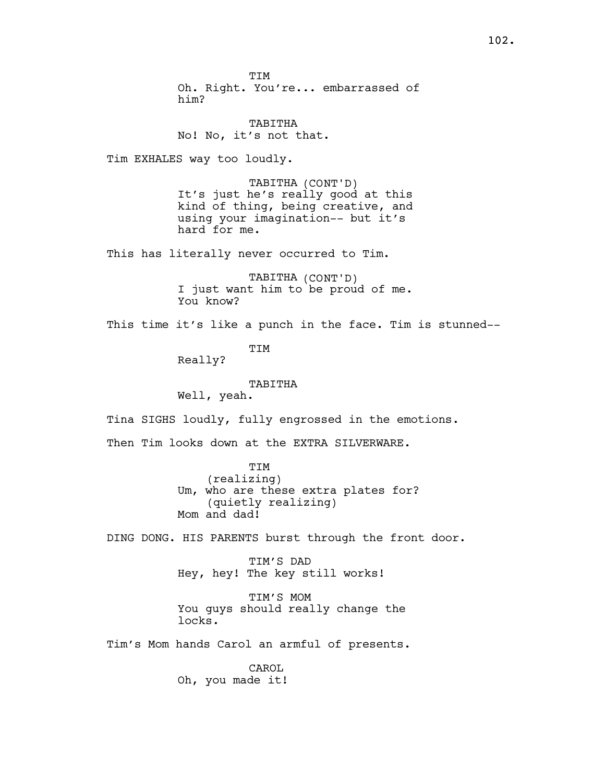TIM Oh. Right. You're... embarrassed of him?

TABITHA No! No, it's not that.

Tim EXHALES way too loudly.

TABITHA (CONT'D) It's just he's really good at this kind of thing, being creative, and using your imagination-- but it's hard for me.

This has literally never occurred to Tim.

TABITHA (CONT'D) I just want him to be proud of me. You know?

This time it's like a punch in the face. Tim is stunned--

TIM

Really?

TABITHA

Well, yeah.

Tina SIGHS loudly, fully engrossed in the emotions.

Then Tim looks down at the EXTRA SILVERWARE.

TIM (realizing) Um, who are these extra plates for? (quietly realizing) Mom and dad!

DING DONG. HIS PARENTS burst through the front door.

TIM'S DAD Hey, hey! The key still works!

TIM'S MOM You guys should really change the locks.

Tim's Mom hands Carol an armful of presents.

CAROL Oh, you made it!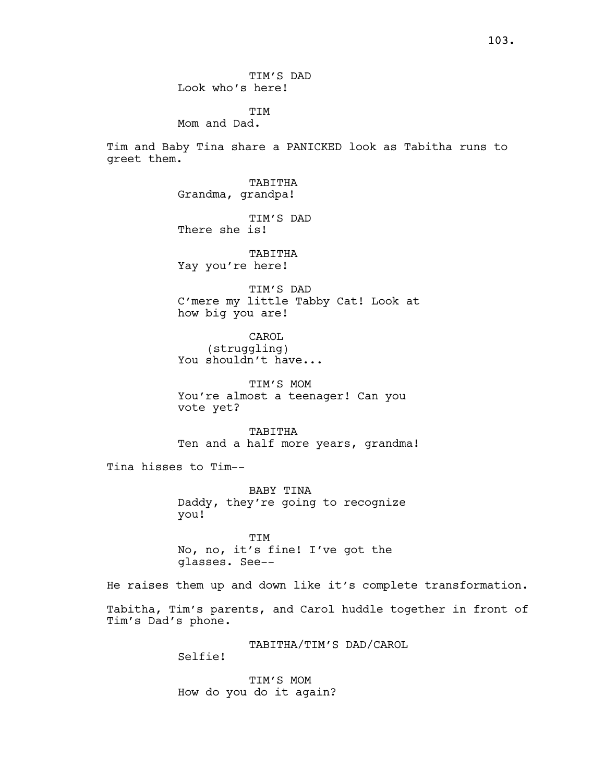TIM'S DAD Look who's here!

TIM

Mom and Dad.

Tim and Baby Tina share a PANICKED look as Tabitha runs to greet them.

> TABITHA Grandma, grandpa!

TIM'S DAD There she is!

TABITHA Yay you're here!

TIM'S DAD C'mere my little Tabby Cat! Look at how big you are!

CAROL (struggling) You shouldn't have...

TIM'S MOM You're almost a teenager! Can you vote yet?

TABITHA Ten and a half more years, grandma!

Tina hisses to Tim--

BABY TINA Daddy, they're going to recognize you!

TIM No, no, it's fine! I've got the glasses. See--

He raises them up and down like it's complete transformation.

Tabitha, Tim's parents, and Carol huddle together in front of Tim's Dad's phone.

> TABITHA/TIM'S DAD/CAROL Selfie!

TIM'S MOM How do you do it again?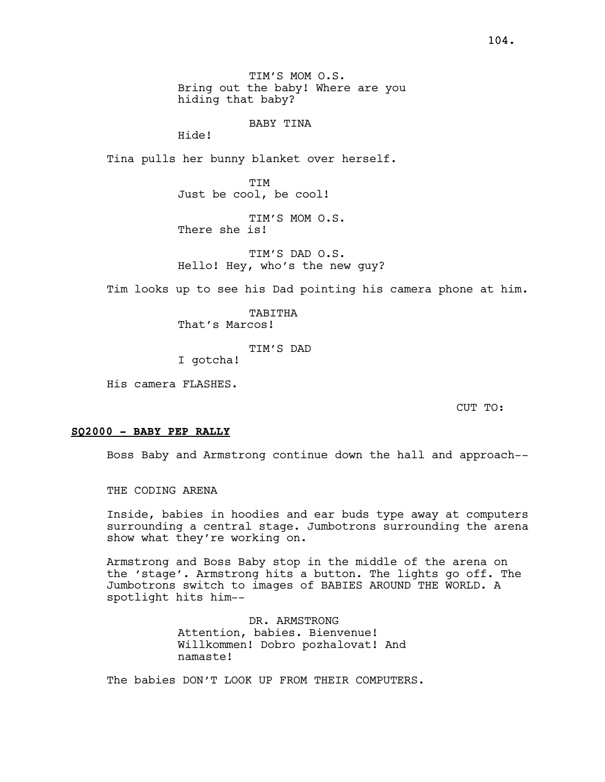BABY TINA

Hide!

Tina pulls her bunny blanket over herself.

**TTM** Just be cool, be cool!

TIM'S MOM O.S. There she is!

TIM'S DAD O.S. Hello! Hey, who's the new guy?

Tim looks up to see his Dad pointing his camera phone at him.

TABITHA That's Marcos!

TIM'S DAD

I gotcha!

His camera FLASHES.

CUT TO:

### SQ2000 - BABY PEP RALLY

Boss Baby and Armstrong continue down the hall and approach--

THE CODING ARENA

Inside, babies in hoodies and ear buds type away at computers surrounding a central stage. Jumbotrons surrounding the arena show what they're working on.

Armstrong and Boss Baby stop in the middle of the arena on the 'stage'. Armstrong hits a button. The lights go off. The Jumbotrons switch to images of BABIES AROUND THE WORLD. A spotlight hits him--

> DR. ARMSTRONG Attention, babies. Bienvenue! Willkommen! Dobro pozhalovat! And namaste!

The babies DON'T LOOK UP FROM THEIR COMPUTERS.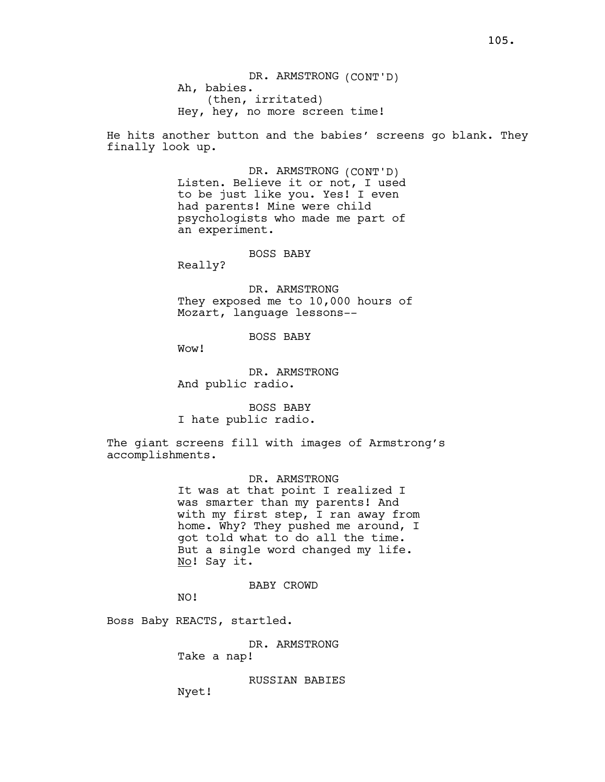He hits another button and the babies' screens go blank. They finally look up.

> DR. ARMSTRONG (CONT'D) Listen. Believe it or not, I used to be just like you. Yes! I even had parents! Mine were child psychologists who made me part of an experiment.

> > BOSS BABY

Really?

DR. ARMSTRONG They exposed me to 10,000 hours of Mozart, language lessons--

BOSS BABY

Wow!

DR. ARMSTRONG And public radio.

BOSS BABY I hate public radio.

The giant screens fill with images of Armstrong's accomplishments.

> DR. ARMSTRONG It was at that point I realized I was smarter than my parents! And with my first step, I ran away from home. Why? They pushed me around, I got told what to do all the time. But a single word changed my life. No! Say it.

> > BABY CROWD

NO!

Boss Baby REACTS, startled.

DR. ARMSTRONG Take a nap!

RUSSIAN BABIES

Nyet!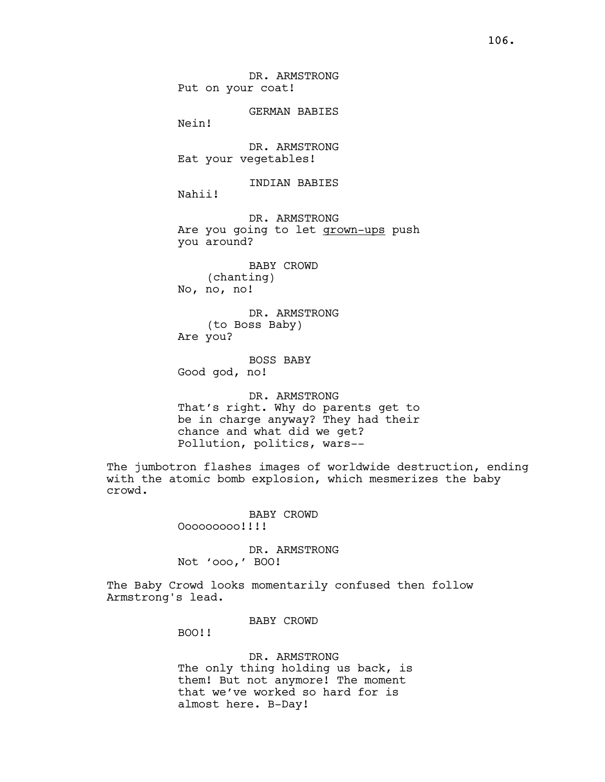DR. ARMSTRONG Put on your coat!

GERMAN BABIES

Nein!

DR. ARMSTRONG Eat your vegetables!

INDIAN BABIES

Nahii!

DR. ARMSTRONG Are you going to let grown-ups push you around?

BABY CROWD (chanting) No, no, no!

DR. ARMSTRONG (to Boss Baby) Are you?

BOSS BABY Good god, no!

DR. ARMSTRONG That's right. Why do parents get to be in charge anyway? They had their chance and what did we get? Pollution, politics, wars--

The jumbotron flashes images of worldwide destruction, ending with the atomic bomb explosion, which mesmerizes the baby crowd.

BABY CROWD

Ooooooooo!!!!

DR. ARMSTRONG Not 'ooo,' BOO!

The Baby Crowd looks momentarily confused then follow Armstrong's lead.

BABY CROWD

BOO!!

DR. ARMSTRONG The only thing holding us back, is them! But not anymore! The moment that we've worked so hard for is almost here. B-Day!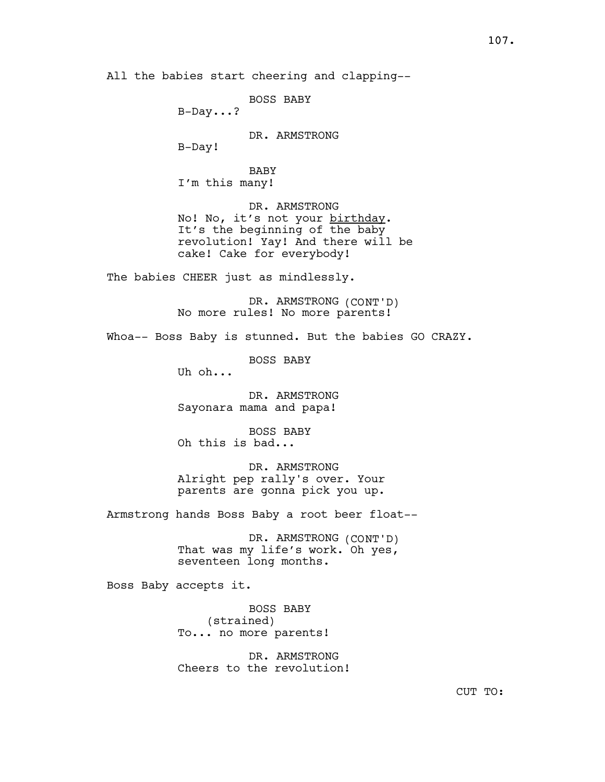All the babies start cheering and clapping--

BOSS BABY B-Day...? DR. ARMSTRONG B-Day! **BABY** I'm this many! DR. ARMSTRONG No! No, it's not your birthday. It's the beginning of the baby revolution! Yay! And there will be cake! Cake for everybody! The babies CHEER just as mindlessly. DR. ARMSTRONG (CONT'D) No more rules! No more parents! Whoa-- Boss Baby is stunned. But the babies GO CRAZY. BOSS BABY Uh oh... DR. ARMSTRONG Sayonara mama and papa! BOSS BABY Oh this is bad... DR. ARMSTRONG Alright pep rally's over. Your parents are gonna pick you up. Armstrong hands Boss Baby a root beer float-- DR. ARMSTRONG (CONT'D) That was my life's work. Oh yes, seventeen long months. Boss Baby accepts it. BOSS BABY (strained) To... no more parents! DR. ARMSTRONG Cheers to the revolution!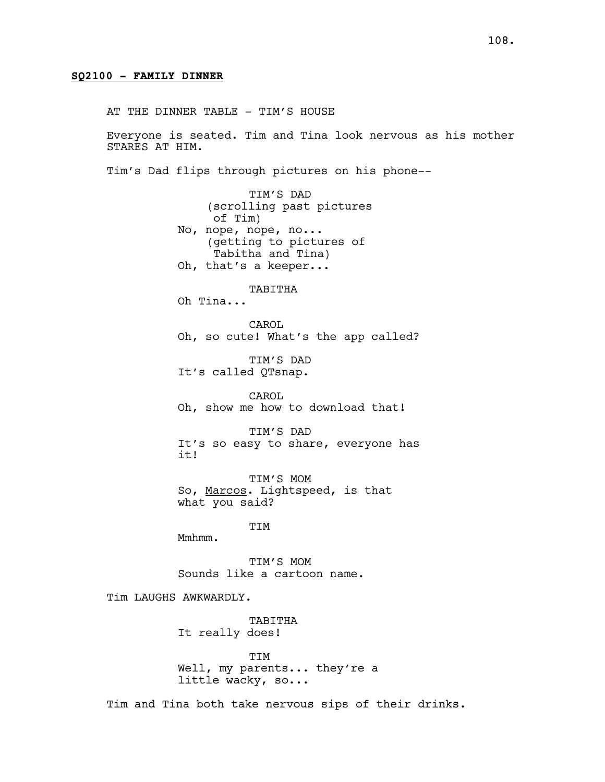## SQ2100 - FAMILY DINNER

AT THE DINNER TABLE - TIM'S HOUSE

Everyone is seated. Tim and Tina look nervous as his mother STARES AT HIM.

Tim's Dad flips through pictures on his phone--

TIM'S DAD (scrolling past pictures of Tim) No, nope, nope, no... (getting to pictures of Tabitha and Tina) Oh, that's a keeper...

TABITHA

Oh Tina...

CAROL Oh, so cute! What's the app called?

TIM'S DAD It's called QTsnap.

CAROL Oh, show me how to download that!

TIM'S DAD It's so easy to share, everyone has it!

TIM'S MOM So, Marcos. Lightspeed, is that what you said?

TIM

Mmhmm.

TIM'S MOM Sounds like a cartoon name.

Tim LAUGHS AWKWARDLY.

TABITHA It really does!

TIM Well, my parents... they're a little wacky, so...

Tim and Tina both take nervous sips of their drinks.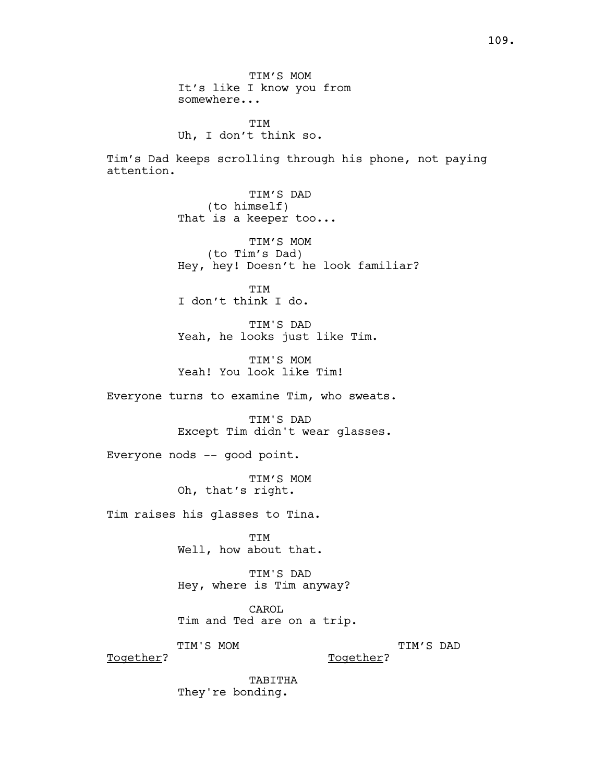TIM'S MOM It's like I know you from somewhere...

**TTM** Uh, I don't think so.

Tim's Dad keeps scrolling through his phone, not paying attention.

> TIM'S DAD (to himself) That is a keeper too...

TIM'S MOM (to Tim's Dad) Hey, hey! Doesn't he look familiar?

TIM I don't think I do.

TIM'S DAD Yeah, he looks just like Tim.

TIM'S MOM Yeah! You look like Tim!

Everyone turns to examine Tim, who sweats.

TIM'S DAD Except Tim didn't wear glasses.

Everyone nods -- good point.

TIM'S MOM Oh, that's right.

Tim raises his glasses to Tina.

TIM Well, how about that.

TIM'S DAD Hey, where is Tim anyway?

CAROL Tim and Ted are on a trip.

TIM'S MOM

Together?

TIM'S DAD

Together?

TABITHA They're bonding.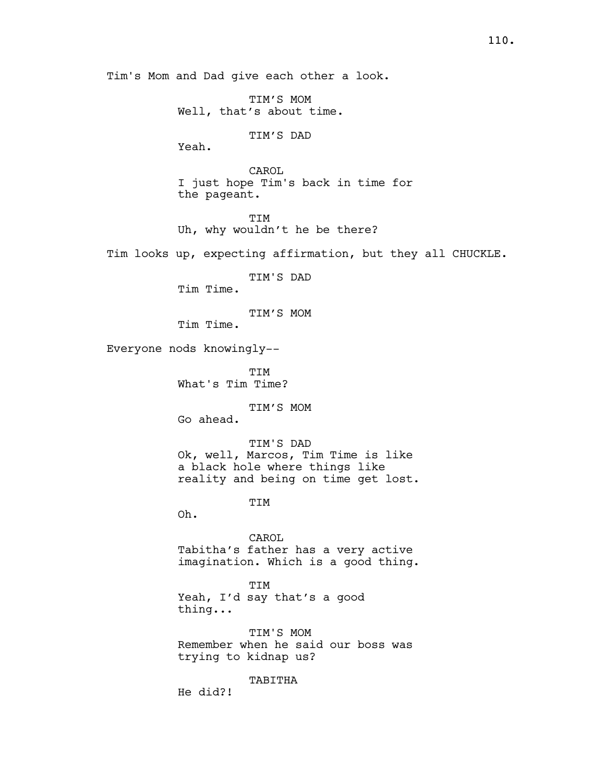Tim's Mom and Dad give each other a look.

TIM'S MOM Well, that's about time.

TIM'S DAD

Yeah.

CAROL I just hope Tim's back in time for the pageant.

TIM Uh, why wouldn't he be there?

Tim looks up, expecting affirmation, but they all CHUCKLE.

TIM'S DAD

Tim Time.

TIM'S MOM

Tim Time.

Everyone nods knowingly--

TIM What's Tim Time?

TIM'S MOM

Go ahead.

TIM'S DAD Ok, well, Marcos, Tim Time is like a black hole where things like reality and being on time get lost.

TIM

Oh.

CAROL Tabitha's father has a very active imagination. Which is a good thing.

TIM Yeah, I'd say that's a good thing...

TIM'S MOM Remember when he said our boss was trying to kidnap us?

TABITHA

He did?!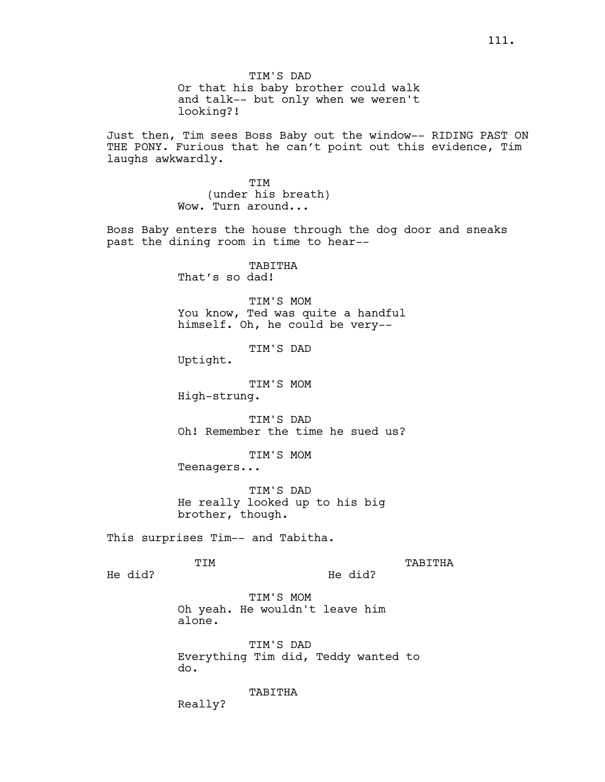Or that his baby brother could walk and talk-- but only when we weren't looking?!

Just then, Tim sees Boss Baby out the window-- RIDING PAST ON THE PONY. Furious that he can't point out this evidence, Tim laughs awkwardly.

> TIM (under his breath) Wow. Turn around...

Boss Baby enters the house through the dog door and sneaks past the dining room in time to hear--

> TABITHA That's so dad!

TIM'S MOM You know, Ted was quite a handful himself. Oh, he could be very--

TIM'S DAD

Uptight.

TIM'S MOM

High-strung.

TIM'S DAD Oh! Remember the time he sued us?

TIM'S MOM

Teenagers...

TIM'S DAD He really looked up to his big brother, though.

This surprises Tim-- and Tabitha.

TIM

TABITHA

He did?

He did?

TIM'S MOM Oh yeah. He wouldn't leave him alone.

TIM'S DAD Everything Tim did, Teddy wanted to do.

TABITHA

Really?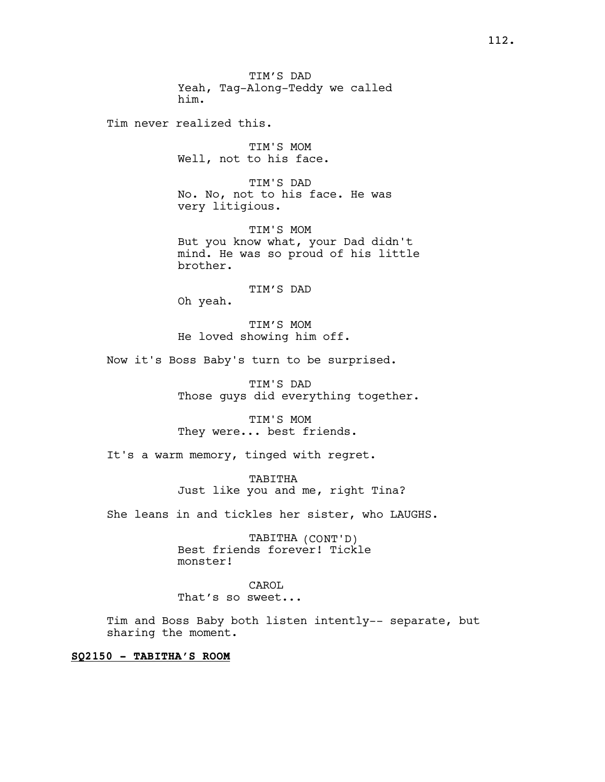Tim never realized this.

TIM'S MOM Well, not to his face.

TIM'S DAD No. No, not to his face. He was very litigious.

TIM'S MOM But you know what, your Dad didn't mind. He was so proud of his little brother.

TIM'S DAD

Oh yeah.

TIM'S MOM He loved showing him off.

Now it's Boss Baby's turn to be surprised.

TIM'S DAD Those guys did everything together.

TIM'S MOM They were... best friends.

It's a warm memory, tinged with regret.

TABITHA Just like you and me, right Tina?

She leans in and tickles her sister, who LAUGHS.

TABITHA (CONT'D) Best friends forever! Tickle monster!

CAROL That's so sweet...

Tim and Boss Baby both listen intently-- separate, but sharing the moment.

# SQ2150 - TABITHA'S ROOM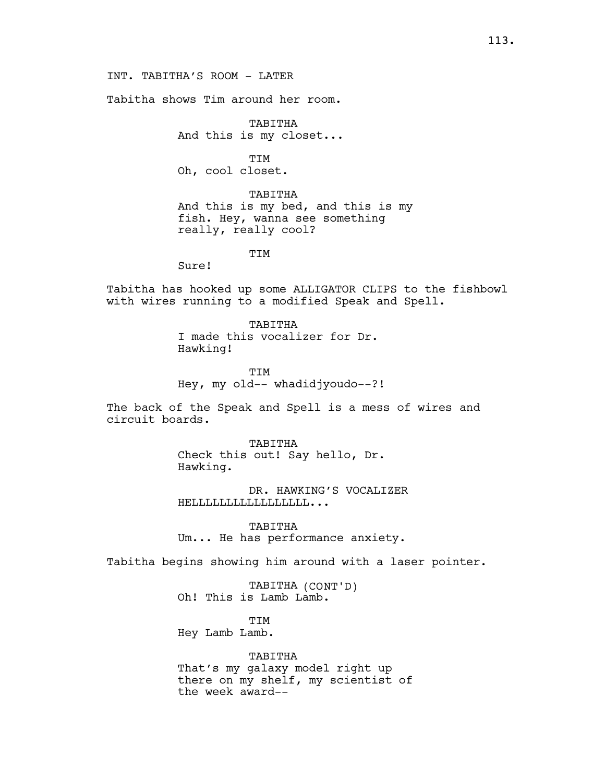INT. TABITHA'S ROOM - LATER

Tabitha shows Tim around her room.

TABITHA And this is my closet...

TIM Oh, cool closet.

TABITHA And this is my bed, and this is my fish. Hey, wanna see something really, really cool?

**TTM** 

Sure!

Tabitha has hooked up some ALLIGATOR CLIPS to the fishbowl with wires running to a modified Speak and Spell.

> TABITHA I made this vocalizer for Dr. Hawking!

TIM Hey, my old-- whadidjyoudo--?!

The back of the Speak and Spell is a mess of wires and circuit boards.

> TABITHA Check this out! Say hello, Dr. Hawking.

DR. HAWKING'S VOCALIZER HELLLLLLLLLLLLLLLLL...

TABITHA Um... He has performance anxiety.

Tabitha begins showing him around with a laser pointer.

TABITHA (CONT'D) Oh! This is Lamb Lamb.

TIM Hey Lamb Lamb.

TABITHA

That's my galaxy model right up there on my shelf, my scientist of the week award--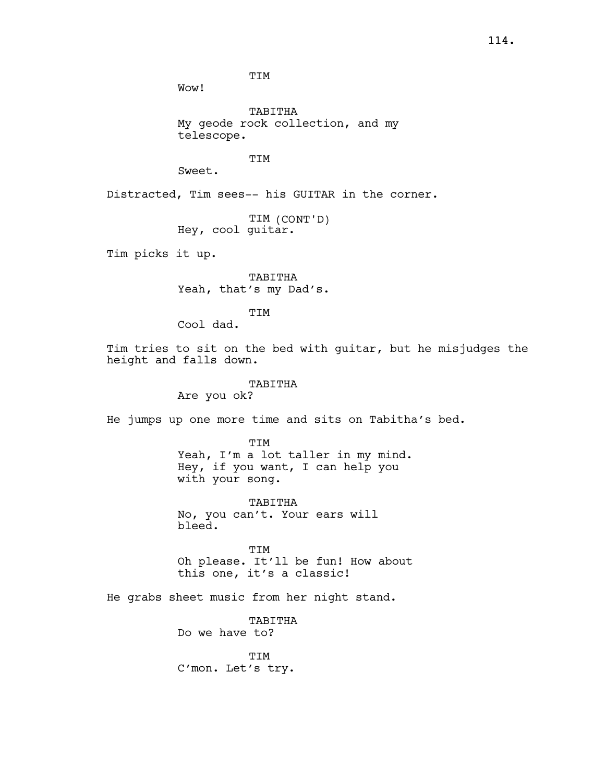TIM

Wow!

TABITHA My geode rock collection, and my telescope.

TIM

Sweet.

Distracted, Tim sees-- his GUITAR in the corner.

TIM (CONT'D) Hey, cool guitar.

Tim picks it up.

TABITHA Yeah, that's my Dad's.

TIM

Cool dad.

Tim tries to sit on the bed with guitar, but he misjudges the height and falls down.

TABITHA

Are you ok?

He jumps up one more time and sits on Tabitha's bed.

TIM Yeah, I'm a lot taller in my mind. Hey, if you want, I can help you with your song.

TABITHA No, you can't. Your ears will bleed.

TIM Oh please. It'll be fun! How about this one, it's a classic!

He grabs sheet music from her night stand.

TABITHA Do we have to?

TIM C'mon. Let's try.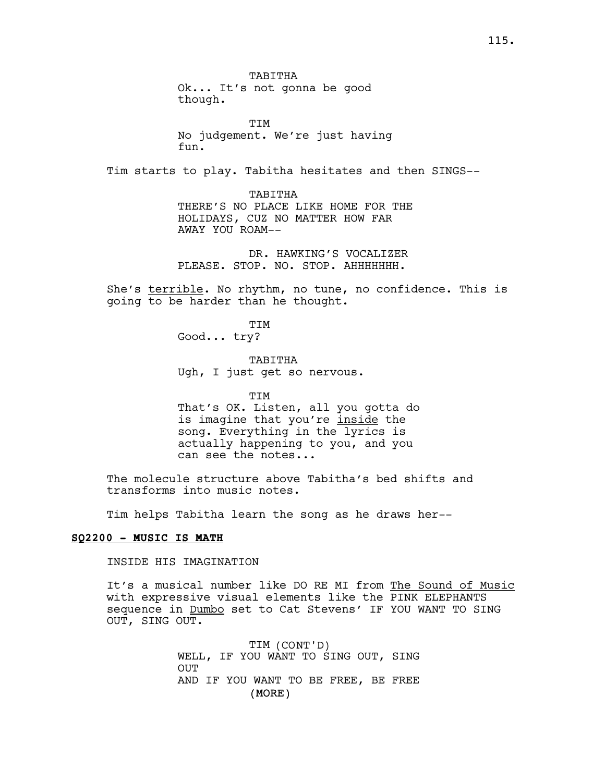**TTM** No judgement. We're just having fun.

Tim starts to play. Tabitha hesitates and then SINGS--

TABITHA THERE'S NO PLACE LIKE HOME FOR THE HOLIDAYS, CUZ NO MATTER HOW FAR AWAY YOU ROAM--

DR. HAWKING'S VOCALIZER PLEASE. STOP. NO. STOP. AHHHHHHH.

She's terrible. No rhythm, no tune, no confidence. This is going to be harder than he thought.

> TIM Good... try?

TABITHA Ugh, I just get so nervous.

TIM That's OK. Listen, all you gotta do is imagine that you're inside the song. Everything in the lyrics is actually happening to you, and you can see the notes...

The molecule structure above Tabitha's bed shifts and transforms into music notes.

Tim helps Tabitha learn the song as he draws her--

## SQ2200 - MUSIC IS MATH

INSIDE HIS IMAGINATION

It's a musical number like DO RE MI from The Sound of Music with expressive visual elements like the PINK ELEPHANTS sequence in Dumbo set to Cat Stevens' IF YOU WANT TO SING OUT, SING OUT.

> (MORE) TIM (CONT'D) WELL, IF YOU WANT TO SING OUT, SING OUT AND IF YOU WANT TO BE FREE, BE FREE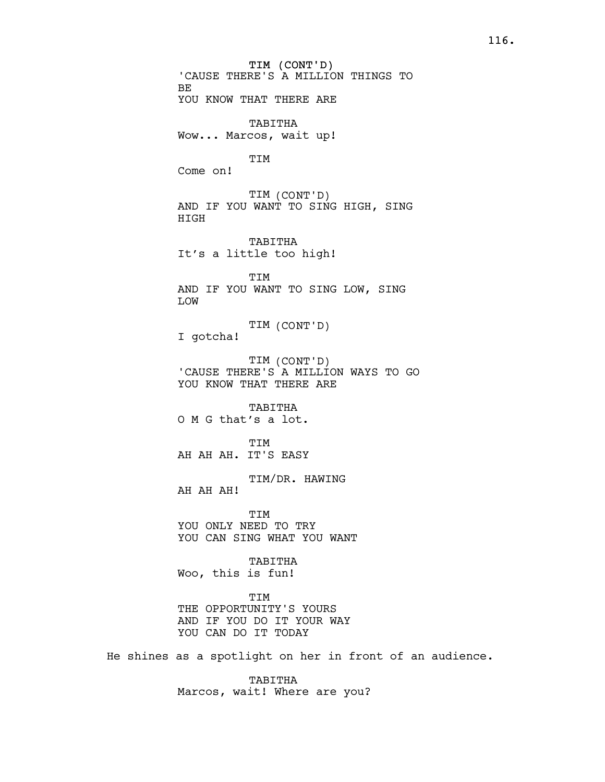TIM (CONT'D) 'CAUSE THERE'S A MILLION THINGS TO BE YOU KNOW THAT THERE ARE TABITHA Wow... Marcos, wait up! TIM Come on! TIM (CONT'D) AND IF YOU WANT TO SING HIGH, SING HIGH TABITHA It's a little too high! TIM AND IF YOU WANT TO SING LOW, SING LOW TIM (CONT'D) I gotcha! TIM (CONT'D) 'CAUSE THERE'S A MILLION WAYS TO GO YOU KNOW THAT THERE ARE TABITHA O M G that's a lot. TIM AH AH AH. IT'S EASY TIM/DR. HAWING AH AH AH! **TTM** YOU ONLY NEED TO TRY YOU CAN SING WHAT YOU WANT TABITHA Woo, this is fun! TIM THE OPPORTUNITY'S YOURS AND IF YOU DO IT YOUR WAY YOU CAN DO IT TODAY He shines as a spotlight on her in front of an audience.

> TABITHA Marcos, wait! Where are you?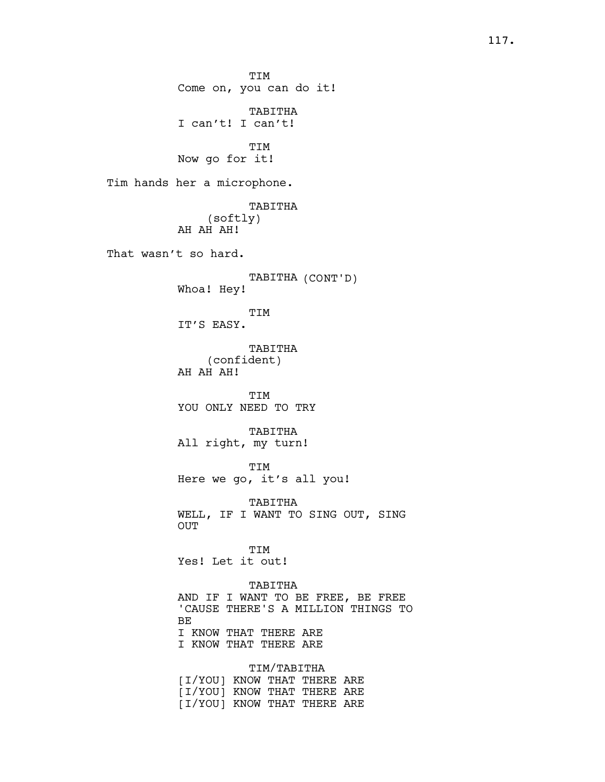TIM Come on, you can do it! TABITHA I can't! I can't! TIM Now go for it! Tim hands her a microphone. TABITHA (softly) AH AH AH! That wasn't so hard. TABITHA (CONT'D) Whoa! Hey! TIM IT'S EASY. TABITHA (confident) AH AH AH! TIM YOU ONLY NEED TO TRY TABITHA All right, my turn! TIM Here we go, it's all you! TABITHA WELL, IF I WANT TO SING OUT, SING OUT TIM Yes! Let it out! TABITHA AND IF I WANT TO BE FREE, BE FREE 'CAUSE THERE'S A MILLION THINGS TO BE I KNOW THAT THERE ARE I KNOW THAT THERE ARE

> TIM/TABITHA [I/YOU] KNOW THAT THERE ARE [I/YOU] KNOW THAT THERE ARE [I/YOU] KNOW THAT THERE ARE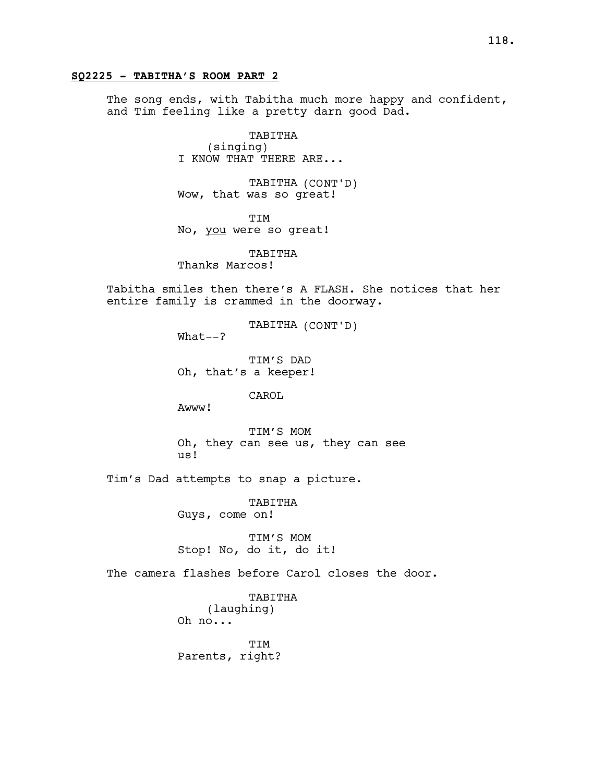## SQ2225 - TABITHA'S ROOM PART 2

The song ends, with Tabitha much more happy and confident, and Tim feeling like a pretty darn good Dad.

> TABITHA (singing) I KNOW THAT THERE ARE...

TABITHA (CONT'D) Wow, that was so great!

TIM No, you were so great!

TABITHA Thanks Marcos!

Tabitha smiles then there's A FLASH. She notices that her entire family is crammed in the doorway.

TABITHA (CONT'D)

What--?

TIM'S DAD Oh, that's a keeper!

CAROL

Awww!

TIM'S MOM Oh, they can see us, they can see us!

Tim's Dad attempts to snap a picture.

TABITHA Guys, come on!

TIM'S MOM Stop! No, do it, do it!

The camera flashes before Carol closes the door.

TABITHA (laughing) Oh no...

TTM Parents, right?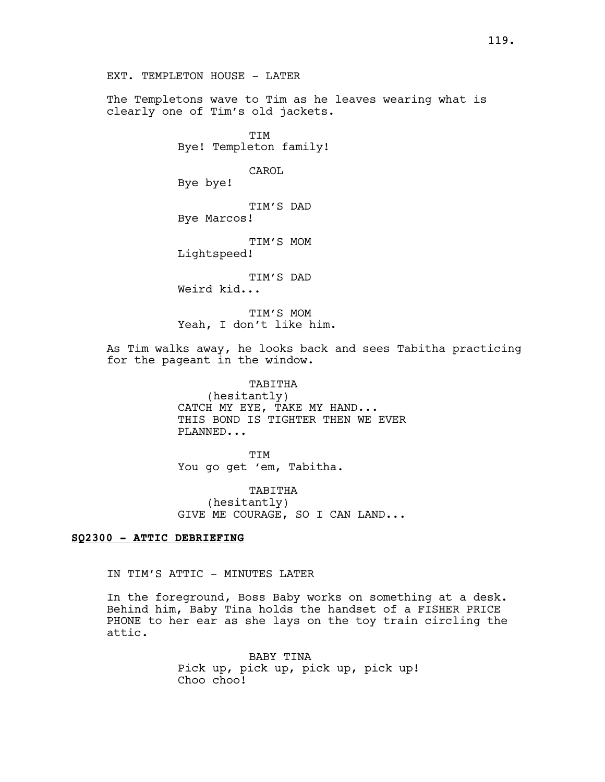The Templetons wave to Tim as he leaves wearing what is clearly one of Tim's old jackets.

> TIM Bye! Templeton family!

> > CAROL

Bye bye!

TIM'S DAD Bye Marcos!

TIM'S MOM

Lightspeed!

TIM'S DAD

Weird kid...

TIM'S MOM Yeah, I don't like him.

As Tim walks away, he looks back and sees Tabitha practicing for the pageant in the window.

> TABITHA (hesitantly) CATCH MY EYE, TAKE MY HAND... THIS BOND IS TIGHTER THEN WE EVER PLANNED...

TIM You go get 'em, Tabitha.

TABITHA (hesitantly) GIVE ME COURAGE, SO I CAN LAND...

## SQ2300 - ATTIC DEBRIEFING

IN TIM'S ATTIC - MINUTES LATER

In the foreground, Boss Baby works on something at a desk. Behind him, Baby Tina holds the handset of a FISHER PRICE PHONE to her ear as she lays on the toy train circling the attic.

> BABY TINA Pick up, pick up, pick up, pick up! Choo choo!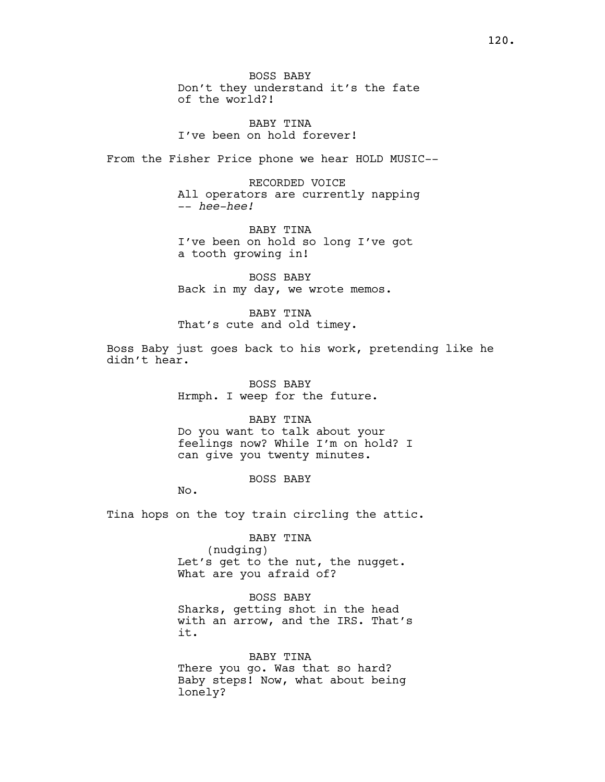BABY TINA I've been on hold forever!

From the Fisher Price phone we hear HOLD MUSIC--

RECORDED VOICE All operators are currently napping -- hee-hee!

BABY TINA I've been on hold so long I've got a tooth growing in!

BOSS BABY Back in my day, we wrote memos.

BABY TINA That's cute and old timey.

Boss Baby just goes back to his work, pretending like he didn't hear.

> BOSS BABY Hrmph. I weep for the future.

BABY TINA Do you want to talk about your feelings now? While I'm on hold? I can give you twenty minutes.

BOSS BABY

No.

Tina hops on the toy train circling the attic.

BABY TINA (nudging) Let's get to the nut, the nugget. What are you afraid of?

BOSS BABY Sharks, getting shot in the head with an arrow, and the IRS. That's it.

BABY TINA There you go. Was that so hard? Baby steps! Now, what about being lonely?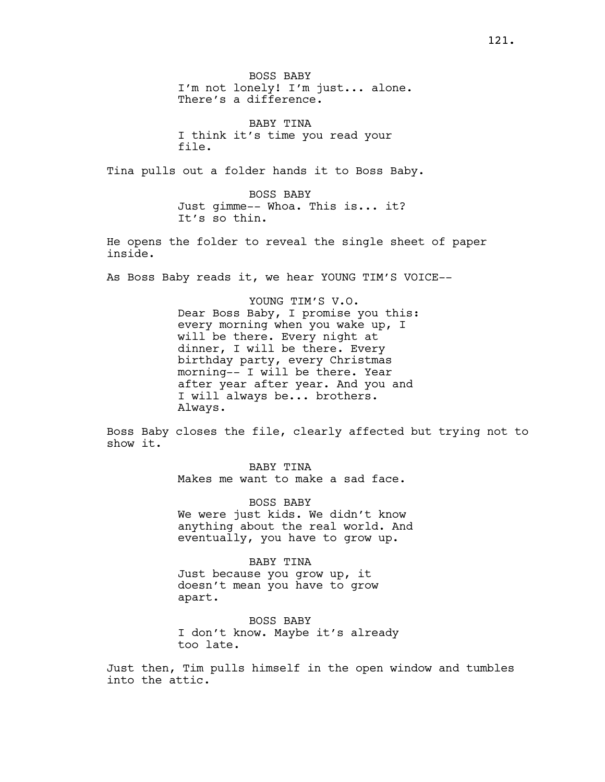BOSS BABY I'm not lonely! I'm just... alone. There's a difference.

BABY TINA I think it's time you read your file.

Tina pulls out a folder hands it to Boss Baby.

BOSS BABY Just gimme-- Whoa. This is... it? It's so thin.

He opens the folder to reveal the single sheet of paper inside.

As Boss Baby reads it, we hear YOUNG TIM'S VOICE--

YOUNG TIM'S V.O. Dear Boss Baby, I promise you this: every morning when you wake up, I will be there. Every night at dinner, I will be there. Every birthday party, every Christmas morning-- I will be there. Year after year after year. And you and I will always be... brothers. Always.

Boss Baby closes the file, clearly affected but trying not to show it.

> BABY TINA Makes me want to make a sad face.

BOSS BABY We were just kids. We didn't know anything about the real world. And eventually, you have to grow up.

BABY TINA Just because you grow up, it doesn't mean you have to grow apart.

BOSS BABY I don't know. Maybe it's already too late.

Just then, Tim pulls himself in the open window and tumbles into the attic.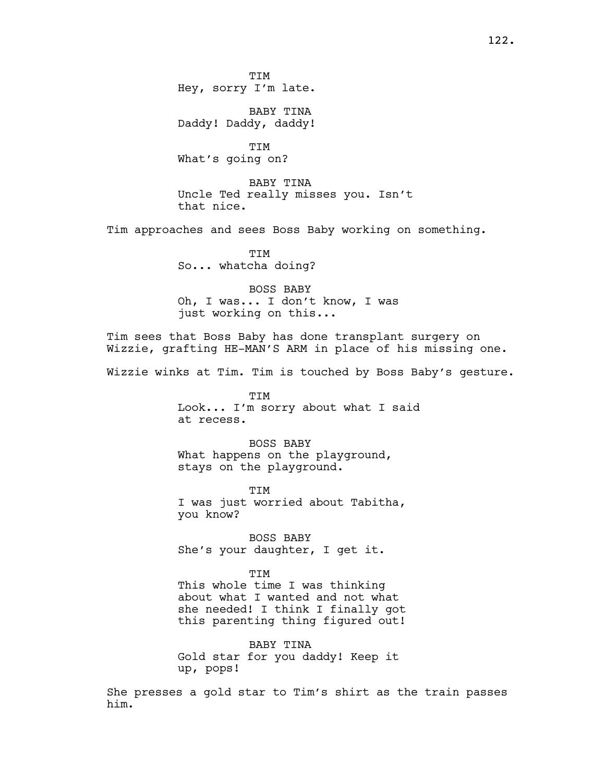TIM Hey, sorry I'm late.

BABY TINA Daddy! Daddy, daddy!

TIM What's going on?

BABY TINA Uncle Ted really misses you. Isn't that nice.

Tim approaches and sees Boss Baby working on something.

**TTM** So... whatcha doing?

BOSS BABY Oh, I was... I don't know, I was just working on this...

Tim sees that Boss Baby has done transplant surgery on Wizzie, grafting HE-MAN'S ARM in place of his missing one.

Wizzie winks at Tim. Tim is touched by Boss Baby's gesture.

TIM Look... I'm sorry about what I said at recess.

BOSS BABY What happens on the playground, stays on the playground.

TIM I was just worried about Tabitha, you know?

BOSS BABY She's your daughter, I get it.

TIM

This whole time I was thinking about what I wanted and not what she needed! I think I finally got this parenting thing figured out!

BABY TINA Gold star for you daddy! Keep it up, pops!

She presses a gold star to Tim's shirt as the train passes him.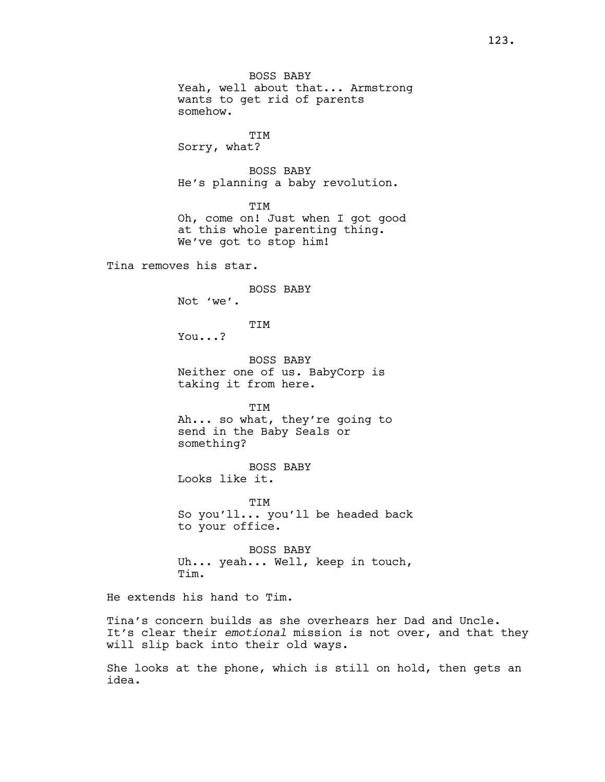BOSS BABY Yeah, well about that... Armstrong wants to get rid of parents somehow.

TIM Sorry, what?

BOSS BABY He's planning a baby revolution.

TIM Oh, come on! Just when I got good at this whole parenting thing. We've got to stop him!

Tina removes his star.

BOSS BABY Not 'we'.

TIM

You...?

BOSS BABY Neither one of us. BabyCorp is taking it from here.

TIM Ah... so what, they're going to send in the Baby Seals or something?

BOSS BABY Looks like it.

TIM So you'll... you'll be headed back to your office.

BOSS BABY Uh... yeah... Well, keep in touch, Tim.

He extends his hand to Tim.

Tina's concern builds as she overhears her Dad and Uncle. It's clear their emotional mission is not over, and that they will slip back into their old ways.

She looks at the phone, which is still on hold, then gets an idea.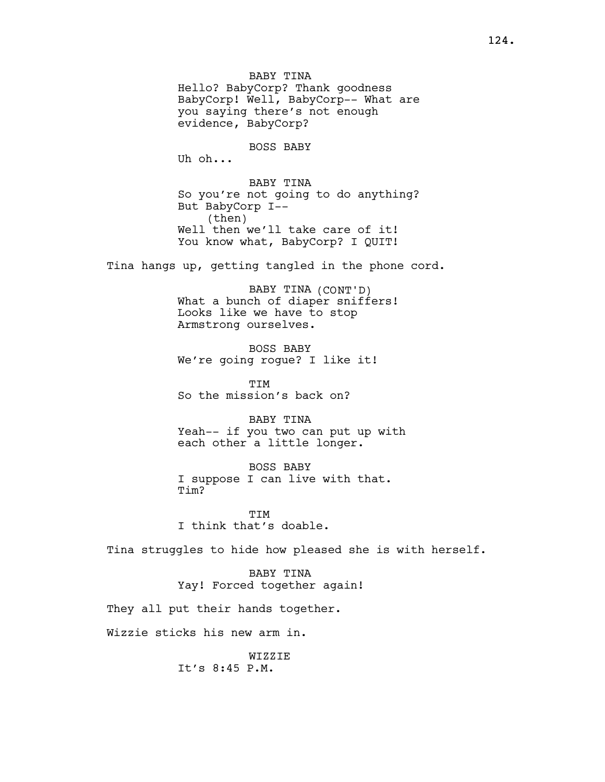BABY TINA Hello? BabyCorp? Thank goodness BabyCorp! Well, BabyCorp-- What are you saying there's not enough evidence, BabyCorp? BOSS BABY Uh oh... BABY TINA So you're not going to do anything? But BabyCorp I-- (then) Well then we'll take care of it! You know what, BabyCorp? I QUIT! Tina hangs up, getting tangled in the phone cord. BABY TINA (CONT'D) What a bunch of diaper sniffers! Looks like we have to stop Armstrong ourselves. BOSS BABY We're going rogue? I like it! TTM So the mission's back on? BABY TINA Yeah-- if you two can put up with each other a little longer. BOSS BABY I suppose I can live with that. Tim? **TTM** I think that's doable. Tina struggles to hide how pleased she is with herself. BABY TINA Yay! Forced together again! They all put their hands together. Wizzie sticks his new arm in.

> WIZZIE It's 8:45 P.M.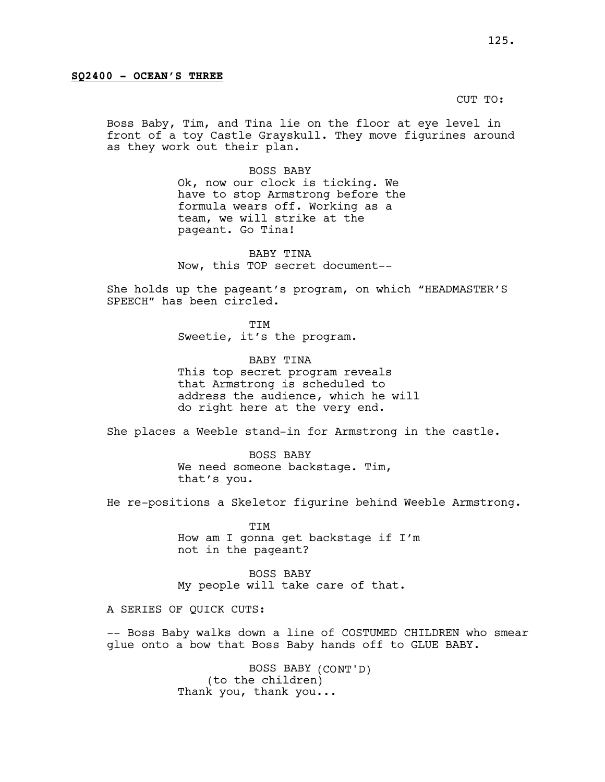CUT TO:

Boss Baby, Tim, and Tina lie on the floor at eye level in front of a toy Castle Grayskull. They move figurines around as they work out their plan.

> BOSS BABY Ok, now our clock is ticking. We have to stop Armstrong before the formula wears off. Working as a team, we will strike at the pageant. Go Tina!

BABY TINA Now, this TOP secret document--

She holds up the pageant's program, on which "HEADMASTER'S SPEECH" has been circled.

> **TTM** Sweetie, it's the program.

BABY TINA This top secret program reveals that Armstrong is scheduled to address the audience, which he will do right here at the very end.

She places a Weeble stand-in for Armstrong in the castle.

BOSS BABY We need someone backstage. Tim, that's you.

He re-positions a Skeletor figurine behind Weeble Armstrong.

TIM How am I gonna get backstage if I'm not in the pageant?

BOSS BABY My people will take care of that.

A SERIES OF QUICK CUTS:

-- Boss Baby walks down a line of COSTUMED CHILDREN who smear glue onto a bow that Boss Baby hands off to GLUE BABY.

> BOSS BABY (CONT'D) (to the children) Thank you, thank you...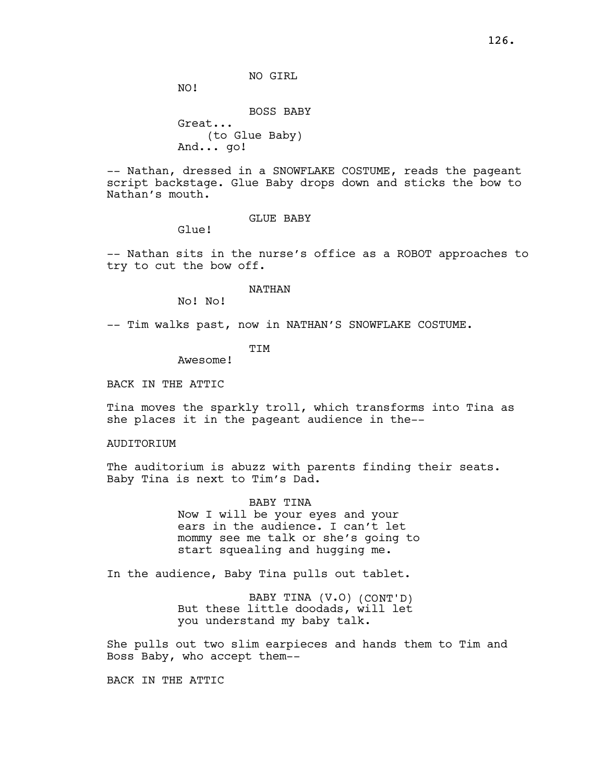NO GIRL

NO!

BOSS BABY Great... (to Glue Baby) And... go!

-- Nathan, dressed in a SNOWFLAKE COSTUME, reads the pageant script backstage. Glue Baby drops down and sticks the bow to Nathan's mouth.

GLUE BABY

Glue!

-- Nathan sits in the nurse's office as a ROBOT approaches to try to cut the bow off.

NATHAN

No! No!

-- Tim walks past, now in NATHAN'S SNOWFLAKE COSTUME.

TIM

Awesome!

BACK IN THE ATTIC

Tina moves the sparkly troll, which transforms into Tina as she places it in the pageant audience in the--

AUDITORIUM

The auditorium is abuzz with parents finding their seats. Baby Tina is next to Tim's Dad.

> BABY TINA Now I will be your eyes and your ears in the audience. I can't let mommy see me talk or she's going to start squealing and hugging me.

In the audience, Baby Tina pulls out tablet.

BABY TINA (V.O) (CONT'D) But these little doodads, will let you understand my baby talk.

She pulls out two slim earpieces and hands them to Tim and Boss Baby, who accept them--

BACK IN THE ATTIC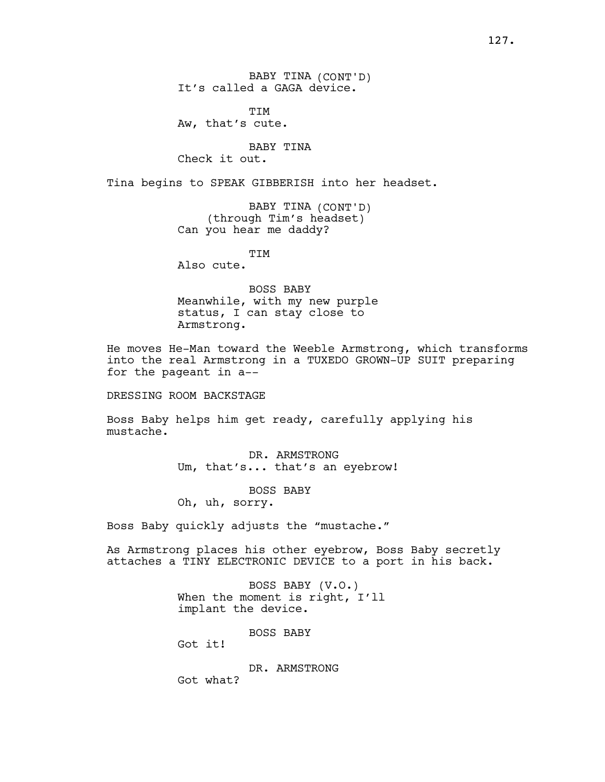BABY TINA (CONT'D) It's called a GAGA device.

TIM Aw, that's cute.

BABY TINA Check it out.

Tina begins to SPEAK GIBBERISH into her headset.

BABY TINA (CONT'D) (through Tim's headset) Can you hear me daddy?

**TTM** 

Also cute.

BOSS BABY Meanwhile, with my new purple status, I can stay close to Armstrong.

He moves He-Man toward the Weeble Armstrong, which transforms into the real Armstrong in a TUXEDO GROWN-UP SUIT preparing for the pageant in a--

DRESSING ROOM BACKSTAGE

Boss Baby helps him get ready, carefully applying his mustache.

> DR. ARMSTRONG Um, that's... that's an eyebrow!

> > BOSS BABY

Oh, uh, sorry.

Boss Baby quickly adjusts the "mustache."

As Armstrong places his other eyebrow, Boss Baby secretly attaches a TINY ELECTRONIC DEVICE to a port in his back.

> BOSS BABY (V.O.) When the moment is right, I'll implant the device.

> > BOSS BABY

Got it!

DR. ARMSTRONG Got what?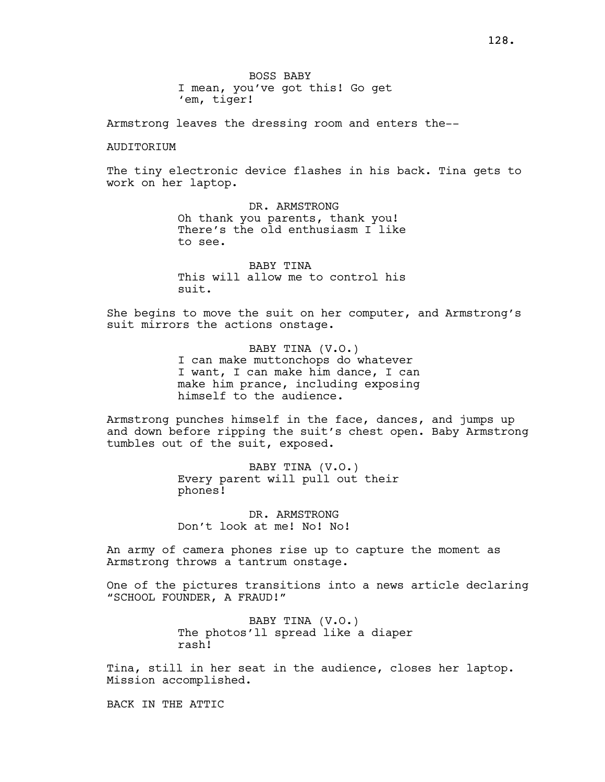Armstrong leaves the dressing room and enters the--

### AUDITORIUM

The tiny electronic device flashes in his back. Tina gets to work on her laptop.

> DR. ARMSTRONG Oh thank you parents, thank you! There's the old enthusiasm I like to see.

> BABY TINA This will allow me to control his suit.

She begins to move the suit on her computer, and Armstrong's suit mirrors the actions onstage.

> BABY TINA (V.O.) I can make muttonchops do whatever I want, I can make him dance, I can make him prance, including exposing himself to the audience.

Armstrong punches himself in the face, dances, and jumps up and down before ripping the suit's chest open. Baby Armstrong tumbles out of the suit, exposed.

> BABY TINA (V.O.) Every parent will pull out their phones!

DR. ARMSTRONG Don't look at me! No! No!

An army of camera phones rise up to capture the moment as Armstrong throws a tantrum onstage.

One of the pictures transitions into a news article declaring "SCHOOL FOUNDER, A FRAUD!"

> BABY TINA (V.O.) The photos'll spread like a diaper rash!

Tina, still in her seat in the audience, closes her laptop. Mission accomplished.

BACK IN THE ATTIC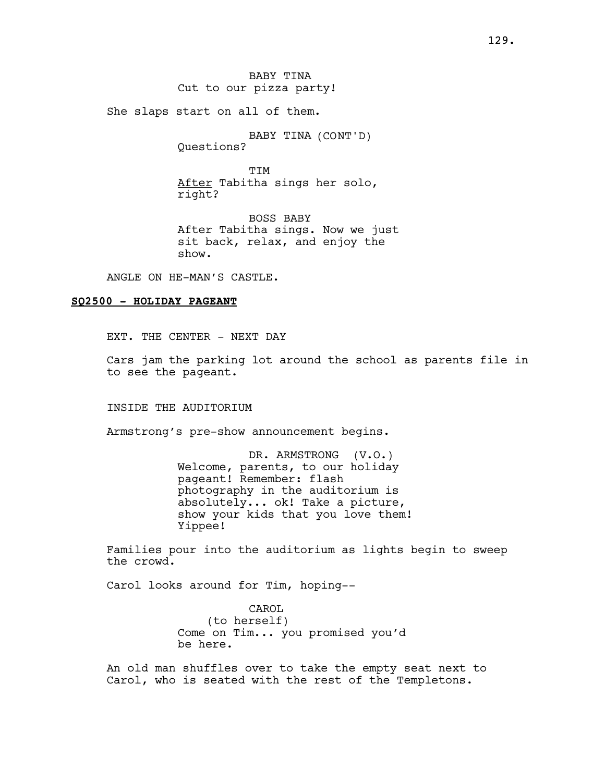BABY TINA Cut to our pizza party!

She slaps start on all of them.

BABY TINA (CONT'D) Questions?

**THU** After Tabitha sings her solo, right?

BOSS BABY After Tabitha sings. Now we just sit back, relax, and enjoy the show.

ANGLE ON HE-MAN'S CASTLE.

### SQ2500 - HOLIDAY PAGEANT

EXT. THE CENTER - NEXT DAY

Cars jam the parking lot around the school as parents file in to see the pageant.

INSIDE THE AUDITORIUM

Armstrong's pre-show announcement begins.

DR. ARMSTRONG (V.O.) Welcome, parents, to our holiday pageant! Remember: flash photography in the auditorium is absolutely... ok! Take a picture, show your kids that you love them! Yippee!

Families pour into the auditorium as lights begin to sweep the crowd.

Carol looks around for Tim, hoping--

CAROL (to herself) Come on Tim... you promised you'd be here.

An old man shuffles over to take the empty seat next to Carol, who is seated with the rest of the Templetons.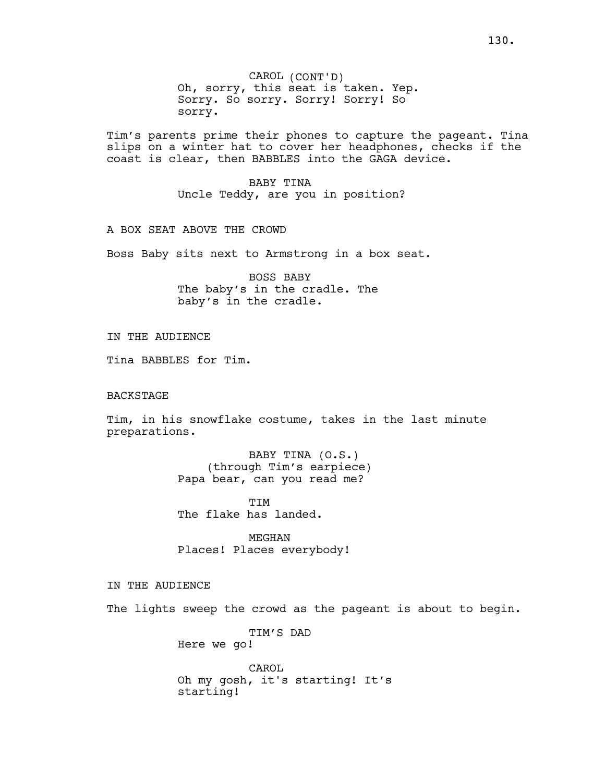CAROL (CONT'D) Oh, sorry, this seat is taken. Yep. Sorry. So sorry. Sorry! Sorry! So sorry.

Tim's parents prime their phones to capture the pageant. Tina slips on a winter hat to cover her headphones, checks if the coast is clear, then BABBLES into the GAGA device.

> BABY TINA Uncle Teddy, are you in position?

A BOX SEAT ABOVE THE CROWD

Boss Baby sits next to Armstrong in a box seat.

BOSS BABY The baby's in the cradle. The baby's in the cradle.

IN THE AUDIENCE

Tina BABBLES for Tim.

#### BACKSTAGE

Tim, in his snowflake costume, takes in the last minute preparations.

> BABY TINA (O.S.) (through Tim's earpiece) Papa bear, can you read me?

TIM The flake has landed.

MEGHAN Places! Places everybody!

## IN THE AUDIENCE

The lights sweep the crowd as the pageant is about to begin.

TIM'S DAD Here we go!

CAROL Oh my gosh, it's starting! It's starting!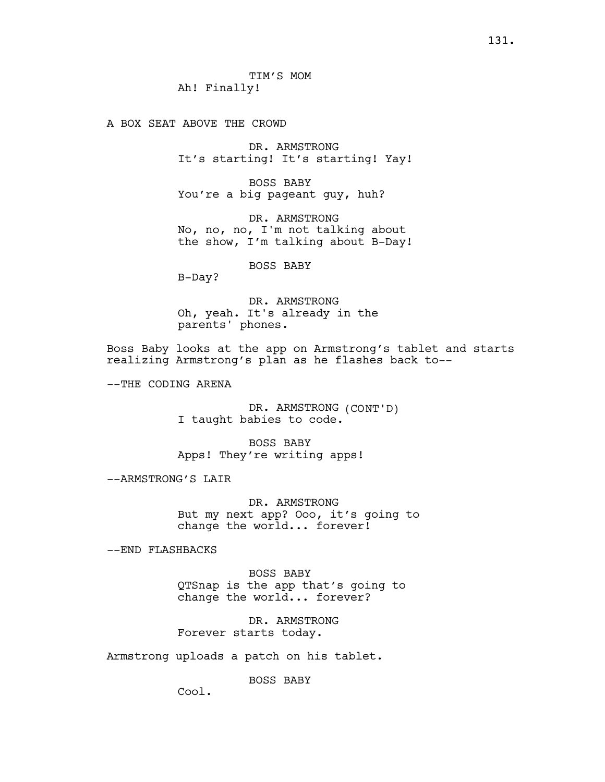A BOX SEAT ABOVE THE CROWD

DR. ARMSTRONG It's starting! It's starting! Yay!

BOSS BABY You're a big pageant guy, huh?

DR. ARMSTRONG No, no, no, I'm not talking about the show, I'm talking about B-Day!

BOSS BABY

B-Day?

DR. ARMSTRONG Oh, yeah. It's already in the parents' phones.

Boss Baby looks at the app on Armstrong's tablet and starts realizing Armstrong's plan as he flashes back to--

--THE CODING ARENA

DR. ARMSTRONG (CONT'D) I taught babies to code.

BOSS BABY Apps! They're writing apps!

--ARMSTRONG'S LAIR

DR. ARMSTRONG But my next app? Ooo, it's going to change the world... forever!

--END FLASHBACKS

BOSS BABY QTSnap is the app that's going to change the world... forever?

DR. ARMSTRONG Forever starts today.

Armstrong uploads a patch on his tablet.

BOSS BABY

Cool.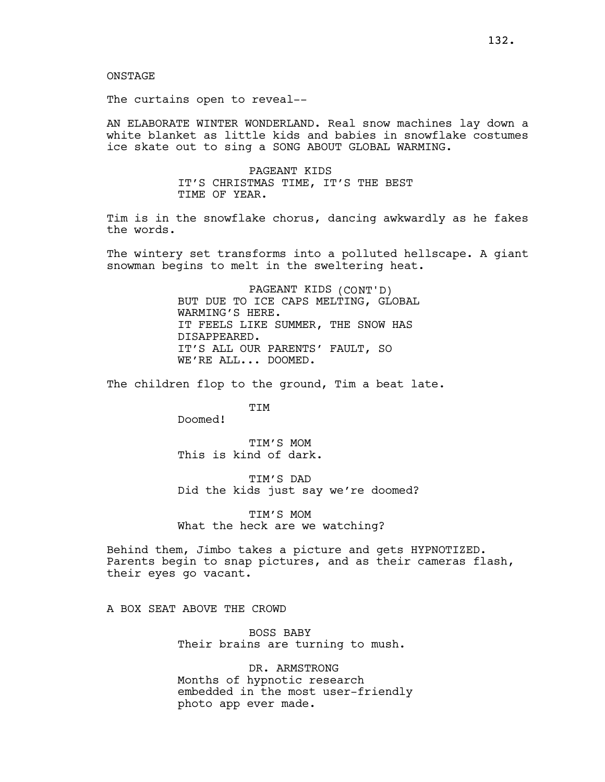ONSTAGE

The curtains open to reveal--

AN ELABORATE WINTER WONDERLAND. Real snow machines lay down a white blanket as little kids and babies in snowflake costumes ice skate out to sing a SONG ABOUT GLOBAL WARMING.

> PAGEANT KIDS IT'S CHRISTMAS TIME, IT'S THE BEST TIME OF YEAR.

Tim is in the snowflake chorus, dancing awkwardly as he fakes the words.

The wintery set transforms into a polluted hellscape. A giant snowman begins to melt in the sweltering heat.

> PAGEANT KIDS (CONT'D) BUT DUE TO ICE CAPS MELTING, GLOBAL WARMING'S HERE. IT FEELS LIKE SUMMER, THE SNOW HAS DISAPPEARED. IT'S ALL OUR PARENTS' FAULT, SO WE'RE ALL... DOOMED.

The children flop to the ground, Tim a beat late.

**TTM** 

Doomed!

TIM'S MOM This is kind of dark.

TIM'S DAD Did the kids just say we're doomed?

TIM'S MOM What the heck are we watching?

Behind them, Jimbo takes a picture and gets HYPNOTIZED. Parents begin to snap pictures, and as their cameras flash, their eyes go vacant.

A BOX SEAT ABOVE THE CROWD

BOSS BABY Their brains are turning to mush.

DR. ARMSTRONG Months of hypnotic research embedded in the most user-friendly photo app ever made.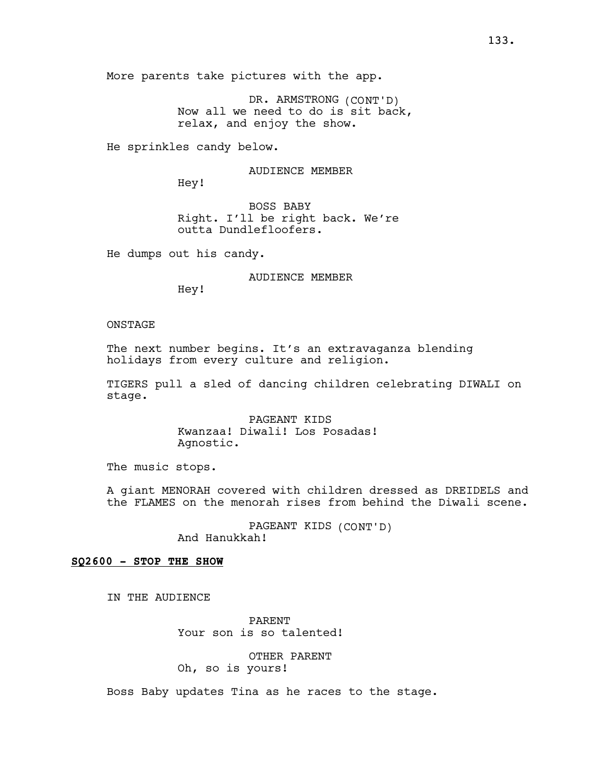More parents take pictures with the app.

DR. ARMSTRONG (CONT'D) Now all we need to do is sit back, relax, and enjoy the show.

He sprinkles candy below.

AUDIENCE MEMBER

Hey!

BOSS BABY Right. I'll be right back. We're outta Dundlefloofers.

He dumps out his candy.

AUDIENCE MEMBER

Hey!

#### ONSTAGE

The next number begins. It's an extravaganza blending holidays from every culture and religion.

TIGERS pull a sled of dancing children celebrating DIWALI on stage.

> PAGEANT KIDS Kwanzaa! Diwali! Los Posadas! Agnostic.

The music stops.

A giant MENORAH covered with children dressed as DREIDELS and the FLAMES on the menorah rises from behind the Diwali scene.

> PAGEANT KIDS (CONT'D) And Hanukkah!

### SQ2600 - STOP THE SHOW

IN THE AUDIENCE

PARENT Your son is so talented!

OTHER PARENT Oh, so is yours!

Boss Baby updates Tina as he races to the stage.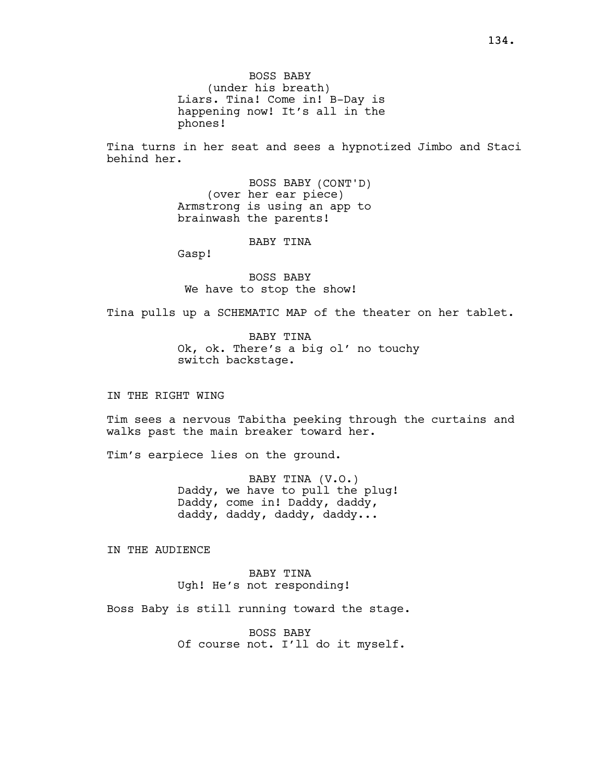BOSS BABY (under his breath) Liars. Tina! Come in! B-Day is happening now! It's all in the phones!

Tina turns in her seat and sees a hypnotized Jimbo and Staci behind her.

> BOSS BABY (CONT'D) (over her ear piece) Armstrong is using an app to brainwash the parents!

> > BABY TINA

Gasp!

BOSS BABY We have to stop the show!

Tina pulls up a SCHEMATIC MAP of the theater on her tablet.

BABY TINA Ok, ok. There's a big ol' no touchy switch backstage.

IN THE RIGHT WING

Tim sees a nervous Tabitha peeking through the curtains and walks past the main breaker toward her.

Tim's earpiece lies on the ground.

BABY TINA (V.O.) Daddy, we have to pull the plug! Daddy, come in! Daddy, daddy, daddy, daddy, daddy, daddy...

IN THE AUDIENCE

BABY TINA Ugh! He's not responding!

Boss Baby is still running toward the stage.

BOSS BABY Of course not. I'll do it myself.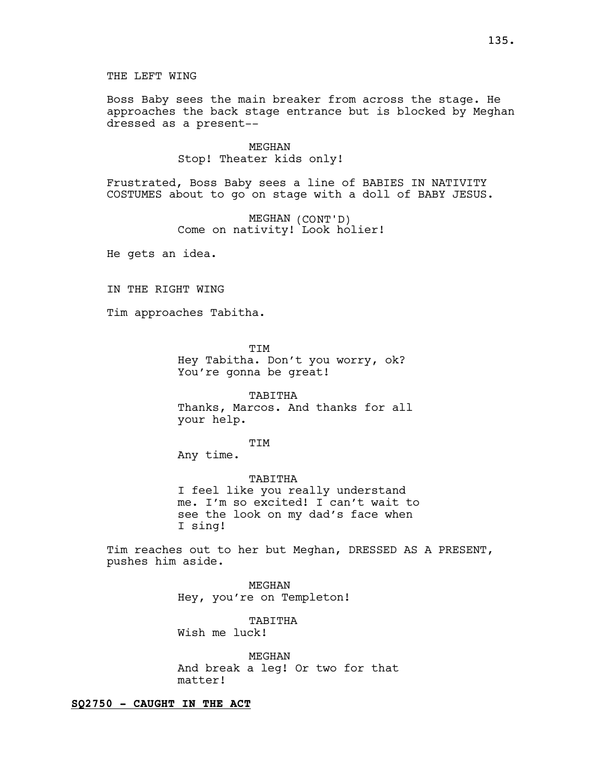THE LEFT WING

Boss Baby sees the main breaker from across the stage. He approaches the back stage entrance but is blocked by Meghan dressed as a present--

> MEGHAN Stop! Theater kids only!

Frustrated, Boss Baby sees a line of BABIES IN NATIVITY COSTUMES about to go on stage with a doll of BABY JESUS.

> MEGHAN (CONT'D) Come on nativity! Look holier!

He gets an idea.

IN THE RIGHT WING

Tim approaches Tabitha.

TIM Hey Tabitha. Don't you worry, ok? You're gonna be great!

TABITHA Thanks, Marcos. And thanks for all your help.

TIM

Any time.

TABITHA I feel like you really understand me. I'm so excited! I can't wait to see the look on my dad's face when I sing!

Tim reaches out to her but Meghan, DRESSED AS A PRESENT, pushes him aside.

> MEGHAN Hey, you're on Templeton!

TABITHA Wish me luck!

MEGHAN And break a leg! Or two for that matter!

### SQ2750 - CAUGHT IN THE ACT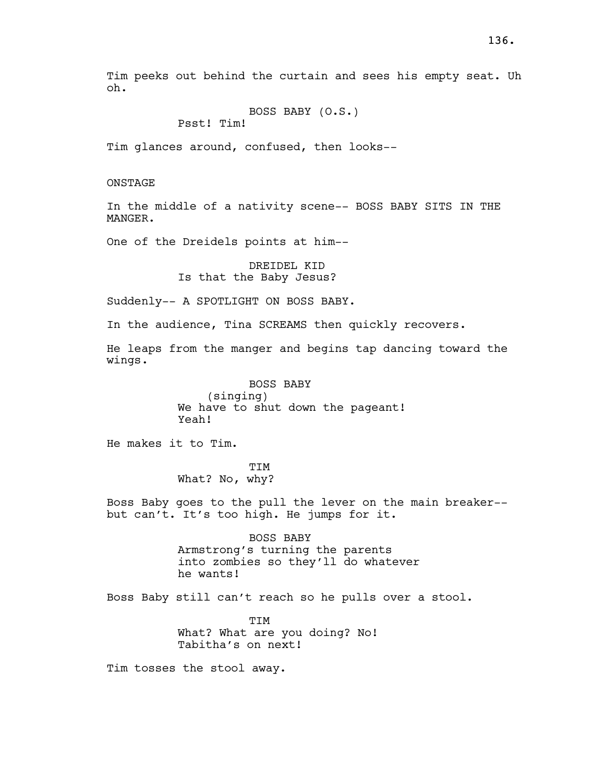Tim peeks out behind the curtain and sees his empty seat. Uh oh.

BOSS BABY (O.S.)

Psst! Tim!

Tim glances around, confused, then looks--

ONSTAGE

In the middle of a nativity scene-- BOSS BABY SITS IN THE MANGER.

One of the Dreidels points at him--

DREIDEL KID Is that the Baby Jesus?

Suddenly-- A SPOTLIGHT ON BOSS BABY.

In the audience, Tina SCREAMS then quickly recovers.

He leaps from the manger and begins tap dancing toward the wings.

> BOSS BABY (singing) We have to shut down the pageant! Yeah!

He makes it to Tim.

TIM What? No, why?

Boss Baby goes to the pull the lever on the main breaker- but can't. It's too high. He jumps for it.

> BOSS BABY Armstrong's turning the parents into zombies so they'll do whatever he wants!

Boss Baby still can't reach so he pulls over a stool.

TIM What? What are you doing? No! Tabitha's on next!

Tim tosses the stool away.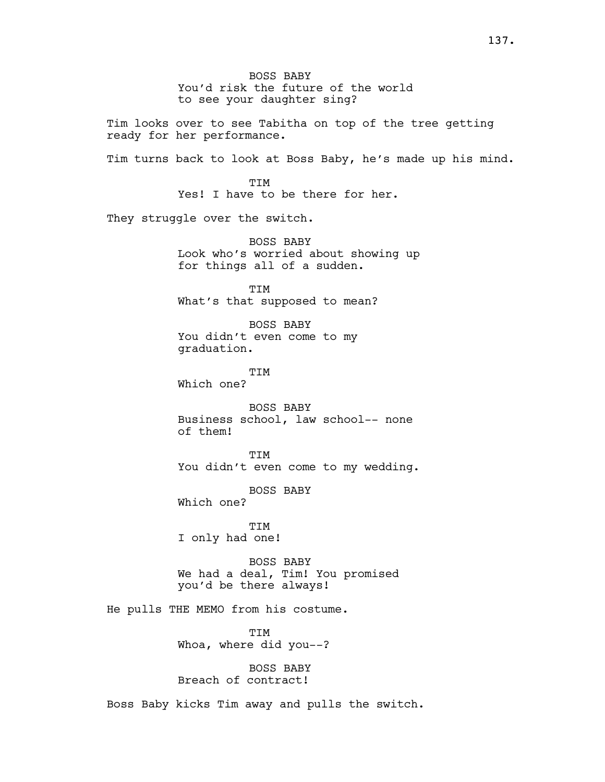BOSS BABY You'd risk the future of the world to see your daughter sing? Tim looks over to see Tabitha on top of the tree getting ready for her performance. Tim turns back to look at Boss Baby, he's made up his mind. **TTM** Yes! I have to be there for her. They struggle over the switch. BOSS BABY Look who's worried about showing up for things all of a sudden. TIM What's that supposed to mean? BOSS BABY You didn't even come to my graduation. TIM Which one? BOSS BABY Business school, law school-- none of them! TIM You didn't even come to my wedding. BOSS BABY Which one? TIM I only had one! BOSS BABY We had a deal, Tim! You promised you'd be there always! He pulls THE MEMO from his costume. TIM Whoa, where did you--? BOSS BABY Breach of contract! Boss Baby kicks Tim away and pulls the switch.

137.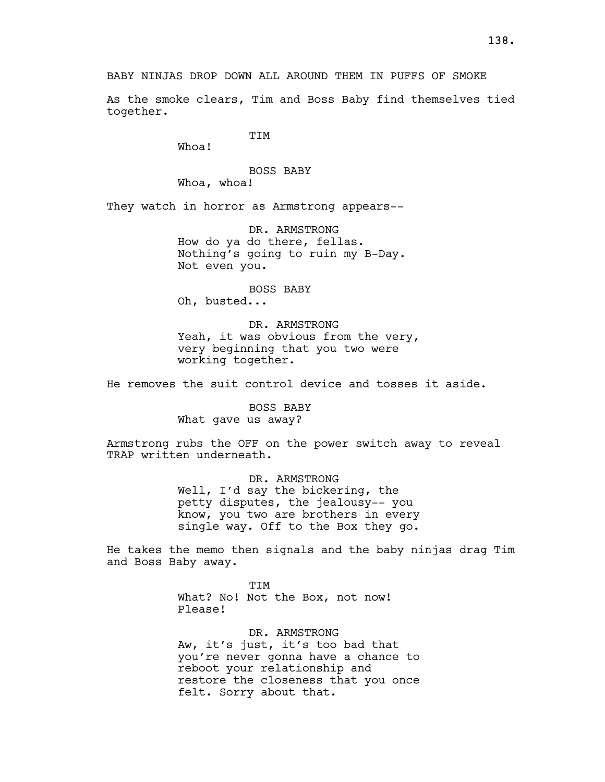BABY NINJAS DROP DOWN ALL AROUND THEM IN PUFFS OF SMOKE

As the smoke clears, Tim and Boss Baby find themselves tied together.

TIM

Whoa!

BOSS BABY Whoa, whoa!

They watch in horror as Armstrong appears--

DR. ARMSTRONG How do ya do there, fellas. Nothing's going to ruin my B-Day. Not even you.

BOSS BABY Oh, busted...

DR. ARMSTRONG Yeah, it was obvious from the very, very beginning that you two were working together.

He removes the suit control device and tosses it aside.

BOSS BABY What gave us away?

Armstrong rubs the OFF on the power switch away to reveal TRAP written underneath.

> DR. ARMSTRONG Well, I'd say the bickering, the petty disputes, the jealousy-- you know, you two are brothers in every single way. Off to the Box they go.

He takes the memo then signals and the baby ninjas drag Tim and Boss Baby away.

> **TTM** What? No! Not the Box, not now! Please!

DR. ARMSTRONG Aw, it's just, it's too bad that you're never gonna have a chance to reboot your relationship and restore the closeness that you once felt. Sorry about that.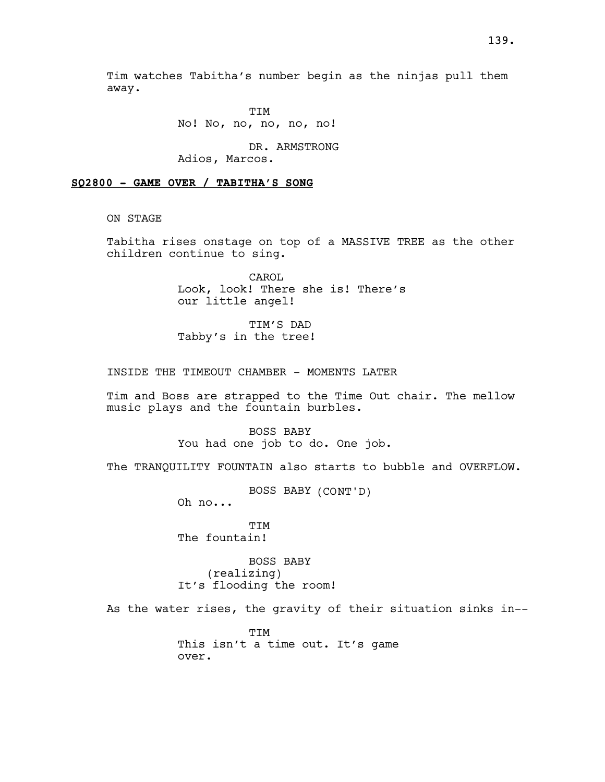Tim watches Tabitha's number begin as the ninjas pull them away.

> TIM No! No, no, no, no, no!

DR. ARMSTRONG Adios, Marcos.

### SQ2800 - GAME OVER / TABITHA'S SONG

ON STAGE

Tabitha rises onstage on top of a MASSIVE TREE as the other children continue to sing.

> CAROL Look, look! There she is! There's our little angel!

TIM'S DAD Tabby's in the tree!

INSIDE THE TIMEOUT CHAMBER - MOMENTS LATER

Tim and Boss are strapped to the Time Out chair. The mellow music plays and the fountain burbles.

> BOSS BABY You had one job to do. One job.

The TRANQUILITY FOUNTAIN also starts to bubble and OVERFLOW.

BOSS BABY (CONT'D)

Oh no...

TIM The fountain!

BOSS BABY (realizing) It's flooding the room!

As the water rises, the gravity of their situation sinks in--

TIM This isn't a time out. It's game over.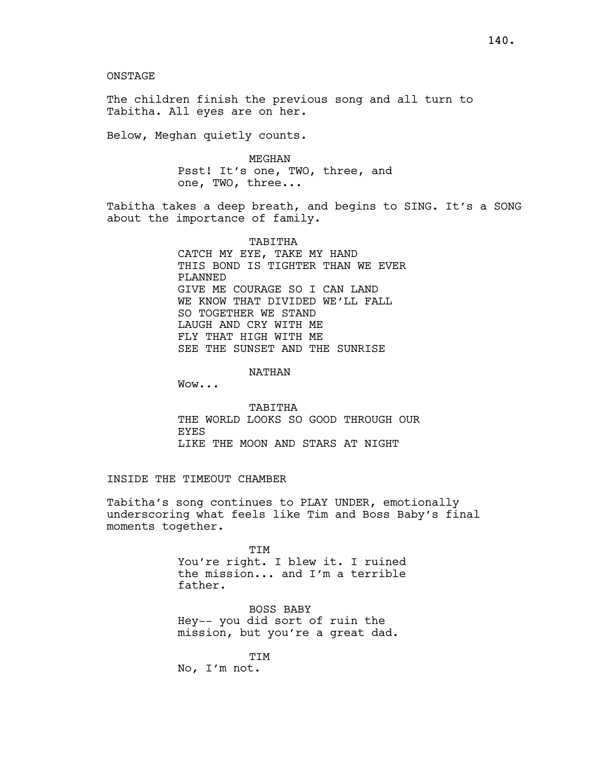ONSTAGE

The children finish the previous song and all turn to Tabitha. All eyes are on her.

Below, Meghan quietly counts.

MEGHAN Psst! It's one, TWO, three, and one, TWO, three...

Tabitha takes a deep breath, and begins to SING. It's a SONG about the importance of family.

> TABITHA CATCH MY EYE, TAKE MY HAND THIS BOND IS TIGHTER THAN WE EVER PLANNED GIVE ME COURAGE SO I CAN LAND WE KNOW THAT DIVIDED WE'LL FALL SO TOGETHER WE STAND LAUGH AND CRY WITH ME FLY THAT HIGH WITH ME SEE THE SUNSET AND THE SUNRISE

> > NATHAN

Wow...

TABITHA THE WORLD LOOKS SO GOOD THROUGH OUR **EYES** LIKE THE MOON AND STARS AT NIGHT

## INSIDE THE TIMEOUT CHAMBER

Tabitha's song continues to PLAY UNDER, emotionally underscoring what feels like Tim and Boss Baby's final moments together.

> TIM You're right. I blew it. I ruined the mission... and I'm a terrible father.

BOSS BABY Hey-- you did sort of ruin the mission, but you're a great dad.

TIM

No, I'm not.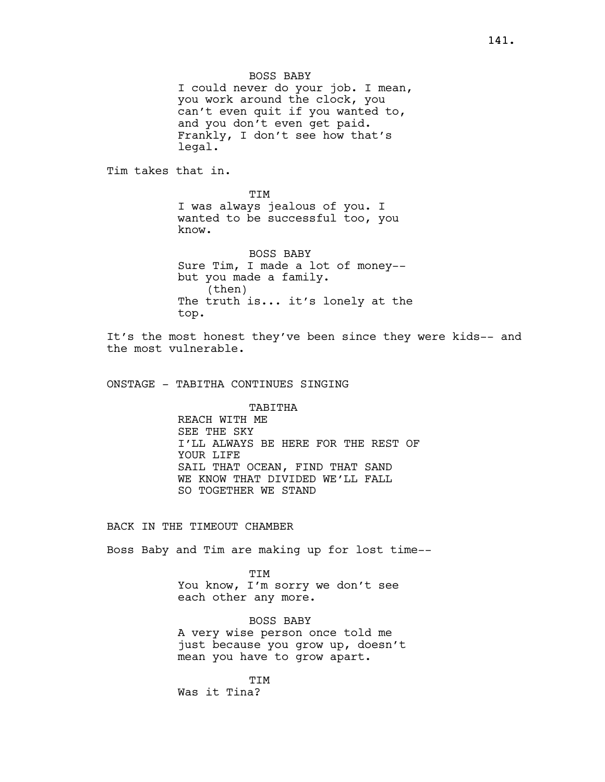BOSS BABY I could never do your job. I mean, you work around the clock, you can't even quit if you wanted to, and you don't even get paid. Frankly, I don't see how that's legal.

Tim takes that in.

TIM I was always jealous of you. I wanted to be successful too, you know.

BOSS BABY Sure Tim, I made a lot of money- but you made a family. (then) The truth is... it's lonely at the top.

It's the most honest they've been since they were kids-- and the most vulnerable.

ONSTAGE - TABITHA CONTINUES SINGING

# TABITHA

REACH WITH ME SEE THE SKY I'LL ALWAYS BE HERE FOR THE REST OF YOUR LIFE SAIL THAT OCEAN, FIND THAT SAND WE KNOW THAT DIVIDED WE'LL FALL SO TOGETHER WE STAND

### BACK IN THE TIMEOUT CHAMBER

Boss Baby and Tim are making up for lost time--

TIM You know, I'm sorry we don't see each other any more.

BOSS BABY A very wise person once told me just because you grow up, doesn't mean you have to grow apart.

TIM Was it Tina?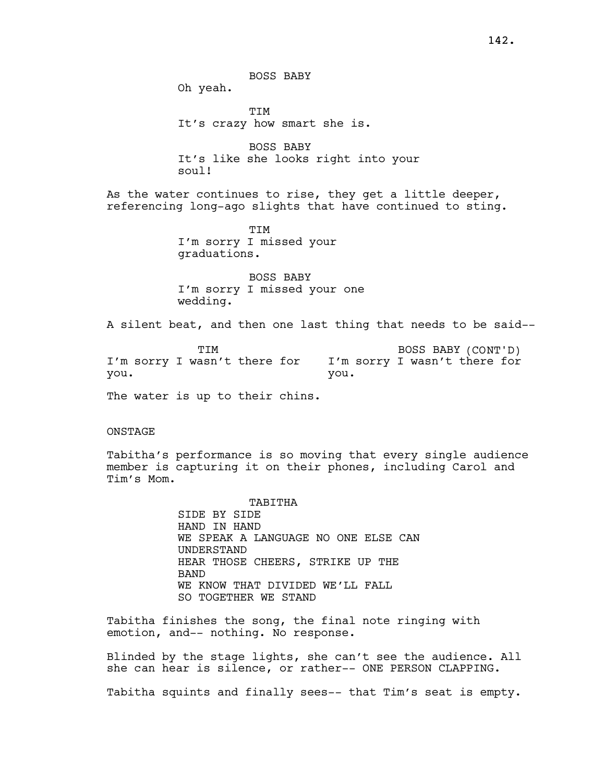Oh yeah.

TIM It's crazy how smart she is.

BOSS BABY It's like she looks right into your soul!

As the water continues to rise, they get a little deeper, referencing long-ago slights that have continued to sting.

> TIM I'm sorry I missed your graduations.

BOSS BABY I'm sorry I missed your one wedding.

A silent beat, and then one last thing that needs to be said--

**TTM** I'm sorry I wasn't there for you. BOSS BABY (CONT'D) I'm sorry I wasn't there for you.

The water is up to their chins.

### **ONSTAGE**

Tabitha's performance is so moving that every single audience member is capturing it on their phones, including Carol and Tim's Mom.

> TABITHA SIDE BY SIDE HAND IN HAND WE SPEAK A LANGUAGE NO ONE ELSE CAN UNDERSTAND HEAR THOSE CHEERS, STRIKE UP THE **BAND** WE KNOW THAT DIVIDED WE'LL FALL SO TOGETHER WE STAND

Tabitha finishes the song, the final note ringing with emotion, and-- nothing. No response.

Blinded by the stage lights, she can't see the audience. All she can hear is silence, or rather-- ONE PERSON CLAPPING.

Tabitha squints and finally sees-- that Tim's seat is empty.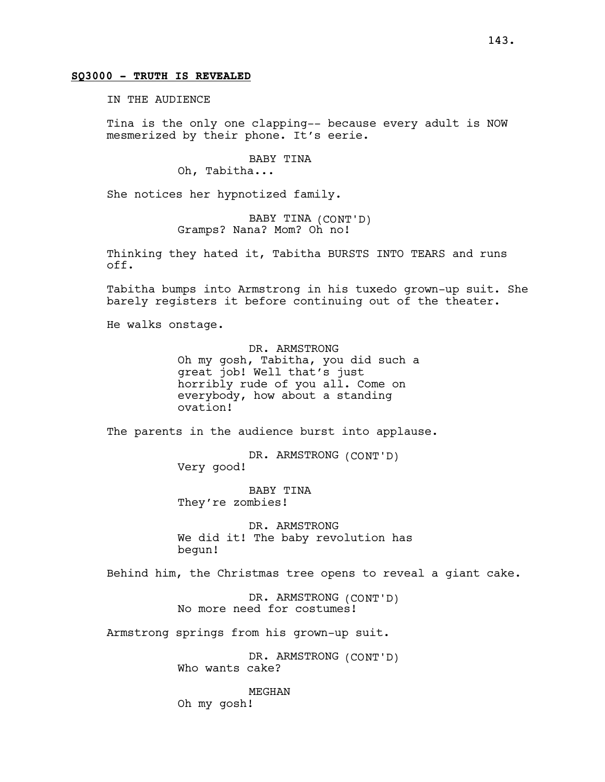## SQ3000 - TRUTH IS REVEALED

IN THE AUDIENCE

Tina is the only one clapping-- because every adult is NOW mesmerized by their phone. It's eerie.

BABY TINA

Oh, Tabitha...

She notices her hypnotized family.

BABY TINA (CONT'D) Gramps? Nana? Mom? Oh no!

Thinking they hated it, Tabitha BURSTS INTO TEARS and runs off.

Tabitha bumps into Armstrong in his tuxedo grown-up suit. She barely registers it before continuing out of the theater.

He walks onstage.

DR. ARMSTRONG Oh my gosh, Tabitha, you did such a great job! Well that's just horribly rude of you all. Come on everybody, how about a standing ovation!

The parents in the audience burst into applause.

DR. ARMSTRONG (CONT'D) Very good!

BABY TINA They're zombies!

DR. ARMSTRONG We did it! The baby revolution has begun!

Behind him, the Christmas tree opens to reveal a giant cake.

DR. ARMSTRONG (CONT'D) No more need for costumes!

Armstrong springs from his grown-up suit.

DR. ARMSTRONG (CONT'D) Who wants cake?

MEGHAN Oh my gosh!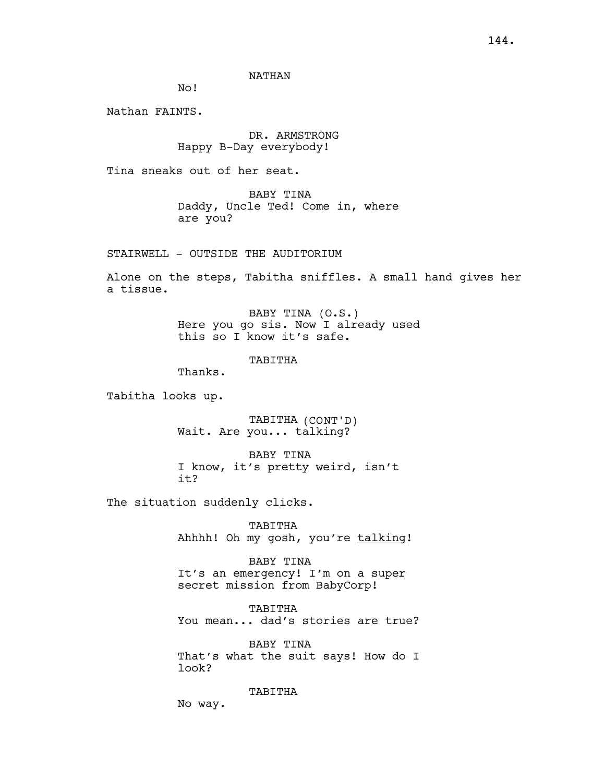NATHAN

No!

Nathan FAINTS.

DR. ARMSTRONG Happy B-Day everybody!

Tina sneaks out of her seat.

BABY TINA Daddy, Uncle Ted! Come in, where are you?

STAIRWELL - OUTSIDE THE AUDITORIUM

Alone on the steps, Tabitha sniffles. A small hand gives her a tissue.

> BABY TINA (O.S.) Here you go sis. Now I already used this so I know it's safe.

> > TABITHA

Thanks.

Tabitha looks up.

TABITHA (CONT'D) Wait. Are you... talking?

BABY TINA I know, it's pretty weird, isn't it?

The situation suddenly clicks.

TABITHA Ahhhh! Oh my gosh, you're talking!

BABY TINA It's an emergency! I'm on a super secret mission from BabyCorp!

TABITHA You mean... dad's stories are true?

BABY TINA That's what the suit says! How do I look?

TABITHA

No way.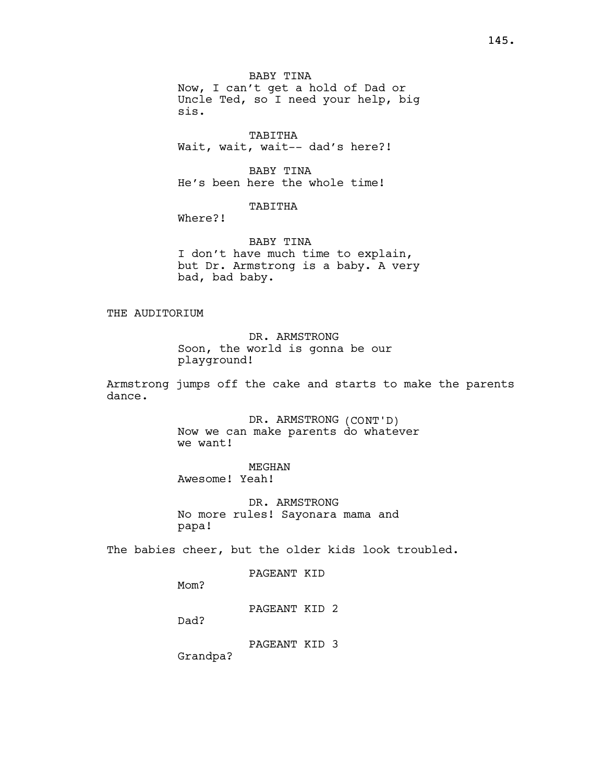BABY TINA Now, I can't get a hold of Dad or Uncle Ted, so I need your help, big sis.

TABITHA Wait, wait, wait-- dad's here?!

BABY TINA He's been here the whole time!

# TABITHA

Where?!

BABY TINA I don't have much time to explain, but Dr. Armstrong is a baby. A very bad, bad baby.

THE AUDITORIUM

DR. ARMSTRONG Soon, the world is gonna be our playground!

Armstrong jumps off the cake and starts to make the parents dance.

> DR. ARMSTRONG (CONT'D) Now we can make parents do whatever we want!

MEGHAN Awesome! Yeah!

DR. ARMSTRONG No more rules! Sayonara mama and papa!

The babies cheer, but the older kids look troubled.

PAGEANT KID

Mom?

PAGEANT KID 2

Dad?

PAGEANT KID 3

Grandpa?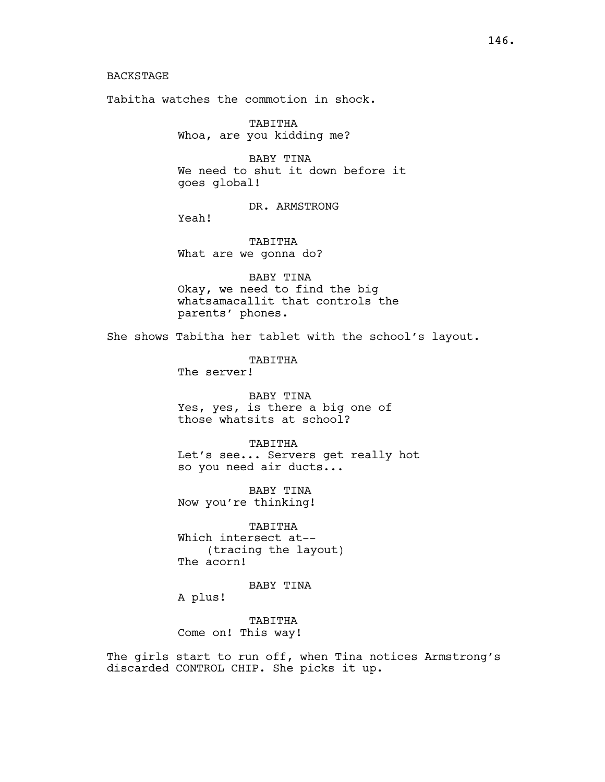## BACKSTAGE

Tabitha watches the commotion in shock.

TABITHA Whoa, are you kidding me?

BABY TINA We need to shut it down before it goes global!

DR. ARMSTRONG

Yeah!

TABITHA What are we gonna do?

BABY TINA Okay, we need to find the big whatsamacallit that controls the parents' phones.

She shows Tabitha her tablet with the school's layout.

TABITHA The server!

BABY TINA Yes, yes, is there a big one of those whatsits at school?

TABITHA Let's see... Servers get really hot so you need air ducts...

BABY TINA Now you're thinking!

TABITHA Which intersect at-- (tracing the layout) The acorn!

BABY TINA

A plus!

TABITHA Come on! This way!

The girls start to run off, when Tina notices Armstrong's discarded CONTROL CHIP. She picks it up.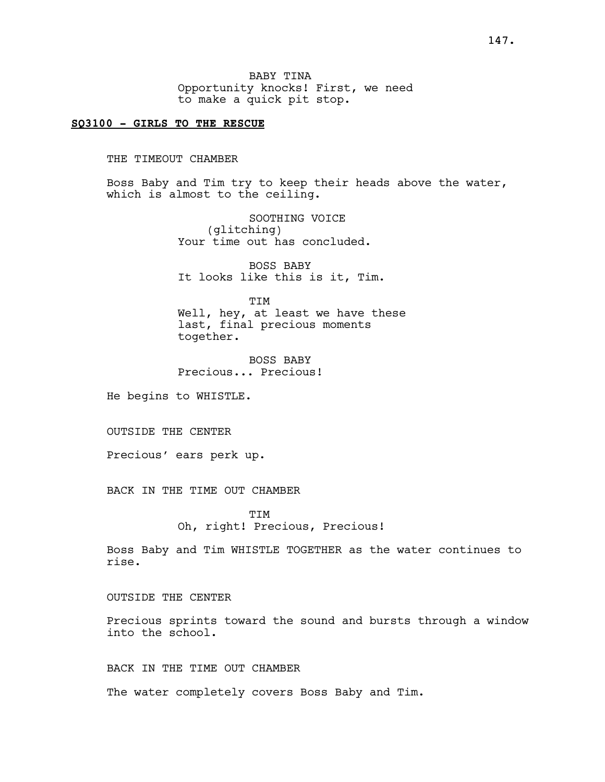BABY TINA Opportunity knocks! First, we need to make a quick pit stop.

## SQ3100 - GIRLS TO THE RESCUE

THE TIMEOUT CHAMBER

Boss Baby and Tim try to keep their heads above the water, which is almost to the ceiling.

> SOOTHING VOICE (glitching) Your time out has concluded.

BOSS BABY It looks like this is it, Tim.

**TTM** Well, hey, at least we have these last, final precious moments together.

BOSS BABY Precious... Precious!

He begins to WHISTLE.

OUTSIDE THE CENTER

Precious' ears perk up.

BACK IN THE TIME OUT CHAMBER

**TTM** Oh, right! Precious, Precious!

Boss Baby and Tim WHISTLE TOGETHER as the water continues to rise.

OUTSIDE THE CENTER

Precious sprints toward the sound and bursts through a window into the school.

BACK IN THE TIME OUT CHAMBER

The water completely covers Boss Baby and Tim.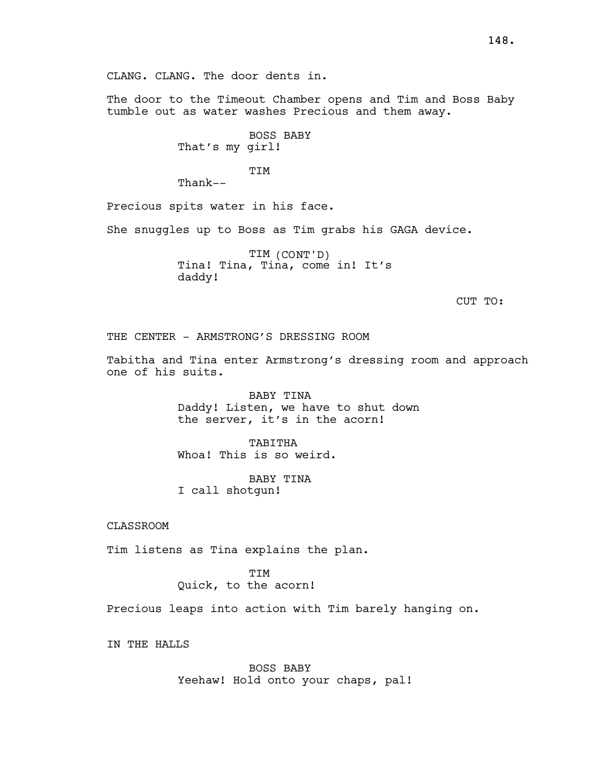CLANG. CLANG. The door dents in.

The door to the Timeout Chamber opens and Tim and Boss Baby tumble out as water washes Precious and them away.

> BOSS BABY That's my girl!

> > **TTM**

Thank--

Precious spits water in his face.

She snuggles up to Boss as Tim grabs his GAGA device.

TIM (CONT'D) Tina! Tina, Tina, come in! It's daddy!

CUT TO:

THE CENTER - ARMSTRONG'S DRESSING ROOM

Tabitha and Tina enter Armstrong's dressing room and approach one of his suits.

> BABY TINA Daddy! Listen, we have to shut down the server, it's in the acorn!

TABITHA Whoa! This is so weird.

BABY TINA I call shotgun!

CLASSROOM

Tim listens as Tina explains the plan.

TIM Quick, to the acorn!

Precious leaps into action with Tim barely hanging on.

IN THE HALLS

BOSS BABY Yeehaw! Hold onto your chaps, pal!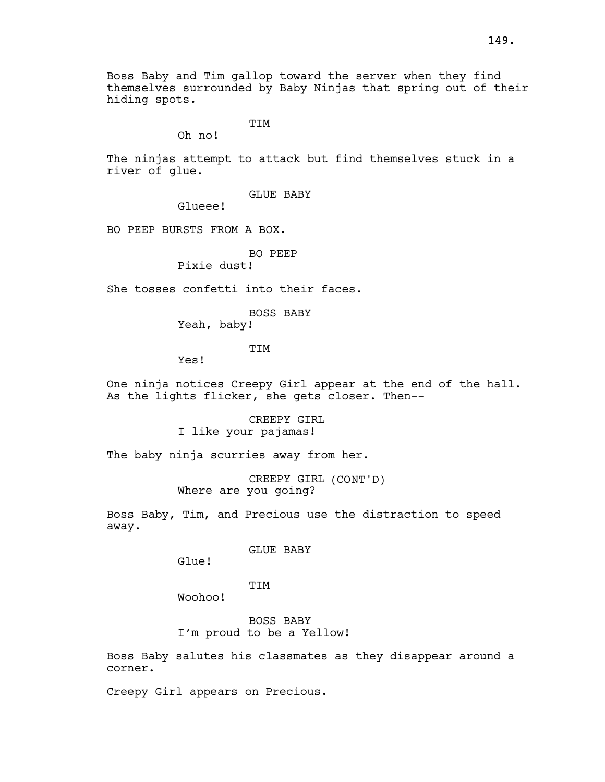Boss Baby and Tim gallop toward the server when they find themselves surrounded by Baby Ninjas that spring out of their hiding spots.

TIM

Oh no!

The ninjas attempt to attack but find themselves stuck in a river of glue.

GLUE BABY

Glueee!

BO PEEP BURSTS FROM A BOX.

BO PEEP

Pixie dust!

She tosses confetti into their faces.

BOSS BABY

Yeah, baby!

TIM

Yes!

One ninja notices Creepy Girl appear at the end of the hall. As the lights flicker, she gets closer. Then--

> CREEPY GIRL I like your pajamas!

The baby ninja scurries away from her.

CREEPY GIRL (CONT'D) Where are you going?

Boss Baby, Tim, and Precious use the distraction to speed away.

GLUE BABY

Glue!

TIM

Woohoo!

BOSS BABY I'm proud to be a Yellow!

Boss Baby salutes his classmates as they disappear around a corner.

Creepy Girl appears on Precious.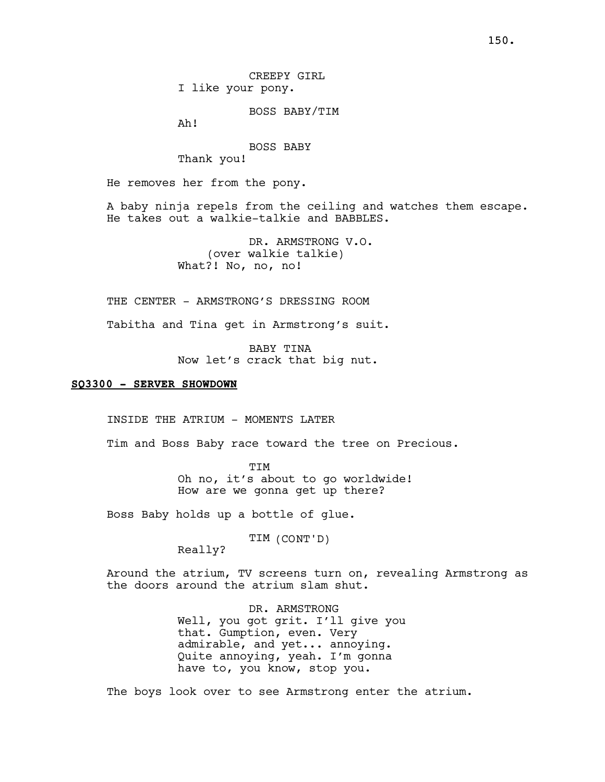CREEPY GIRL I like your pony.

BOSS BABY/TIM

Ah!

BOSS BABY

Thank you!

He removes her from the pony.

A baby ninja repels from the ceiling and watches them escape. He takes out a walkie-talkie and BABBLES.

> DR. ARMSTRONG V.O. (over walkie talkie) What?! No, no, no!

THE CENTER - ARMSTRONG'S DRESSING ROOM

Tabitha and Tina get in Armstrong's suit.

BABY TINA Now let's crack that big nut.

#### SQ3300 - SERVER SHOWDOWN

INSIDE THE ATRIUM - MOMENTS LATER

Tim and Boss Baby race toward the tree on Precious.

TIM Oh no, it's about to go worldwide! How are we gonna get up there?

Boss Baby holds up a bottle of glue.

TIM (CONT'D)

Really?

Around the atrium, TV screens turn on, revealing Armstrong as the doors around the atrium slam shut.

> DR. ARMSTRONG Well, you got grit. I'll give you that. Gumption, even. Very admirable, and yet... annoying. Quite annoying, yeah. I'm gonna have to, you know, stop you.

The boys look over to see Armstrong enter the atrium.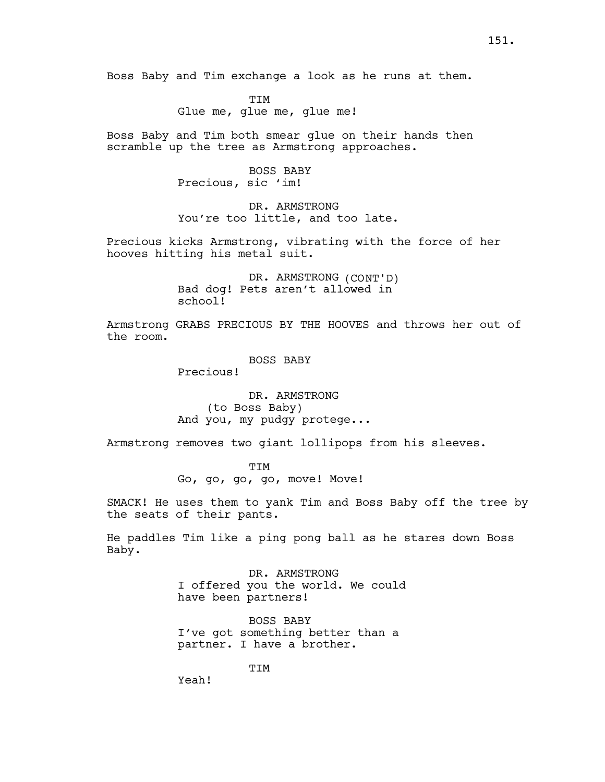Boss Baby and Tim exchange a look as he runs at them.

TIM Glue me, glue me, glue me!

Boss Baby and Tim both smear glue on their hands then scramble up the tree as Armstrong approaches.

> BOSS BABY Precious, sic 'im!

DR. ARMSTRONG You're too little, and too late.

Precious kicks Armstrong, vibrating with the force of her hooves hitting his metal suit.

> DR. ARMSTRONG (CONT'D) Bad dog! Pets aren't allowed in school!

Armstrong GRABS PRECIOUS BY THE HOOVES and throws her out of the room.

BOSS BABY

Precious!

DR. ARMSTRONG (to Boss Baby) And you, my pudgy protege...

Armstrong removes two giant lollipops from his sleeves.

TIM Go, go, go, go, move! Move!

SMACK! He uses them to yank Tim and Boss Baby off the tree by the seats of their pants.

He paddles Tim like a ping pong ball as he stares down Boss Baby.

> DR. ARMSTRONG I offered you the world. We could have been partners!

BOSS BABY I've got something better than a partner. I have a brother.

TIM

Yeah!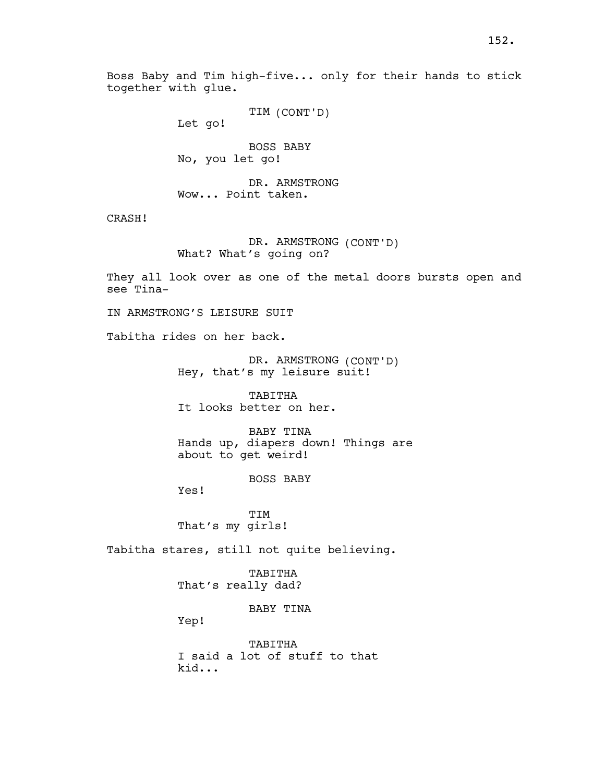152.

TIM (CONT'D)

Let go!

together with glue.

BOSS BABY No, you let go!

DR. ARMSTRONG Wow... Point taken.

CRASH!

DR. ARMSTRONG (CONT'D) What? What's going on?

They all look over as one of the metal doors bursts open and see Tina-

IN ARMSTRONG'S LEISURE SUIT

Tabitha rides on her back.

DR. ARMSTRONG (CONT'D) Hey, that's my leisure suit!

TABITHA It looks better on her.

BABY TINA Hands up, diapers down! Things are about to get weird!

BOSS BABY

Yes!

**TTM** That's my girls!

Tabitha stares, still not quite believing.

TABITHA That's really dad?

BABY TINA

Yep!

TABITHA I said a lot of stuff to that kid...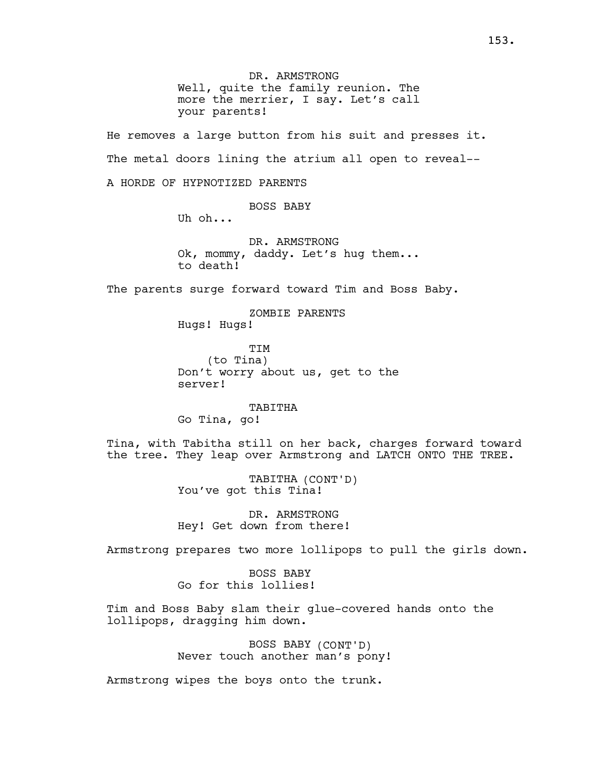DR. ARMSTRONG Well, quite the family reunion. The more the merrier, I say. Let's call your parents!

He removes a large button from his suit and presses it. The metal doors lining the atrium all open to reveal--

A HORDE OF HYPNOTIZED PARENTS

BOSS BABY

Uh oh...

DR. ARMSTRONG Ok, mommy, daddy. Let's hug them... to death!

The parents surge forward toward Tim and Boss Baby.

ZOMBIE PARENTS

Hugs! Hugs!

TIM (to Tina) Don't worry about us, get to the server!

TABITHA Go Tina, go!

Tina, with Tabitha still on her back, charges forward toward the tree. They leap over Armstrong and LATCH ONTO THE TREE.

> TABITHA (CONT'D) You've got this Tina!

DR. ARMSTRONG Hey! Get down from there!

Armstrong prepares two more lollipops to pull the girls down.

BOSS BABY Go for this lollies!

Tim and Boss Baby slam their glue-covered hands onto the lollipops, dragging him down.

> BOSS BABY (CONT'D) Never touch another man's pony!

Armstrong wipes the boys onto the trunk.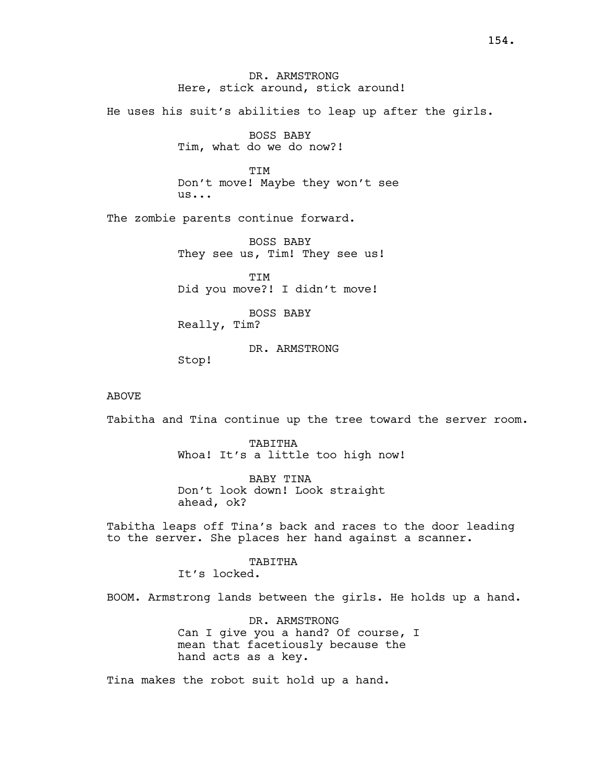DR. ARMSTRONG Here, stick around, stick around!

He uses his suit's abilities to leap up after the girls.

BOSS BABY Tim, what do we do now?!

**TTM** Don't move! Maybe they won't see us...

The zombie parents continue forward.

BOSS BABY They see us, Tim! They see us!

TIM Did you move?! I didn't move!

BOSS BABY Really, Tim?

DR. ARMSTRONG

Stop!

## ABOVE

Tabitha and Tina continue up the tree toward the server room.

TABITHA Whoa! It's a little too high now!

BABY TINA Don't look down! Look straight ahead, ok?

Tabitha leaps off Tina's back and races to the door leading to the server. She places her hand against a scanner.

# TABITHA

It's locked.

BOOM. Armstrong lands between the girls. He holds up a hand.

DR. ARMSTRONG Can I give you a hand? Of course, I mean that facetiously because the hand acts as a key.

Tina makes the robot suit hold up a hand.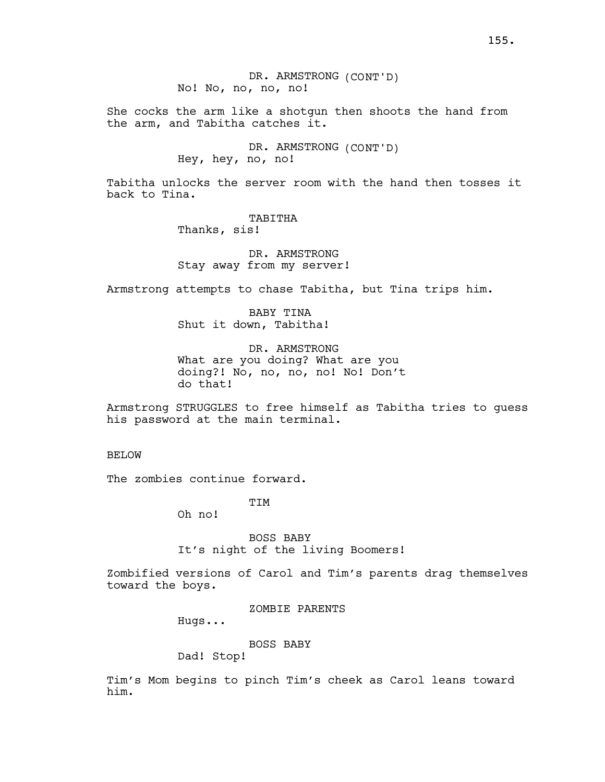DR. ARMSTRONG (CONT'D) No! No, no, no, no!

She cocks the arm like a shotgun then shoots the hand from the arm, and Tabitha catches it.

> DR. ARMSTRONG (CONT'D) Hey, hey, no, no!

Tabitha unlocks the server room with the hand then tosses it back to Tina.

> TABITHA Thanks, sis!

DR. ARMSTRONG Stay away from my server!

Armstrong attempts to chase Tabitha, but Tina trips him.

BABY TINA Shut it down, Tabitha!

DR. ARMSTRONG What are you doing? What are you doing?! No, no, no, no! No! Don't do that!

Armstrong STRUGGLES to free himself as Tabitha tries to guess his password at the main terminal.

BELOW

The zombies continue forward.

TIM

Oh no!

BOSS BABY It's night of the living Boomers!

Zombified versions of Carol and Tim's parents drag themselves toward the boys.

ZOMBIE PARENTS

Hugs...

BOSS BABY

Dad! Stop!

Tim's Mom begins to pinch Tim's cheek as Carol leans toward him.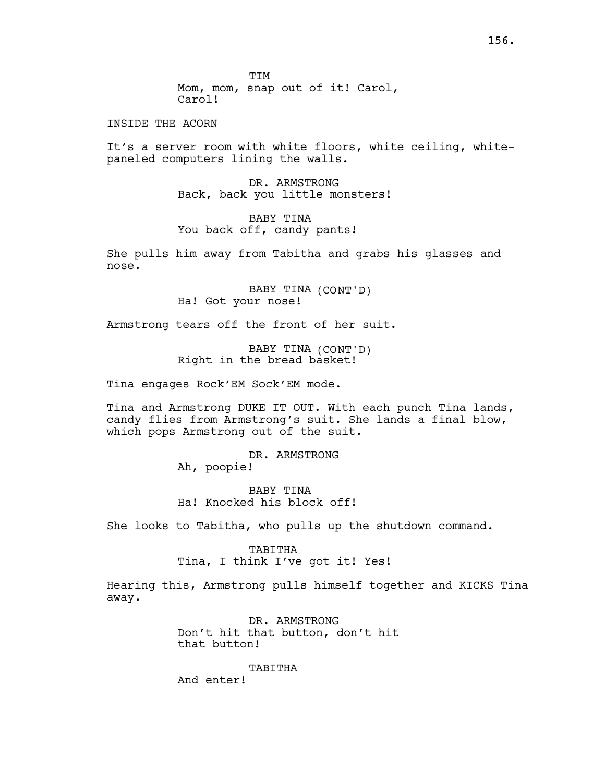TIM Mom, mom, snap out of it! Carol, Carol!

INSIDE THE ACORN

It's a server room with white floors, white ceiling, whitepaneled computers lining the walls.

> DR. ARMSTRONG Back, back you little monsters!

BABY TINA You back off, candy pants!

She pulls him away from Tabitha and grabs his glasses and nose.

> BABY TINA (CONT'D) Ha! Got your nose!

Armstrong tears off the front of her suit.

BABY TINA (CONT'D) Right in the bread basket!

Tina engages Rock'EM Sock'EM mode.

Tina and Armstrong DUKE IT OUT. With each punch Tina lands, candy flies from Armstrong's suit. She lands a final blow, which pops Armstrong out of the suit.

> DR. ARMSTRONG Ah, poopie!

BABY TINA Ha! Knocked his block off!

She looks to Tabitha, who pulls up the shutdown command.

TABITHA Tina, I think I've got it! Yes!

Hearing this, Armstrong pulls himself together and KICKS Tina away.

> DR. ARMSTRONG Don't hit that button, don't hit that button!

TABITHA And enter!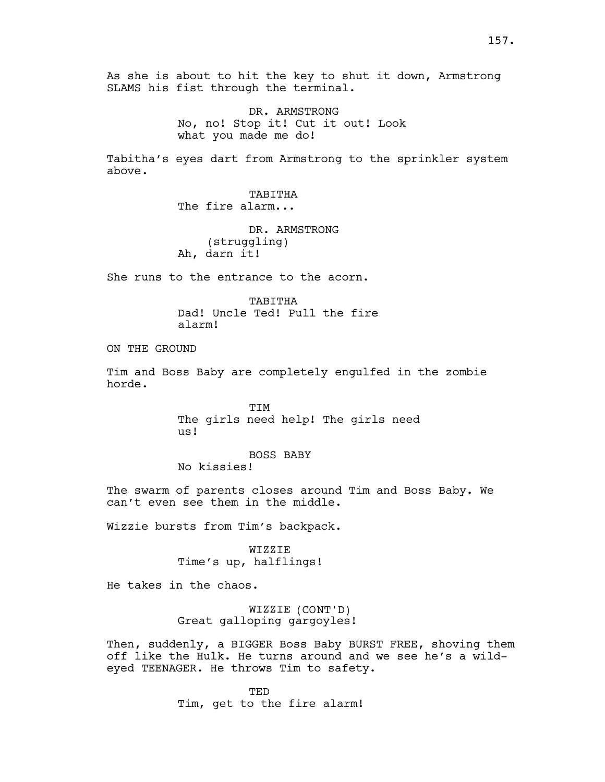As she is about to hit the key to shut it down, Armstrong SLAMS his fist through the terminal.

> DR. ARMSTRONG No, no! Stop it! Cut it out! Look what you made me do!

Tabitha's eyes dart from Armstrong to the sprinkler system above.

> TABITHA The fire alarm...

DR. ARMSTRONG (struggling) Ah, darn it!

She runs to the entrance to the acorn.

TABITHA Dad! Uncle Ted! Pull the fire alarm!

ON THE GROUND

Tim and Boss Baby are completely engulfed in the zombie horde.

> TIM The girls need help! The girls need us!

BOSS BABY

No kissies!

The swarm of parents closes around Tim and Boss Baby. We can't even see them in the middle.

Wizzie bursts from Tim's backpack.

WIZZIE Time's up, halflings!

He takes in the chaos.

WIZZIE (CONT'D) Great galloping gargoyles!

Then, suddenly, a BIGGER Boss Baby BURST FREE, shoving them off like the Hulk. He turns around and we see he's a wildeyed TEENAGER. He throws Tim to safety.

> **TED** Tim, get to the fire alarm!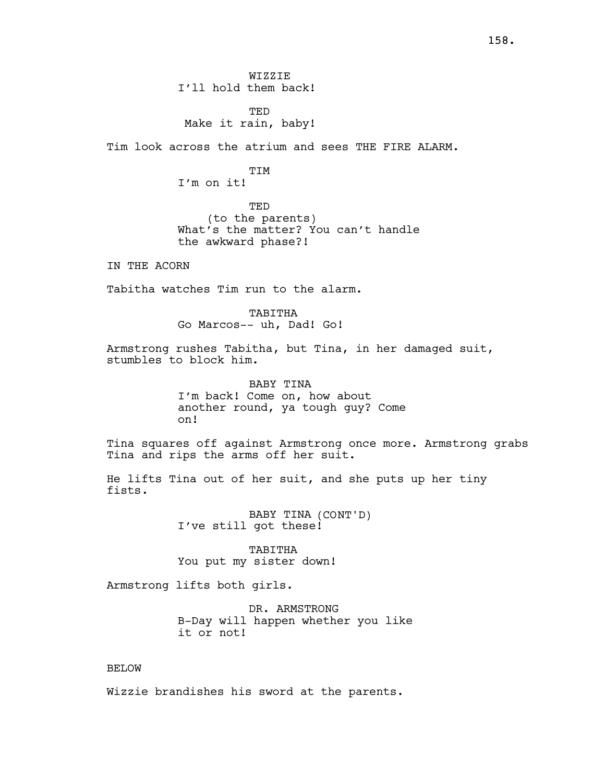WIZZIE I'll hold them back!

TED Make it rain, baby!

Tim look across the atrium and sees THE FIRE ALARM.

**TTM** I'm on it!

TED (to the parents) What's the matter? You can't handle the awkward phase?!

IN THE ACORN

Tabitha watches Tim run to the alarm.

TABITHA Go Marcos-- uh, Dad! Go!

Armstrong rushes Tabitha, but Tina, in her damaged suit, stumbles to block him.

> BABY TINA I'm back! Come on, how about another round, ya tough guy? Come on!

Tina squares off against Armstrong once more. Armstrong grabs Tina and rips the arms off her suit.

He lifts Tina out of her suit, and she puts up her tiny fists.

> BABY TINA (CONT'D) I've still got these!

TABITHA You put my sister down!

Armstrong lifts both girls.

DR. ARMSTRONG B-Day will happen whether you like it or not!

# BELOW

Wizzie brandishes his sword at the parents.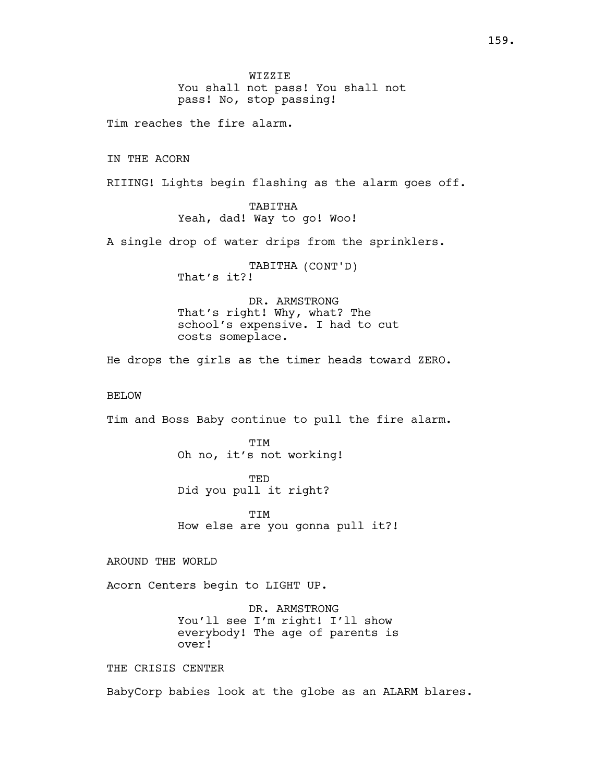WIZZIE You shall not pass! You shall not pass! No, stop passing!

Tim reaches the fire alarm.

IN THE ACORN

RIIING! Lights begin flashing as the alarm goes off.

TABITHA Yeah, dad! Way to go! Woo!

A single drop of water drips from the sprinklers.

TABITHA (CONT'D) That's it?!

DR. ARMSTRONG That's right! Why, what? The school's expensive. I had to cut costs someplace.

He drops the girls as the timer heads toward ZERO.

## BELOW

Tim and Boss Baby continue to pull the fire alarm.

TIM Oh no, it's not working!

TED Did you pull it right?

TTM How else are you gonna pull it?!

AROUND THE WORLD

Acorn Centers begin to LIGHT UP.

DR. ARMSTRONG You'll see I'm right! I'll show everybody! The age of parents is over!

THE CRISIS CENTER

BabyCorp babies look at the globe as an ALARM blares.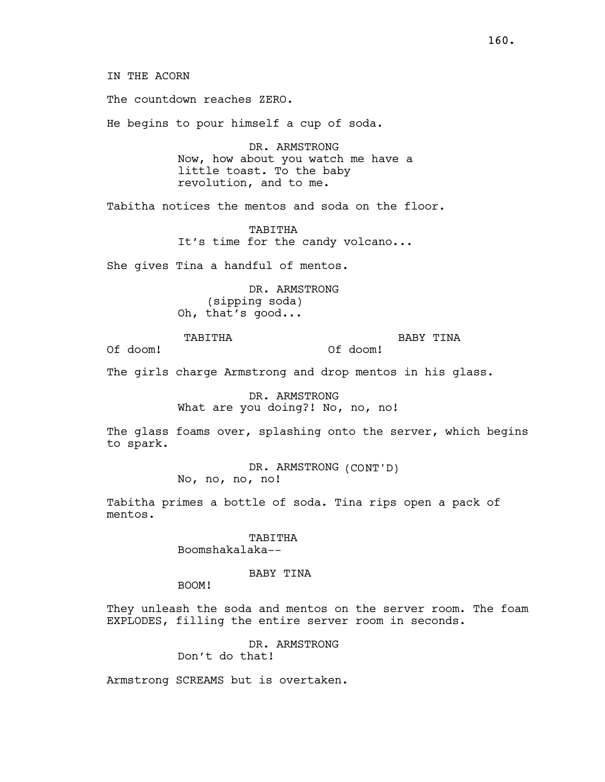160.

IN THE ACORN

The countdown reaches ZERO.

He begins to pour himself a cup of soda.

DR. ARMSTRONG Now, how about you watch me have a little toast. To the baby revolution, and to me.

Tabitha notices the mentos and soda on the floor.

TABITHA It's time for the candy volcano...

She gives Tina a handful of mentos.

DR. ARMSTRONG (sipping soda) Oh, that's good...

TABITHA

BABY TINA

Of doom!

The girls charge Armstrong and drop mentos in his glass.

DR. ARMSTRONG What are you doing?! No, no, no!

The glass foams over, splashing onto the server, which begins to spark.

Of doom!

DR. ARMSTRONG (CONT'D) No, no, no, no!

Tabitha primes a bottle of soda. Tina rips open a pack of mentos.

> TABITHA Boomshakalaka--

## BABY TINA

BOOM!

They unleash the soda and mentos on the server room. The foam EXPLODES, filling the entire server room in seconds.

> DR. ARMSTRONG Don't do that!

Armstrong SCREAMS but is overtaken.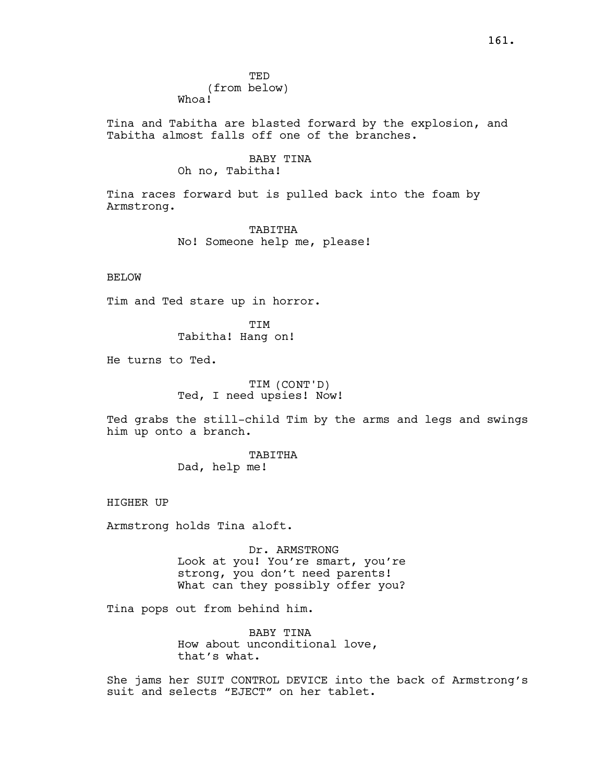**TED** (from below) Whoa!

Tina and Tabitha are blasted forward by the explosion, and Tabitha almost falls off one of the branches.

## BABY TINA Oh no, Tabitha!

Tina races forward but is pulled back into the foam by Armstrong.

> TABITHA No! Someone help me, please!

## BELOW

Tim and Ted stare up in horror.

TIM Tabitha! Hang on!

He turns to Ted.

TIM (CONT'D) Ted, I need upsies! Now!

Ted grabs the still-child Tim by the arms and legs and swings him up onto a branch.

> TABITHA Dad, help me!

HIGHER UP

Armstrong holds Tina aloft.

Dr. ARMSTRONG Look at you! You're smart, you're strong, you don't need parents! What can they possibly offer you?

Tina pops out from behind him.

BABY TINA How about unconditional love, that's what.

She jams her SUIT CONTROL DEVICE into the back of Armstrong's suit and selects "EJECT" on her tablet.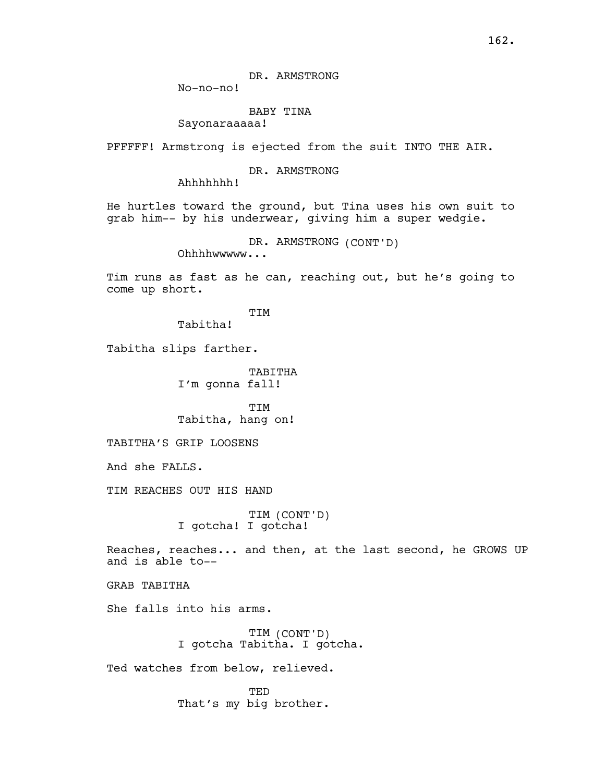DR. ARMSTRONG

No-no-no!

# BABY TINA

Sayonaraaaaa!

PFFFFF! Armstrong is ejected from the suit INTO THE AIR.

## DR. ARMSTRONG

Ahhhhhhh!

He hurtles toward the ground, but Tina uses his own suit to grab him-- by his underwear, giving him a super wedgie.

DR. ARMSTRONG (CONT'D)

Ohhhhwwwww...

Tim runs as fast as he can, reaching out, but he's going to come up short.

TIM

Tabitha!

Tabitha slips farther.

TABITHA I'm gonna fall!

TIM Tabitha, hang on!

TABITHA'S GRIP LOOSENS

And she FALLS.

TIM REACHES OUT HIS HAND

TIM (CONT'D) I gotcha! I gotcha!

Reaches, reaches... and then, at the last second, he GROWS UP and is able to--

GRAB TABITHA

She falls into his arms.

TIM (CONT'D) I gotcha Tabitha. I gotcha.

Ted watches from below, relieved.

**TED** That's my big brother.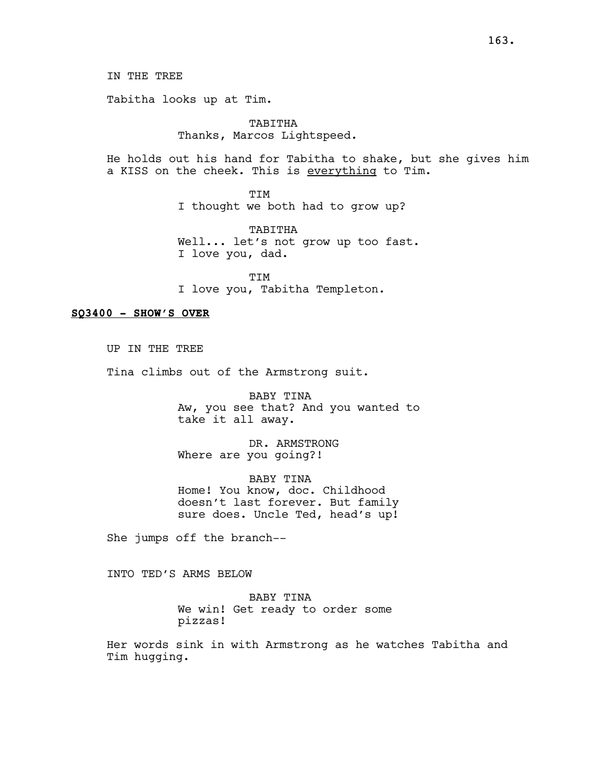IN THE TREE

Tabitha looks up at Tim.

# TABITHA Thanks, Marcos Lightspeed.

He holds out his hand for Tabitha to shake, but she gives him a KISS on the cheek. This is everything to Tim.

> TIM I thought we both had to grow up?

TABITHA Well... let's not grow up too fast. I love you, dad.

TIM I love you, Tabitha Templeton.

## SQ3400 - SHOW'S OVER

UP IN THE TREE Tina climbs out of the Armstrong suit.

> BABY TINA Aw, you see that? And you wanted to take it all away.

DR. ARMSTRONG Where are you going?!

BABY TINA Home! You know, doc. Childhood doesn't last forever. But family sure does. Uncle Ted, head's up!

She jumps off the branch--

INTO TED'S ARMS BELOW

BABY TINA We win! Get ready to order some pizzas!

Her words sink in with Armstrong as he watches Tabitha and Tim hugging.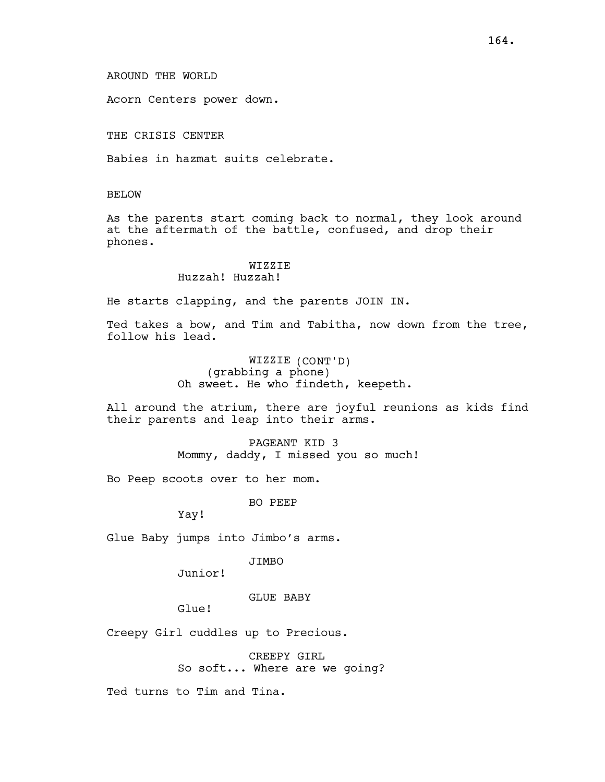Acorn Centers power down.

THE CRISIS CENTER

Babies in hazmat suits celebrate.

BELOW

As the parents start coming back to normal, they look around at the aftermath of the battle, confused, and drop their phones.

# WIZZIE

# Huzzah! Huzzah!

He starts clapping, and the parents JOIN IN.

Ted takes a bow, and Tim and Tabitha, now down from the tree, follow his lead.

> WIZZIE (CONT'D) (grabbing a phone) Oh sweet. He who findeth, keepeth.

All around the atrium, there are joyful reunions as kids find their parents and leap into their arms.

> PAGEANT KID 3 Mommy, daddy, I missed you so much!

Bo Peep scoots over to her mom.

BO PEEP

Yay!

Glue Baby jumps into Jimbo's arms.

JIMBO

Junior!

#### GLUE BABY

Glue!

Creepy Girl cuddles up to Precious.

CREEPY GIRL So soft... Where are we going?

Ted turns to Tim and Tina.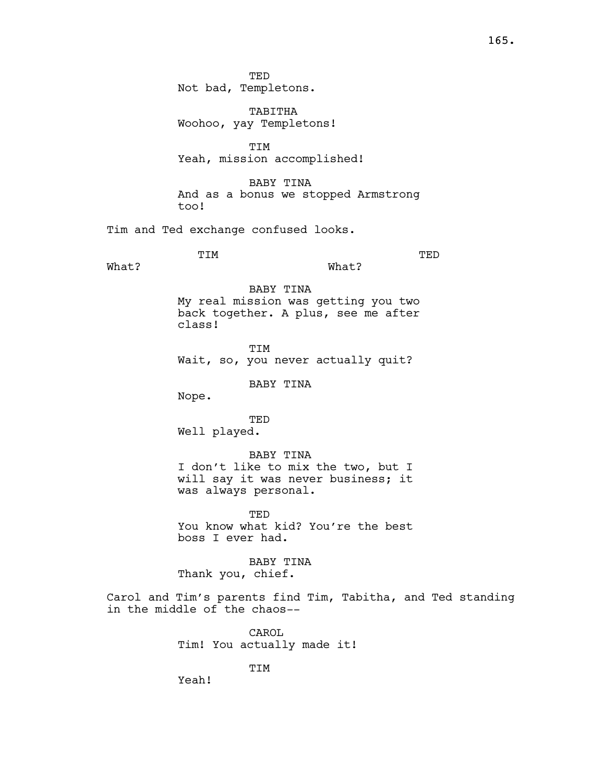TED Not bad, Templetons.

TABITHA Woohoo, yay Templetons!

TIM Yeah, mission accomplished!

BABY TINA And as a bonus we stopped Armstrong too!

Tim and Ted exchange confused looks.

TIM

What?

TED

What?

BABY TINA My real mission was getting you two back together. A plus, see me after class!

TIM Wait, so, you never actually quit?

BABY TINA

Nope.

TED

Well played.

BABY TINA

I don't like to mix the two, but I will say it was never business; it was always personal.

TED You know what kid? You're the best boss I ever had.

BABY TINA Thank you, chief.

Carol and Tim's parents find Tim, Tabitha, and Ted standing in the middle of the chaos--

> CAROL Tim! You actually made it!

> > TIM

Yeah!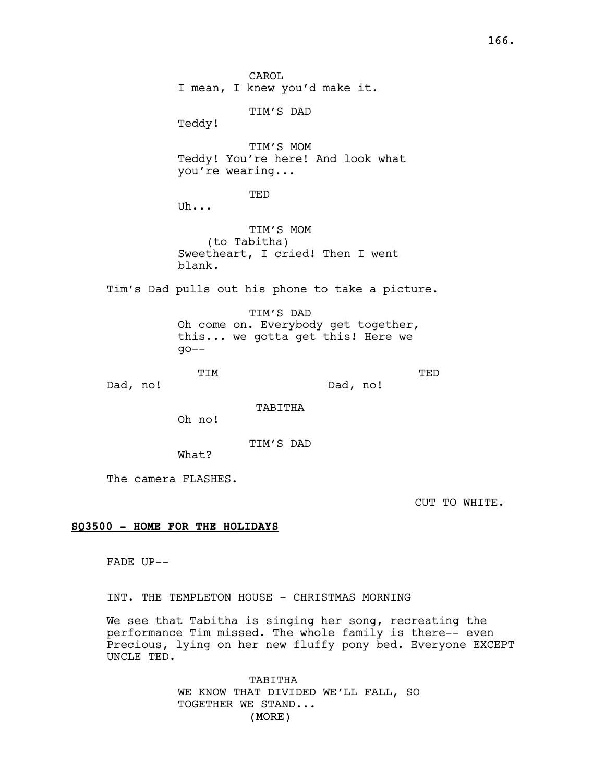CAROL I mean, I knew you'd make it. TIM'S DAD Teddy! TIM'S MOM Teddy! You're here! And look what you're wearing... TED Uh... TIM'S MOM (to Tabitha) Sweetheart, I cried! Then I went blank. Tim's Dad pulls out his phone to take a picture. TIM'S DAD Oh come on. Everybody get together, this... we gotta get this! Here we  $qo--$ TIM Dad, no! TED Dad, no! TABITHA Oh no! TIM'S DAD What?

The camera FLASHES.

CUT TO WHITE.

# SQ3500 - HOME FOR THE HOLIDAYS

FADE UP--

INT. THE TEMPLETON HOUSE - CHRISTMAS MORNING

We see that Tabitha is singing her song, recreating the performance Tim missed. The whole family is there-- even Precious, lying on her new fluffy pony bed. Everyone EXCEPT UNCLE TED.

> (MORE) TABITHA WE KNOW THAT DIVIDED WE'LL FALL, SO TOGETHER WE STAND...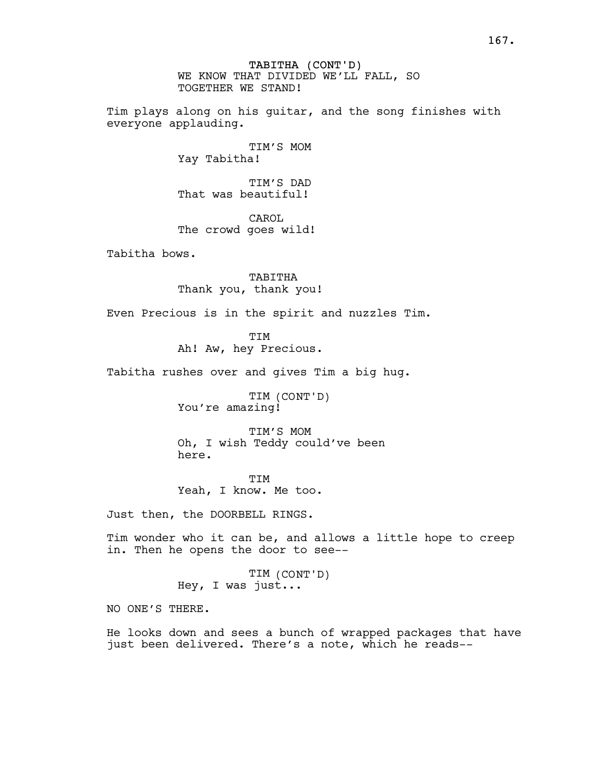TABITHA (CONT'D) WE KNOW THAT DIVIDED WE'LL FALL, SO TOGETHER WE STAND!

Tim plays along on his guitar, and the song finishes with everyone applauding.

> TIM'S MOM Yay Tabitha!

TIM'S DAD That was beautiful!

CAROL The crowd goes wild!

Tabitha bows.

TABITHA Thank you, thank you!

Even Precious is in the spirit and nuzzles Tim.

TIM Ah! Aw, hey Precious.

Tabitha rushes over and gives Tim a big hug.

TIM (CONT'D) You're amazing!

TIM'S MOM Oh, I wish Teddy could've been here.

TIM Yeah, I know. Me too.

Just then, the DOORBELL RINGS.

Tim wonder who it can be, and allows a little hope to creep in. Then he opens the door to see--

> TIM (CONT'D) Hey, I was just...

NO ONE'S THERE.

He looks down and sees a bunch of wrapped packages that have just been delivered. There's a note, which he reads--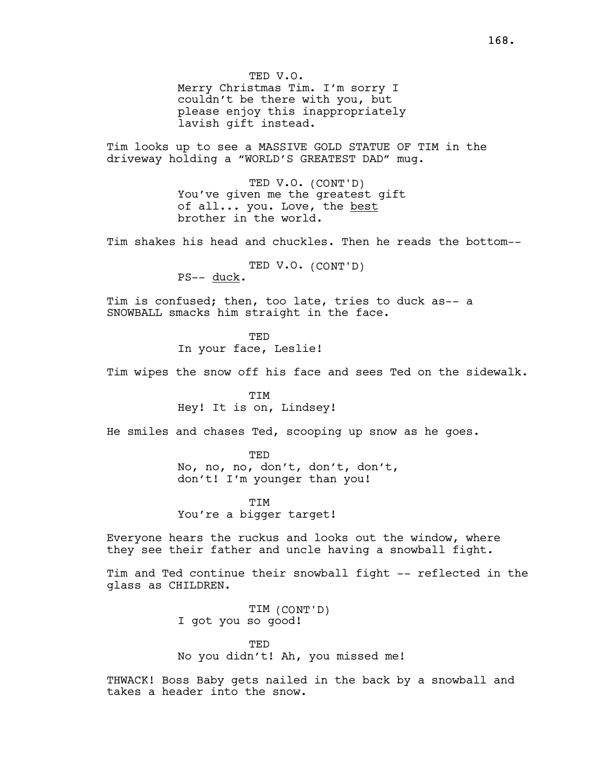TED V.O. Merry Christmas Tim. I'm sorry I couldn't be there with you, but please enjoy this inappropriately lavish gift instead.

Tim looks up to see a MASSIVE GOLD STATUE OF TIM in the driveway holding a "WORLD'S GREATEST DAD" mug.

> TED V.O. (CONT'D) You've given me the greatest gift of all... you. Love, the best brother in the world.

Tim shakes his head and chuckles. Then he reads the bottom--

TED V.O. (CONT'D)

PS-- duck.

Tim is confused; then, too late, tries to duck as-- a SNOWBALL smacks him straight in the face.

> TED In your face, Leslie!

Tim wipes the snow off his face and sees Ted on the sidewalk.

TIM Hey! It is on, Lindsey!

He smiles and chases Ted, scooping up snow as he goes.

TED

No, no, no, don't, don't, don't, don't! I'm younger than you!

TIM You're a bigger target!

Everyone hears the ruckus and looks out the window, where they see their father and uncle having a snowball fight.

Tim and Ted continue their snowball fight -- reflected in the glass as CHILDREN.

> TIM (CONT'D) I got you so good!

TED No you didn't! Ah, you missed me!

THWACK! Boss Baby gets nailed in the back by a snowball and takes a header into the snow.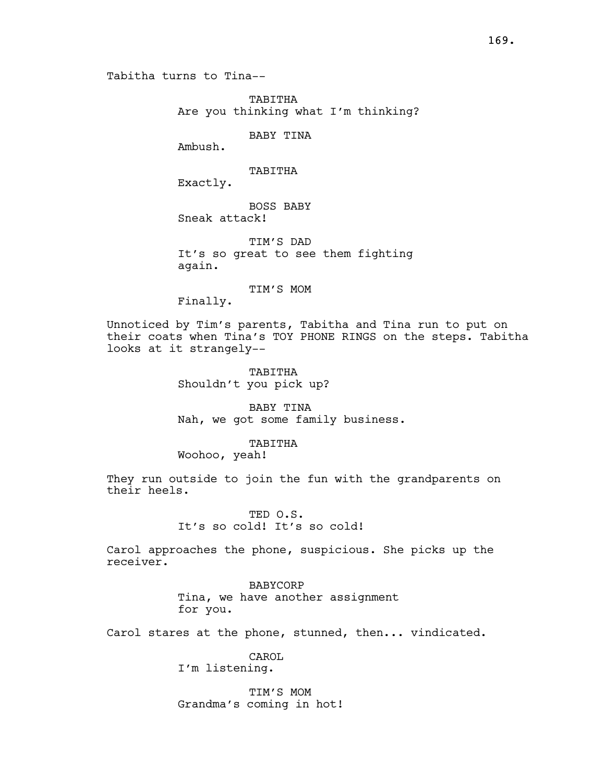TABITHA Are you thinking what I'm thinking?

BABY TINA

Ambush.

TABITHA

Exactly.

BOSS BABY Sneak attack!

TIM'S DAD It's so great to see them fighting again.

TIM'S MOM

Finally.

Unnoticed by Tim's parents, Tabitha and Tina run to put on their coats when Tina's TOY PHONE RINGS on the steps. Tabitha looks at it strangely--

> TABITHA Shouldn't you pick up?

BABY TINA Nah, we got some family business.

## TABITHA

Woohoo, yeah!

They run outside to join the fun with the grandparents on their heels.

# TED O.S. It's so cold! It's so cold!

Carol approaches the phone, suspicious. She picks up the receiver.

> BABYCORP Tina, we have another assignment for you.

Carol stares at the phone, stunned, then... vindicated.

CAROL I'm listening.

TIM'S MOM Grandma's coming in hot!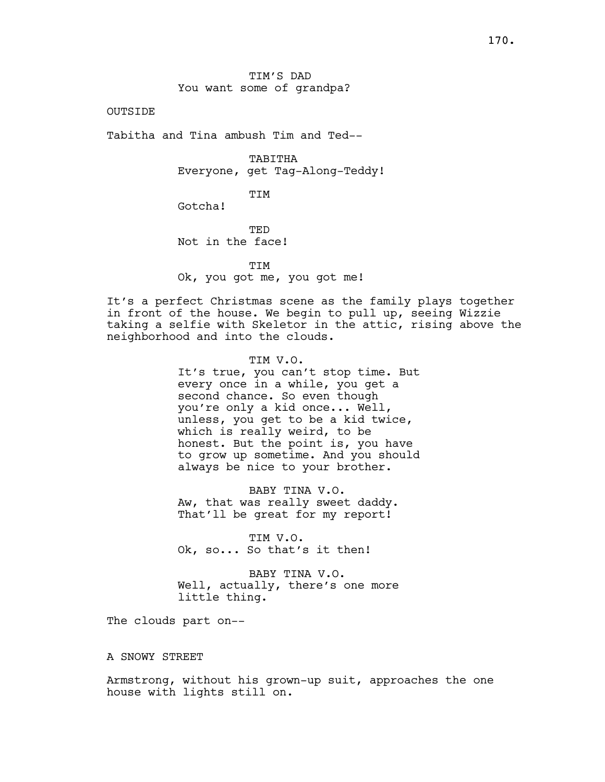TIM'S DAD You want some of grandpa?

OUTSIDE

Tabitha and Tina ambush Tim and Ted--

TABITHA Everyone, get Tag-Along-Teddy!

TIM

Gotcha!

TED Not in the face!

**TTM** 

Ok, you got me, you got me!

It's a perfect Christmas scene as the family plays together in front of the house. We begin to pull up, seeing Wizzie taking a selfie with Skeletor in the attic, rising above the neighborhood and into the clouds.

> TIM V.O. It's true, you can't stop time. But every once in a while, you get a second chance. So even though you're only a kid once... Well, unless, you get to be a kid twice, which is really weird, to be honest. But the point is, you have to grow up sometime. And you should always be nice to your brother.

BABY TINA V.O. Aw, that was really sweet daddy. That'll be great for my report!

TIM V.O. Ok, so... So that's it then!

BABY TINA V.O. Well, actually, there's one more little thing.

The clouds part on--

#### A SNOWY STREET

Armstrong, without his grown-up suit, approaches the one house with lights still on.